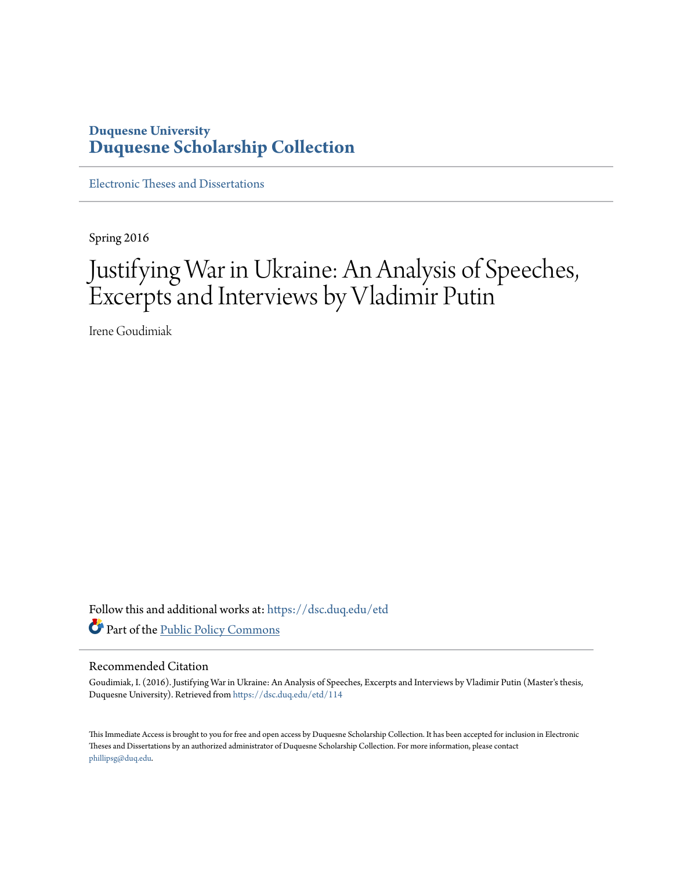### **Duquesne University [Duquesne Scholarship Collection](https://dsc.duq.edu?utm_source=dsc.duq.edu%2Fetd%2F114&utm_medium=PDF&utm_campaign=PDFCoverPages)**

[Electronic Theses and Dissertations](https://dsc.duq.edu/etd?utm_source=dsc.duq.edu%2Fetd%2F114&utm_medium=PDF&utm_campaign=PDFCoverPages)

Spring 2016

# Justifying War in Ukraine: An Analysis of Speeches, Excerpts and Interviews by Vladimir Putin

Irene Goudimiak

Follow this and additional works at: [https://dsc.duq.edu/etd](https://dsc.duq.edu/etd?utm_source=dsc.duq.edu%2Fetd%2F114&utm_medium=PDF&utm_campaign=PDFCoverPages) Part of the [Public Policy Commons](http://network.bepress.com/hgg/discipline/400?utm_source=dsc.duq.edu%2Fetd%2F114&utm_medium=PDF&utm_campaign=PDFCoverPages)

#### Recommended Citation

Goudimiak, I. (2016). Justifying War in Ukraine: An Analysis of Speeches, Excerpts and Interviews by Vladimir Putin (Master's thesis, Duquesne University). Retrieved from [https://dsc.duq.edu/etd/114](https://dsc.duq.edu/etd/114?utm_source=dsc.duq.edu%2Fetd%2F114&utm_medium=PDF&utm_campaign=PDFCoverPages)

This Immediate Access is brought to you for free and open access by Duquesne Scholarship Collection. It has been accepted for inclusion in Electronic Theses and Dissertations by an authorized administrator of Duquesne Scholarship Collection. For more information, please contact [phillipsg@duq.edu.](mailto:phillipsg@duq.edu)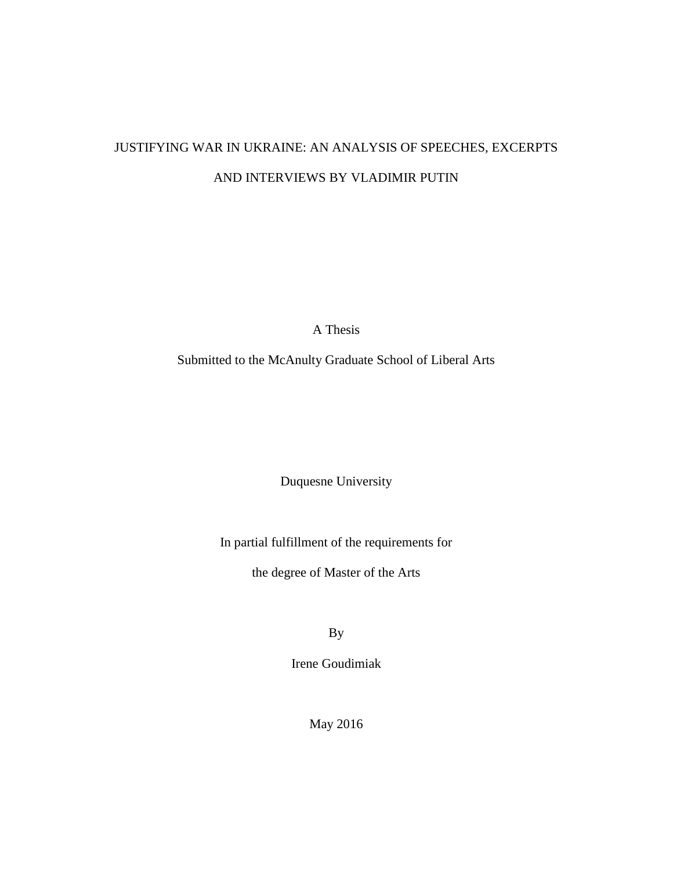## JUSTIFYING WAR IN UKRAINE: AN ANALYSIS OF SPEECHES, EXCERPTS AND INTERVIEWS BY VLADIMIR PUTIN

A Thesis

Submitted to the McAnulty Graduate School of Liberal Arts

Duquesne University

In partial fulfillment of the requirements for

the degree of Master of the Arts

By

Irene Goudimiak

May 2016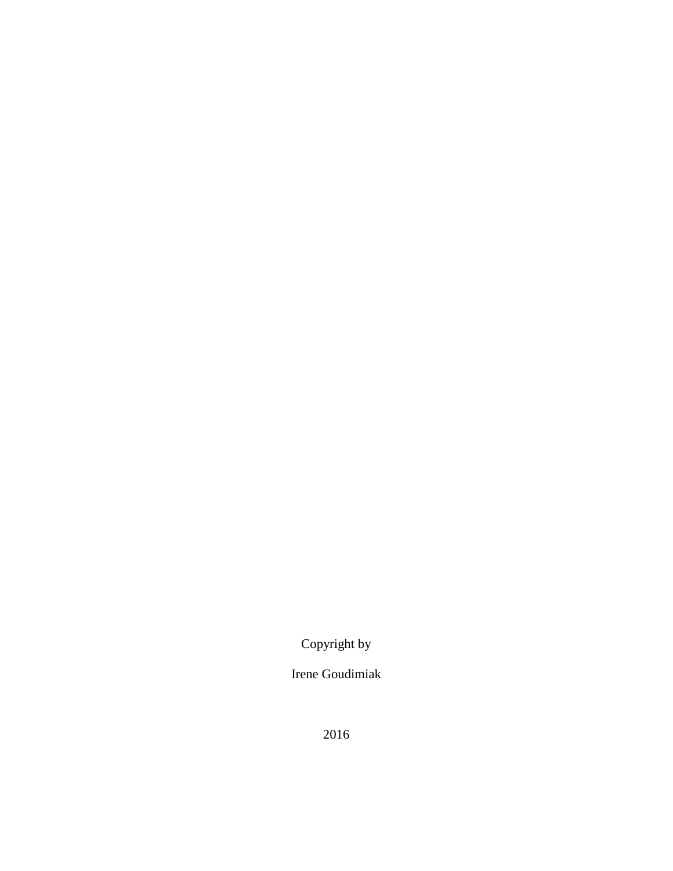Copyright by

Irene Goudimiak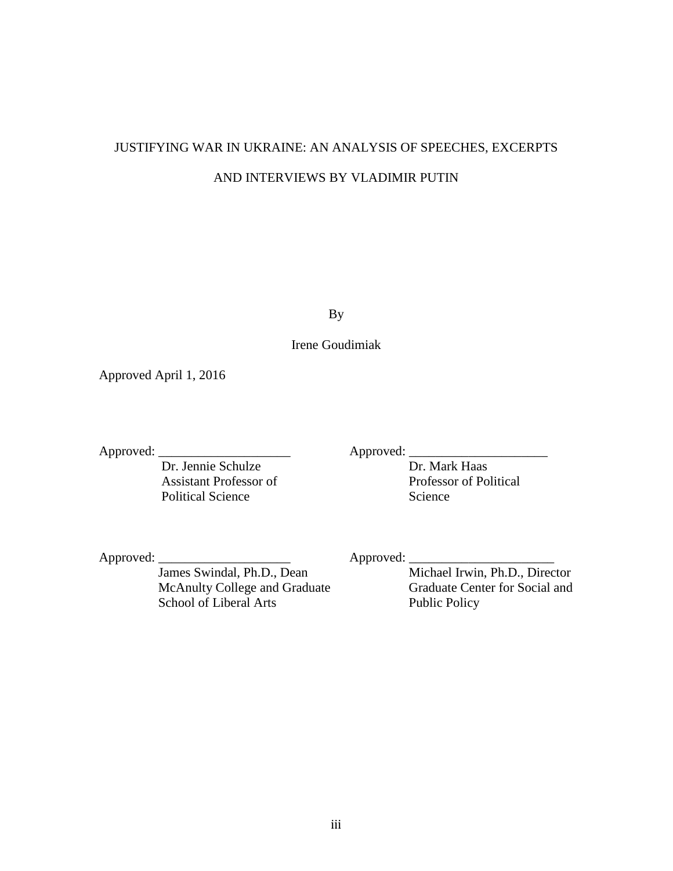## JUSTIFYING WAR IN UKRAINE: AN ANALYSIS OF SPEECHES, EXCERPTS AND INTERVIEWS BY VLADIMIR PUTIN

By

Irene Goudimiak

Approved April 1, 2016

Approved: \_\_\_\_\_\_\_\_\_\_\_\_\_\_\_\_\_\_\_\_ Approved: \_\_\_\_\_\_\_\_\_\_\_\_\_\_\_\_\_\_\_\_\_ Dr. Jennie Schulze Assistant Professor of Professor of Political Political Science Science

Approved:  $\frac{1}{\text{James Swindal, Ph.D., Dean}}$  Approved:  $\frac{1}{\text{Michael Irwin, Ph.D., Director}}$ James Swindal, Ph.D., Dean McAnulty College and Graduate Graduate Graduate Center for Social and School of Liberal Arts Public Policy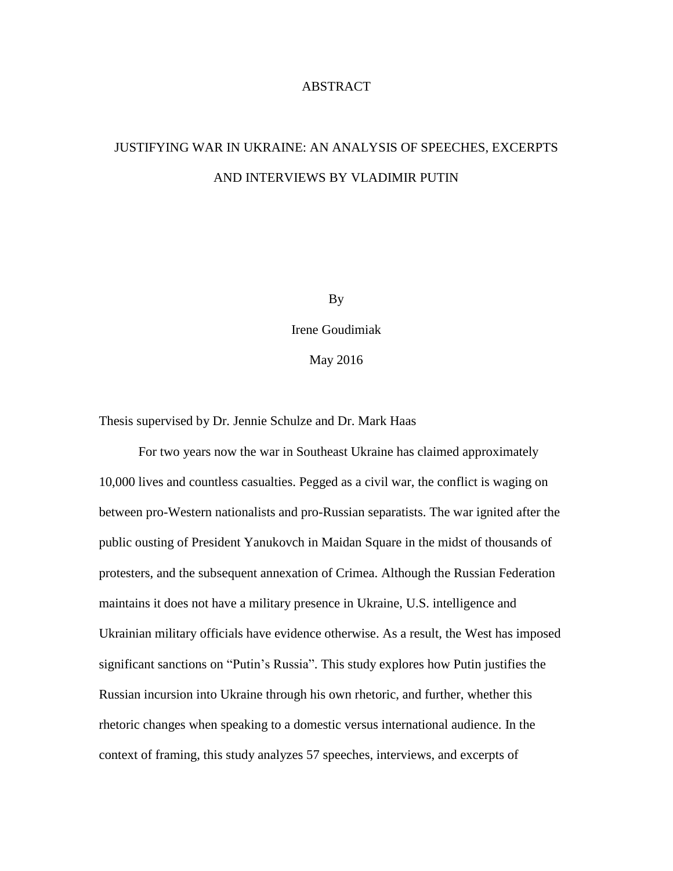#### ABSTRACT

## JUSTIFYING WAR IN UKRAINE: AN ANALYSIS OF SPEECHES, EXCERPTS AND INTERVIEWS BY VLADIMIR PUTIN

By

Irene Goudimiak

May 2016

Thesis supervised by Dr. Jennie Schulze and Dr. Mark Haas

For two years now the war in Southeast Ukraine has claimed approximately 10,000 lives and countless casualties. Pegged as a civil war, the conflict is waging on between pro-Western nationalists and pro-Russian separatists. The war ignited after the public ousting of President Yanukovch in Maidan Square in the midst of thousands of protesters, and the subsequent annexation of Crimea. Although the Russian Federation maintains it does not have a military presence in Ukraine, U.S. intelligence and Ukrainian military officials have evidence otherwise. As a result, the West has imposed significant sanctions on "Putin's Russia". This study explores how Putin justifies the Russian incursion into Ukraine through his own rhetoric, and further, whether this rhetoric changes when speaking to a domestic versus international audience. In the context of framing, this study analyzes 57 speeches, interviews, and excerpts of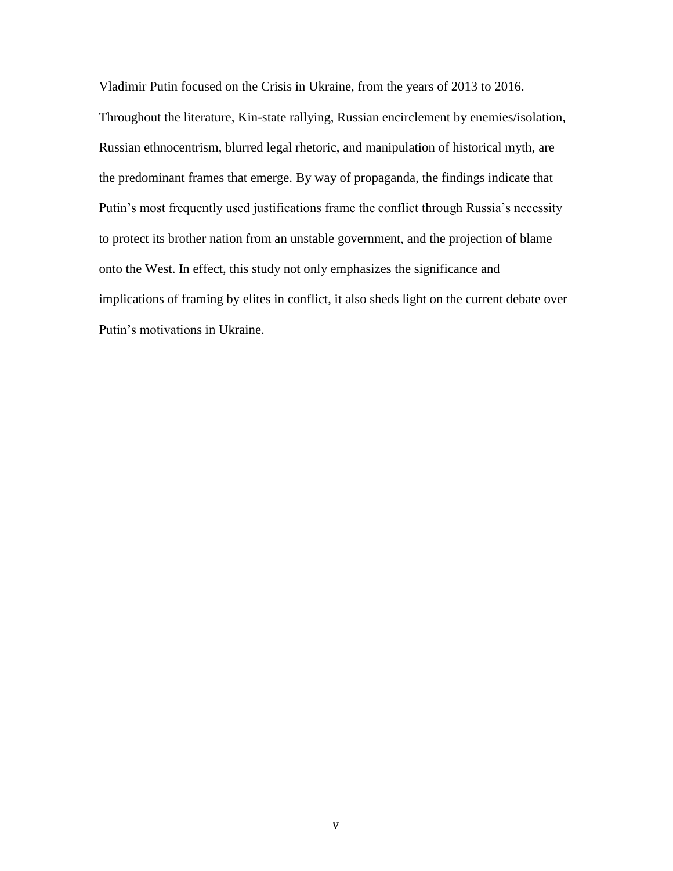Vladimir Putin focused on the Crisis in Ukraine, from the years of 2013 to 2016. Throughout the literature, Kin-state rallying, Russian encirclement by enemies/isolation, Russian ethnocentrism, blurred legal rhetoric, and manipulation of historical myth, are the predominant frames that emerge. By way of propaganda, the findings indicate that Putin's most frequently used justifications frame the conflict through Russia's necessity to protect its brother nation from an unstable government, and the projection of blame onto the West. In effect, this study not only emphasizes the significance and implications of framing by elites in conflict, it also sheds light on the current debate over Putin's motivations in Ukraine.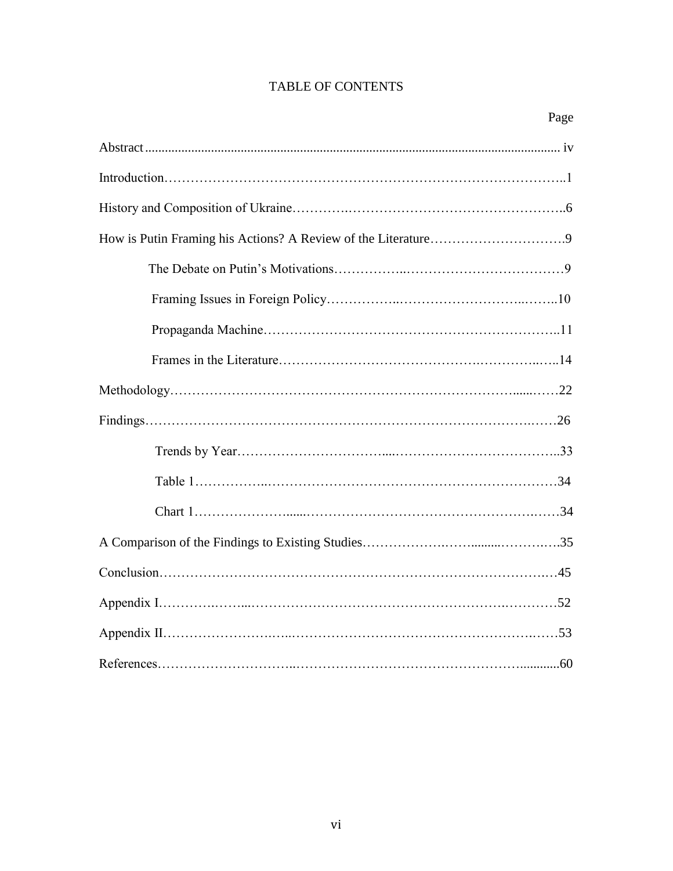### TABLE OF CONTENTS

| Page |
|------|
|      |
|      |
|      |
|      |
|      |
|      |
|      |
|      |
|      |
|      |
|      |
|      |
|      |
|      |
|      |
|      |
|      |
|      |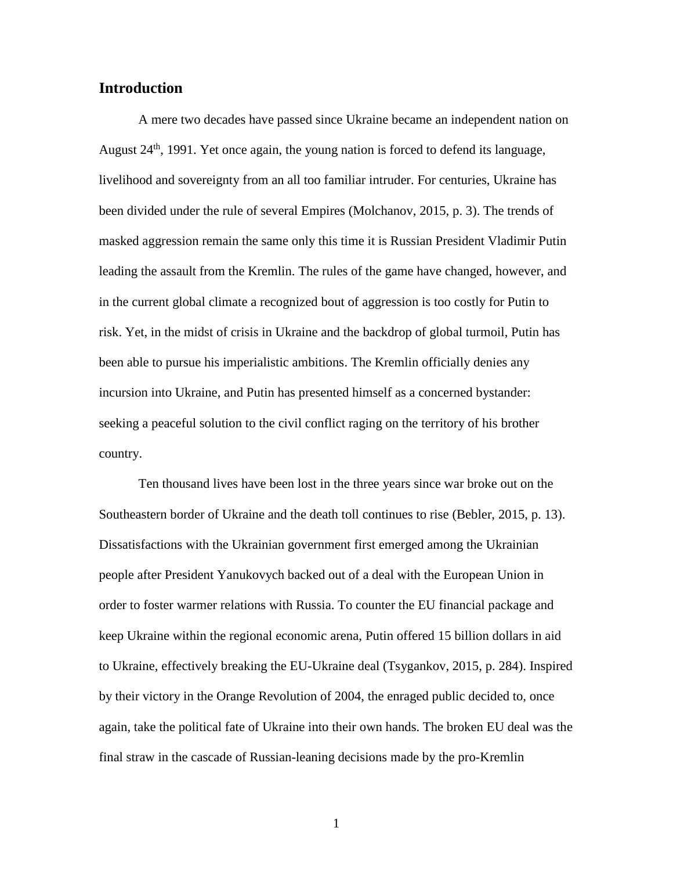### **Introduction**

A mere two decades have passed since Ukraine became an independent nation on August  $24<sup>th</sup>$ , 1991. Yet once again, the young nation is forced to defend its language, livelihood and sovereignty from an all too familiar intruder. For centuries, Ukraine has been divided under the rule of several Empires (Molchanov, 2015, p. 3). The trends of masked aggression remain the same only this time it is Russian President Vladimir Putin leading the assault from the Kremlin. The rules of the game have changed, however, and in the current global climate a recognized bout of aggression is too costly for Putin to risk. Yet, in the midst of crisis in Ukraine and the backdrop of global turmoil, Putin has been able to pursue his imperialistic ambitions. The Kremlin officially denies any incursion into Ukraine, and Putin has presented himself as a concerned bystander: seeking a peaceful solution to the civil conflict raging on the territory of his brother country.

Ten thousand lives have been lost in the three years since war broke out on the Southeastern border of Ukraine and the death toll continues to rise (Bebler, 2015, p. 13). Dissatisfactions with the Ukrainian government first emerged among the Ukrainian people after President Yanukovych backed out of a deal with the European Union in order to foster warmer relations with Russia. To counter the EU financial package and keep Ukraine within the regional economic arena, Putin offered 15 billion dollars in aid to Ukraine, effectively breaking the EU-Ukraine deal (Tsygankov, 2015, p. 284). Inspired by their victory in the Orange Revolution of 2004, the enraged public decided to, once again, take the political fate of Ukraine into their own hands. The broken EU deal was the final straw in the cascade of Russian-leaning decisions made by the pro-Kremlin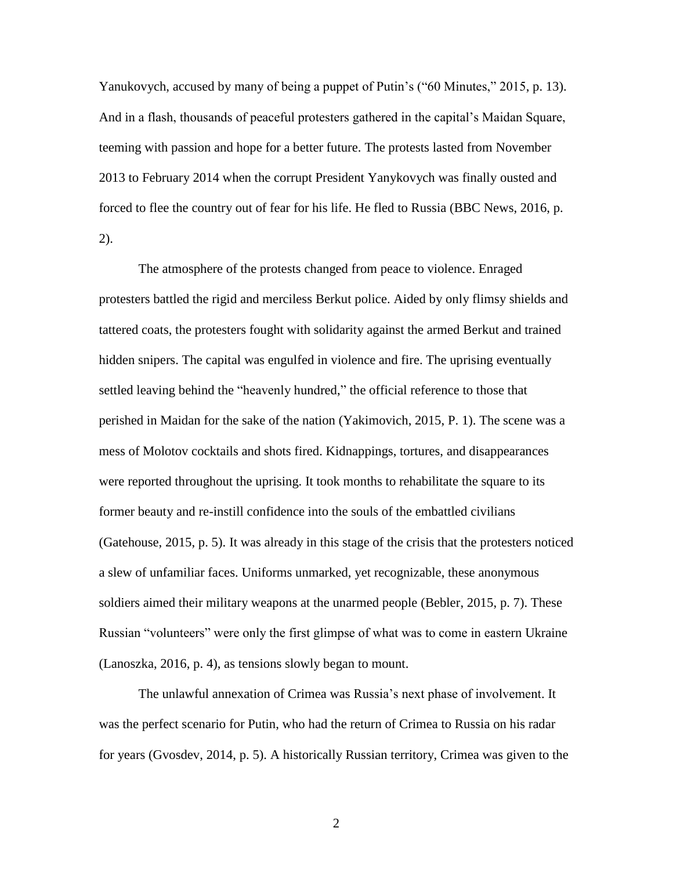Yanukovych, accused by many of being a puppet of Putin's ("60 Minutes," 2015, p. 13). And in a flash, thousands of peaceful protesters gathered in the capital's Maidan Square, teeming with passion and hope for a better future. The protests lasted from November 2013 to February 2014 when the corrupt President Yanykovych was finally ousted and forced to flee the country out of fear for his life. He fled to Russia (BBC News, 2016, p. 2).

The atmosphere of the protests changed from peace to violence. Enraged protesters battled the rigid and merciless Berkut police. Aided by only flimsy shields and tattered coats, the protesters fought with solidarity against the armed Berkut and trained hidden snipers. The capital was engulfed in violence and fire. The uprising eventually settled leaving behind the "heavenly hundred," the official reference to those that perished in Maidan for the sake of the nation (Yakimovich, 2015, P. 1). The scene was a mess of Molotov cocktails and shots fired. Kidnappings, tortures, and disappearances were reported throughout the uprising. It took months to rehabilitate the square to its former beauty and re-instill confidence into the souls of the embattled civilians (Gatehouse, 2015, p. 5). It was already in this stage of the crisis that the protesters noticed a slew of unfamiliar faces. Uniforms unmarked, yet recognizable, these anonymous soldiers aimed their military weapons at the unarmed people (Bebler, 2015, p. 7). These Russian "volunteers" were only the first glimpse of what was to come in eastern Ukraine (Lanoszka, 2016, p. 4), as tensions slowly began to mount.

The unlawful annexation of Crimea was Russia's next phase of involvement. It was the perfect scenario for Putin, who had the return of Crimea to Russia on his radar for years (Gvosdev, 2014, p. 5). A historically Russian territory, Crimea was given to the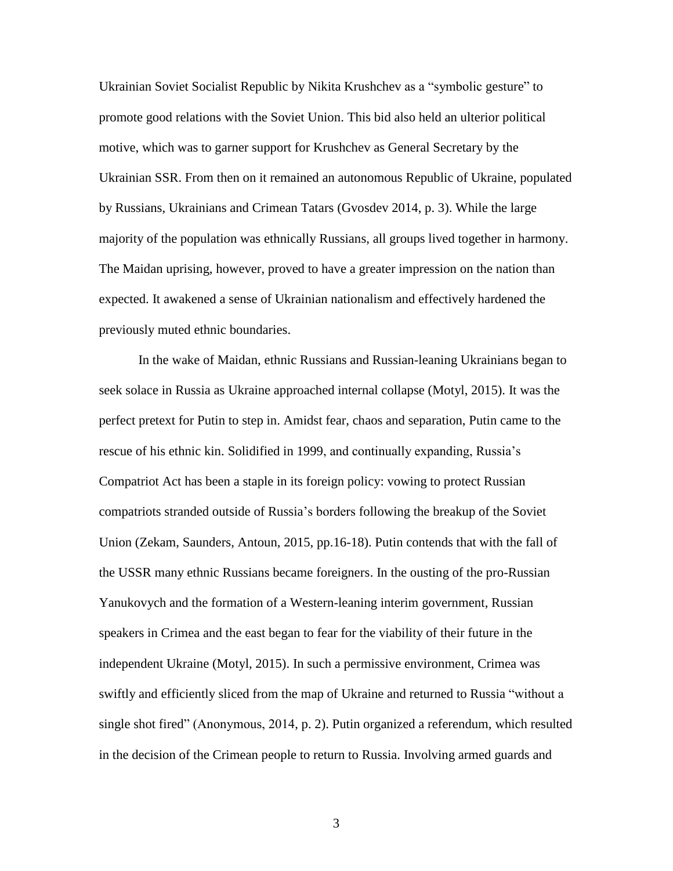Ukrainian Soviet Socialist Republic by Nikita Krushchev as a "symbolic gesture" to promote good relations with the Soviet Union. This bid also held an ulterior political motive, which was to garner support for Krushchev as General Secretary by the Ukrainian SSR. From then on it remained an autonomous Republic of Ukraine, populated by Russians, Ukrainians and Crimean Tatars (Gvosdev 2014, p. 3). While the large majority of the population was ethnically Russians, all groups lived together in harmony. The Maidan uprising, however, proved to have a greater impression on the nation than expected. It awakened a sense of Ukrainian nationalism and effectively hardened the previously muted ethnic boundaries.

In the wake of Maidan, ethnic Russians and Russian-leaning Ukrainians began to seek solace in Russia as Ukraine approached internal collapse (Motyl, 2015). It was the perfect pretext for Putin to step in. Amidst fear, chaos and separation, Putin came to the rescue of his ethnic kin. Solidified in 1999, and continually expanding, Russia's Compatriot Act has been a staple in its foreign policy: vowing to protect Russian compatriots stranded outside of Russia's borders following the breakup of the Soviet Union (Zekam, Saunders, Antoun, 2015, pp.16-18). Putin contends that with the fall of the USSR many ethnic Russians became foreigners. In the ousting of the pro-Russian Yanukovych and the formation of a Western-leaning interim government, Russian speakers in Crimea and the east began to fear for the viability of their future in the independent Ukraine (Motyl, 2015). In such a permissive environment, Crimea was swiftly and efficiently sliced from the map of Ukraine and returned to Russia "without a single shot fired" (Anonymous, 2014, p. 2). Putin organized a referendum, which resulted in the decision of the Crimean people to return to Russia. Involving armed guards and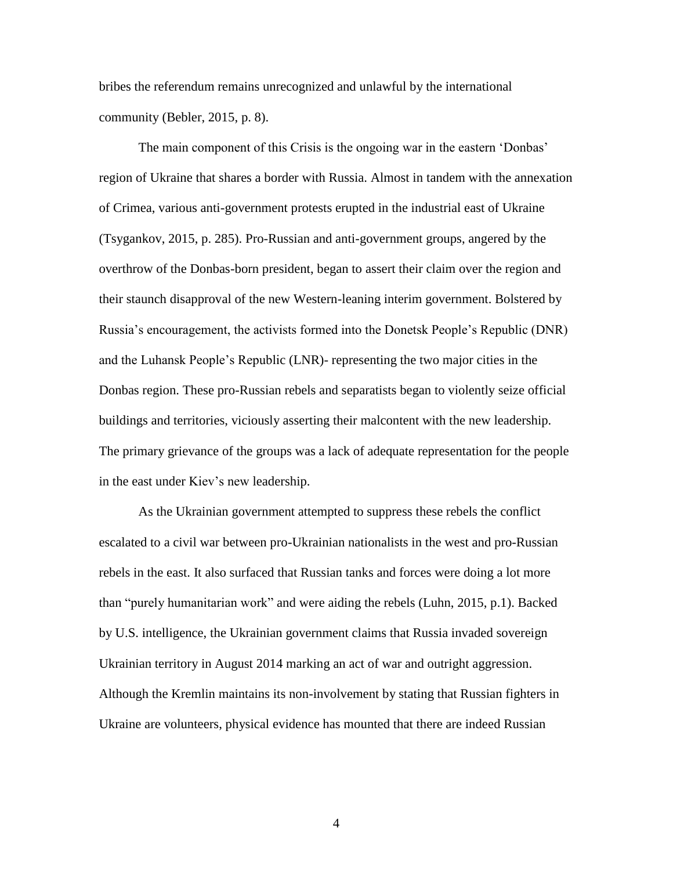bribes the referendum remains unrecognized and unlawful by the international community (Bebler, 2015, p. 8).

The main component of this Crisis is the ongoing war in the eastern 'Donbas' region of Ukraine that shares a border with Russia. Almost in tandem with the annexation of Crimea, various anti-government protests erupted in the industrial east of Ukraine (Tsygankov, 2015, p. 285). Pro-Russian and anti-government groups, angered by the overthrow of the Donbas-born president, began to assert their claim over the region and their staunch disapproval of the new Western-leaning interim government. Bolstered by Russia's encouragement, the activists formed into the Donetsk People's Republic (DNR) and the Luhansk People's Republic (LNR)- representing the two major cities in the Donbas region. These pro-Russian rebels and separatists began to violently seize official buildings and territories, viciously asserting their malcontent with the new leadership. The primary grievance of the groups was a lack of adequate representation for the people in the east under Kiev's new leadership.

As the Ukrainian government attempted to suppress these rebels the conflict escalated to a civil war between pro-Ukrainian nationalists in the west and pro-Russian rebels in the east. It also surfaced that Russian tanks and forces were doing a lot more than "purely humanitarian work" and were aiding the rebels (Luhn, 2015, p.1). Backed by U.S. intelligence, the Ukrainian government claims that Russia invaded sovereign Ukrainian territory in August 2014 marking an act of war and outright aggression. Although the Kremlin maintains its non-involvement by stating that Russian fighters in Ukraine are volunteers, physical evidence has mounted that there are indeed Russian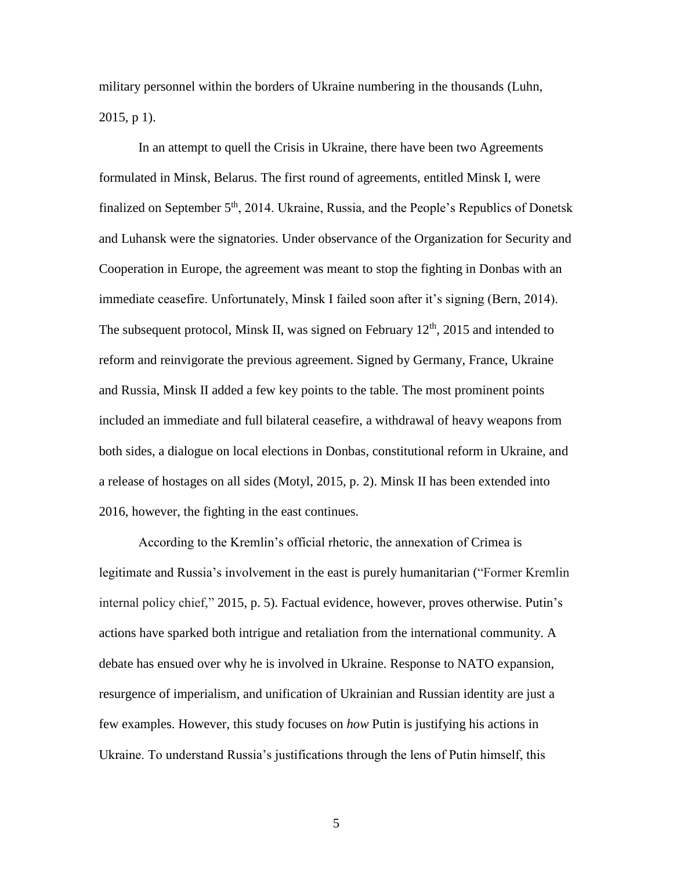military personnel within the borders of Ukraine numbering in the thousands (Luhn, 2015, p 1).

In an attempt to quell the Crisis in Ukraine, there have been two Agreements formulated in Minsk, Belarus. The first round of agreements, entitled Minsk I, were finalized on September  $5<sup>th</sup>$ , 2014. Ukraine, Russia, and the People's Republics of Donetsk and Luhansk were the signatories. Under observance of the Organization for Security and Cooperation in Europe, the agreement was meant to stop the fighting in Donbas with an immediate ceasefire. Unfortunately, Minsk I failed soon after it's signing (Bern, 2014). The subsequent protocol, Minsk II, was signed on February  $12<sup>th</sup>$ , 2015 and intended to reform and reinvigorate the previous agreement. Signed by Germany, France, Ukraine and Russia, Minsk II added a few key points to the table. The most prominent points included an immediate and full bilateral ceasefire, a withdrawal of heavy weapons from both sides, a dialogue on local elections in Donbas, constitutional reform in Ukraine, and a release of hostages on all sides (Motyl, 2015, p. 2). Minsk II has been extended into 2016, however, the fighting in the east continues.

According to the Kremlin's official rhetoric, the annexation of Crimea is legitimate and Russia's involvement in the east is purely humanitarian ("Former Kremlin internal policy chief," 2015, p. 5). Factual evidence, however, proves otherwise. Putin's actions have sparked both intrigue and retaliation from the international community. A debate has ensued over why he is involved in Ukraine. Response to NATO expansion, resurgence of imperialism, and unification of Ukrainian and Russian identity are just a few examples. However, this study focuses on *how* Putin is justifying his actions in Ukraine. To understand Russia's justifications through the lens of Putin himself, this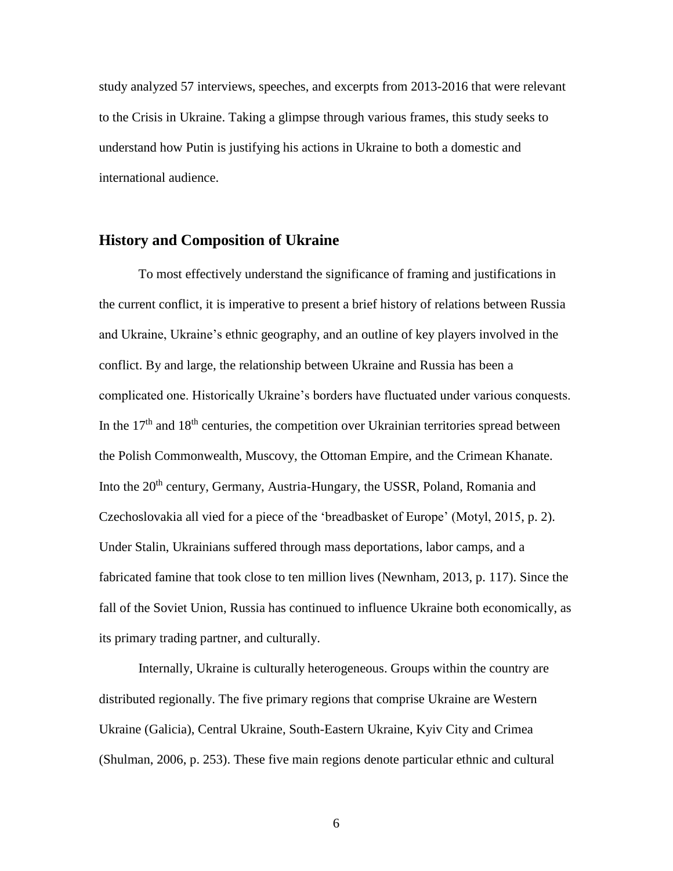study analyzed 57 interviews, speeches, and excerpts from 2013-2016 that were relevant to the Crisis in Ukraine. Taking a glimpse through various frames, this study seeks to understand how Putin is justifying his actions in Ukraine to both a domestic and international audience.

#### **History and Composition of Ukraine**

To most effectively understand the significance of framing and justifications in the current conflict, it is imperative to present a brief history of relations between Russia and Ukraine, Ukraine's ethnic geography, and an outline of key players involved in the conflict. By and large, the relationship between Ukraine and Russia has been a complicated one. Historically Ukraine's borders have fluctuated under various conquests. In the  $17<sup>th</sup>$  and  $18<sup>th</sup>$  centuries, the competition over Ukrainian territories spread between the Polish Commonwealth, Muscovy, the Ottoman Empire, and the Crimean Khanate. Into the 20<sup>th</sup> century, Germany, Austria-Hungary, the USSR, Poland, Romania and Czechoslovakia all vied for a piece of the 'breadbasket of Europe' (Motyl, 2015, p. 2). Under Stalin, Ukrainians suffered through mass deportations, labor camps, and a fabricated famine that took close to ten million lives (Newnham, 2013, p. 117). Since the fall of the Soviet Union, Russia has continued to influence Ukraine both economically, as its primary trading partner, and culturally.

Internally, Ukraine is culturally heterogeneous. Groups within the country are distributed regionally. The five primary regions that comprise Ukraine are Western Ukraine (Galicia), Central Ukraine, South-Eastern Ukraine, Kyiv City and Crimea (Shulman, 2006, p. 253). These five main regions denote particular ethnic and cultural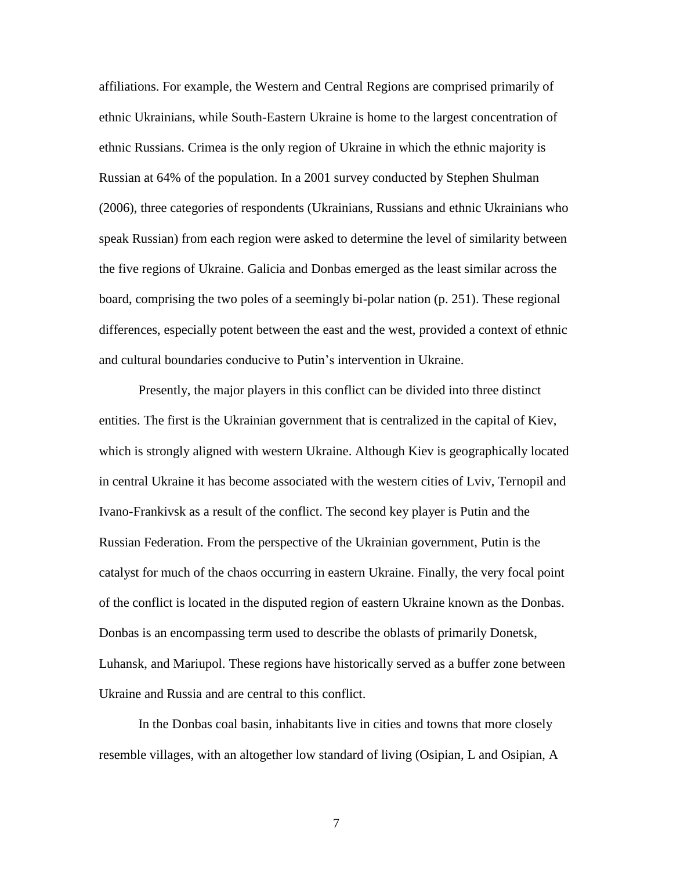affiliations. For example, the Western and Central Regions are comprised primarily of ethnic Ukrainians, while South-Eastern Ukraine is home to the largest concentration of ethnic Russians. Crimea is the only region of Ukraine in which the ethnic majority is Russian at 64% of the population. In a 2001 survey conducted by Stephen Shulman (2006), three categories of respondents (Ukrainians, Russians and ethnic Ukrainians who speak Russian) from each region were asked to determine the level of similarity between the five regions of Ukraine. Galicia and Donbas emerged as the least similar across the board, comprising the two poles of a seemingly bi-polar nation (p. 251). These regional differences, especially potent between the east and the west, provided a context of ethnic and cultural boundaries conducive to Putin's intervention in Ukraine.

Presently, the major players in this conflict can be divided into three distinct entities. The first is the Ukrainian government that is centralized in the capital of Kiev, which is strongly aligned with western Ukraine. Although Kiev is geographically located in central Ukraine it has become associated with the western cities of Lviv, Ternopil and Ivano-Frankivsk as a result of the conflict. The second key player is Putin and the Russian Federation. From the perspective of the Ukrainian government, Putin is the catalyst for much of the chaos occurring in eastern Ukraine. Finally, the very focal point of the conflict is located in the disputed region of eastern Ukraine known as the Donbas. Donbas is an encompassing term used to describe the oblasts of primarily Donetsk, Luhansk, and Mariupol. These regions have historically served as a buffer zone between Ukraine and Russia and are central to this conflict.

In the Donbas coal basin, inhabitants live in cities and towns that more closely resemble villages, with an altogether low standard of living (Osipian, L and Osipian, A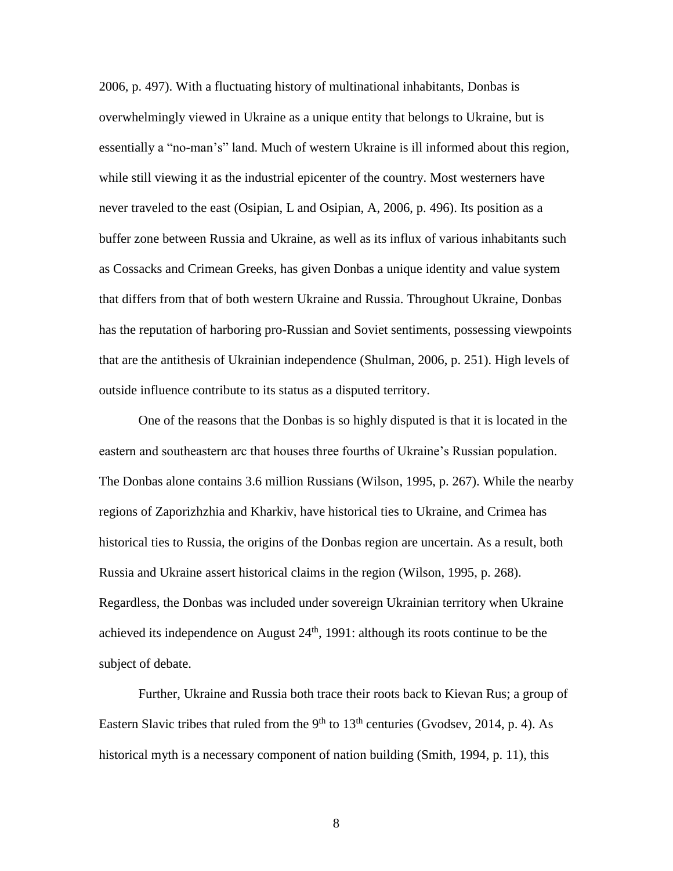2006, p. 497). With a fluctuating history of multinational inhabitants, Donbas is overwhelmingly viewed in Ukraine as a unique entity that belongs to Ukraine, but is essentially a "no-man's" land. Much of western Ukraine is ill informed about this region, while still viewing it as the industrial epicenter of the country. Most westerners have never traveled to the east (Osipian, L and Osipian, A, 2006, p. 496). Its position as a buffer zone between Russia and Ukraine, as well as its influx of various inhabitants such as Cossacks and Crimean Greeks, has given Donbas a unique identity and value system that differs from that of both western Ukraine and Russia. Throughout Ukraine, Donbas has the reputation of harboring pro-Russian and Soviet sentiments, possessing viewpoints that are the antithesis of Ukrainian independence (Shulman, 2006, p. 251). High levels of outside influence contribute to its status as a disputed territory.

One of the reasons that the Donbas is so highly disputed is that it is located in the eastern and southeastern arc that houses three fourths of Ukraine's Russian population. The Donbas alone contains 3.6 million Russians (Wilson, 1995, p. 267). While the nearby regions of Zaporizhzhia and Kharkiv, have historical ties to Ukraine, and Crimea has historical ties to Russia, the origins of the Donbas region are uncertain. As a result, both Russia and Ukraine assert historical claims in the region (Wilson, 1995, p. 268). Regardless, the Donbas was included under sovereign Ukrainian territory when Ukraine achieved its independence on August  $24<sup>th</sup>$ , 1991: although its roots continue to be the subject of debate.

Further, Ukraine and Russia both trace their roots back to Kievan Rus; a group of Eastern Slavic tribes that ruled from the  $9<sup>th</sup>$  to  $13<sup>th</sup>$  centuries (Gvodsev, 2014, p. 4). As historical myth is a necessary component of nation building (Smith, 1994, p. 11), this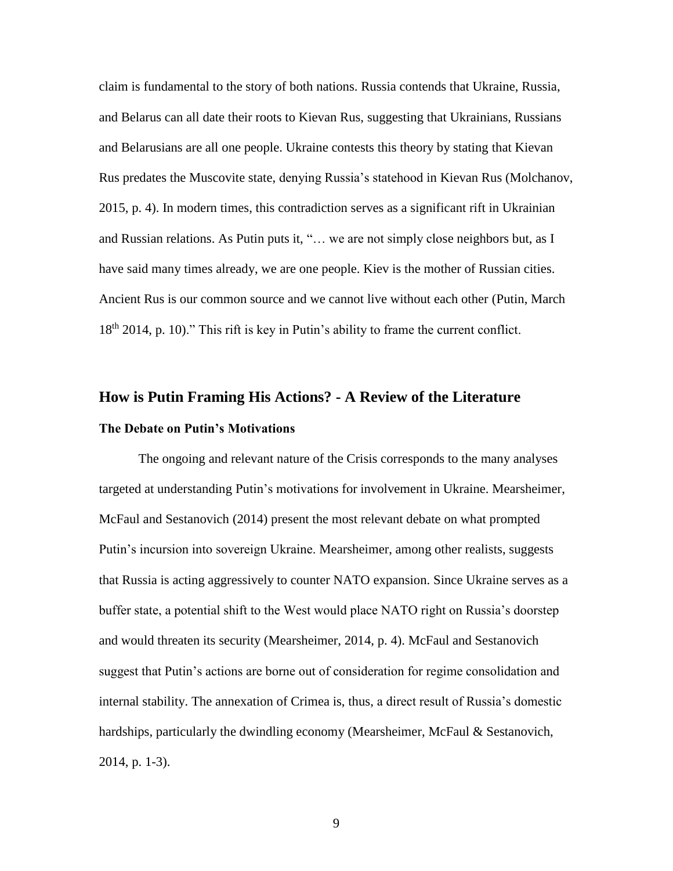claim is fundamental to the story of both nations. Russia contends that Ukraine, Russia, and Belarus can all date their roots to Kievan Rus, suggesting that Ukrainians, Russians and Belarusians are all one people. Ukraine contests this theory by stating that Kievan Rus predates the Muscovite state, denying Russia's statehood in Kievan Rus (Molchanov, 2015, p. 4). In modern times, this contradiction serves as a significant rift in Ukrainian and Russian relations. As Putin puts it, "… we are not simply close neighbors but, as I have said many times already, we are one people. Kiev is the mother of Russian cities. Ancient Rus is our common source and we cannot live without each other (Putin, March 18<sup>th</sup> 2014, p. 10)." This rift is key in Putin's ability to frame the current conflict.

### **How is Putin Framing His Actions? - A Review of the Literature The Debate on Putin's Motivations**

The ongoing and relevant nature of the Crisis corresponds to the many analyses targeted at understanding Putin's motivations for involvement in Ukraine. Mearsheimer, McFaul and Sestanovich (2014) present the most relevant debate on what prompted Putin's incursion into sovereign Ukraine. Mearsheimer, among other realists, suggests that Russia is acting aggressively to counter NATO expansion. Since Ukraine serves as a buffer state, a potential shift to the West would place NATO right on Russia's doorstep and would threaten its security (Mearsheimer, 2014, p. 4). McFaul and Sestanovich suggest that Putin's actions are borne out of consideration for regime consolidation and internal stability. The annexation of Crimea is, thus, a direct result of Russia's domestic hardships, particularly the dwindling economy (Mearsheimer, McFaul & Sestanovich, 2014, p. 1-3).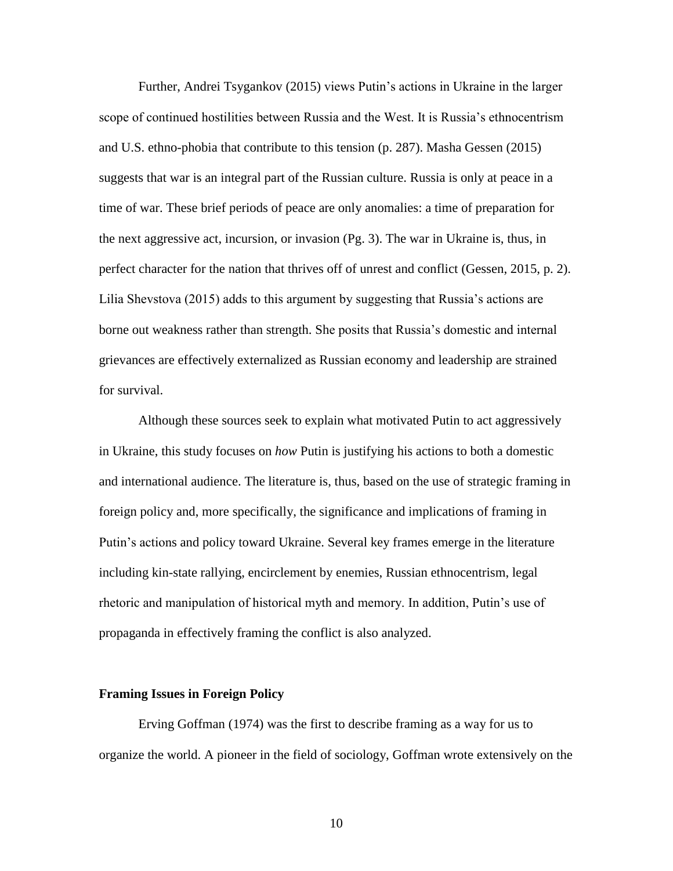Further, Andrei Tsygankov (2015) views Putin's actions in Ukraine in the larger scope of continued hostilities between Russia and the West. It is Russia's ethnocentrism and U.S. ethno-phobia that contribute to this tension (p. 287). Masha Gessen (2015) suggests that war is an integral part of the Russian culture. Russia is only at peace in a time of war. These brief periods of peace are only anomalies: a time of preparation for the next aggressive act, incursion, or invasion (Pg. 3). The war in Ukraine is, thus, in perfect character for the nation that thrives off of unrest and conflict (Gessen, 2015, p. 2). Lilia Shevstova (2015) adds to this argument by suggesting that Russia's actions are borne out weakness rather than strength. She posits that Russia's domestic and internal grievances are effectively externalized as Russian economy and leadership are strained for survival.

Although these sources seek to explain what motivated Putin to act aggressively in Ukraine, this study focuses on *how* Putin is justifying his actions to both a domestic and international audience. The literature is, thus, based on the use of strategic framing in foreign policy and, more specifically, the significance and implications of framing in Putin's actions and policy toward Ukraine. Several key frames emerge in the literature including kin-state rallying, encirclement by enemies, Russian ethnocentrism, legal rhetoric and manipulation of historical myth and memory. In addition, Putin's use of propaganda in effectively framing the conflict is also analyzed.

#### **Framing Issues in Foreign Policy**

Erving Goffman (1974) was the first to describe framing as a way for us to organize the world. A pioneer in the field of sociology, Goffman wrote extensively on the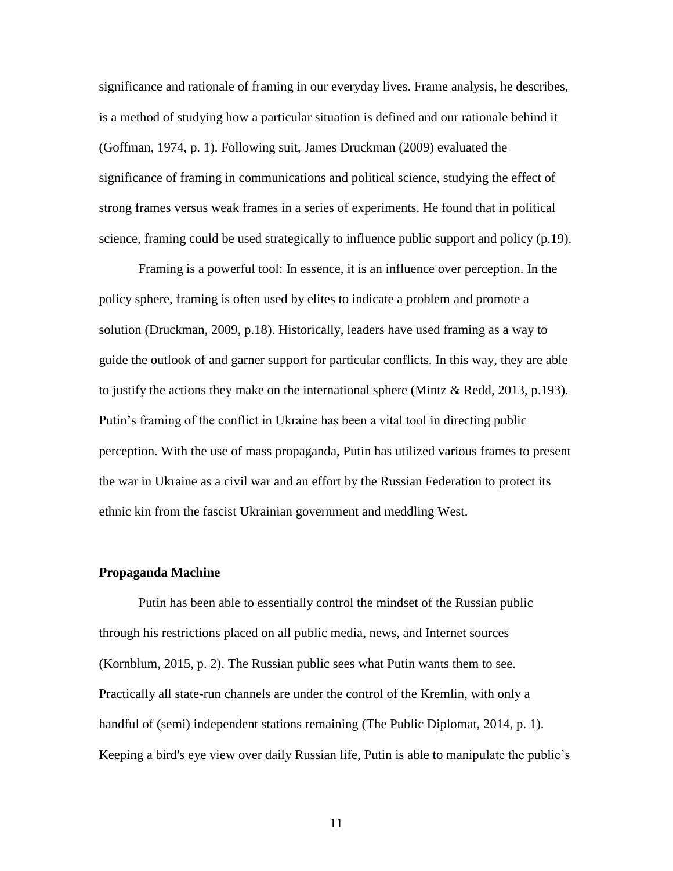significance and rationale of framing in our everyday lives. Frame analysis, he describes, is a method of studying how a particular situation is defined and our rationale behind it (Goffman, 1974, p. 1). Following suit, James Druckman (2009) evaluated the significance of framing in communications and political science, studying the effect of strong frames versus weak frames in a series of experiments. He found that in political science, framing could be used strategically to influence public support and policy (p.19).

Framing is a powerful tool: In essence, it is an influence over perception. In the policy sphere, framing is often used by elites to indicate a problem and promote a solution (Druckman, 2009, p.18). Historically, leaders have used framing as a way to guide the outlook of and garner support for particular conflicts. In this way, they are able to justify the actions they make on the international sphere (Mintz & Redd, 2013, p.193). Putin's framing of the conflict in Ukraine has been a vital tool in directing public perception. With the use of mass propaganda, Putin has utilized various frames to present the war in Ukraine as a civil war and an effort by the Russian Federation to protect its ethnic kin from the fascist Ukrainian government and meddling West.

#### **Propaganda Machine**

Putin has been able to essentially control the mindset of the Russian public through his restrictions placed on all public media, news, and Internet sources (Kornblum, 2015, p. 2). The Russian public sees what Putin wants them to see. Practically all state-run channels are under the control of the Kremlin, with only a handful of (semi) independent stations remaining (The Public Diplomat, 2014, p. 1). Keeping a bird's eye view over daily Russian life, Putin is able to manipulate the public's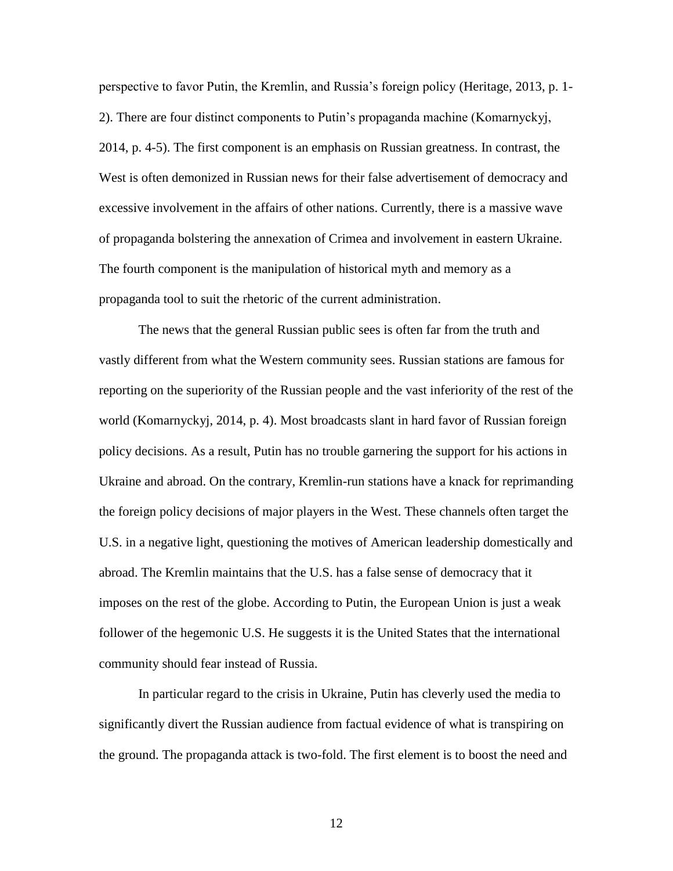perspective to favor Putin, the Kremlin, and Russia's foreign policy (Heritage, 2013, p. 1- 2). There are four distinct components to Putin's propaganda machine (Komarnyckyj, 2014, p. 4-5). The first component is an emphasis on Russian greatness. In contrast, the West is often demonized in Russian news for their false advertisement of democracy and excessive involvement in the affairs of other nations. Currently, there is a massive wave of propaganda bolstering the annexation of Crimea and involvement in eastern Ukraine. The fourth component is the manipulation of historical myth and memory as a propaganda tool to suit the rhetoric of the current administration.

The news that the general Russian public sees is often far from the truth and vastly different from what the Western community sees. Russian stations are famous for reporting on the superiority of the Russian people and the vast inferiority of the rest of the world (Komarnyckyj, 2014, p. 4). Most broadcasts slant in hard favor of Russian foreign policy decisions. As a result, Putin has no trouble garnering the support for his actions in Ukraine and abroad. On the contrary, Kremlin-run stations have a knack for reprimanding the foreign policy decisions of major players in the West. These channels often target the U.S. in a negative light, questioning the motives of American leadership domestically and abroad. The Kremlin maintains that the U.S. has a false sense of democracy that it imposes on the rest of the globe. According to Putin, the European Union is just a weak follower of the hegemonic U.S. He suggests it is the United States that the international community should fear instead of Russia.

In particular regard to the crisis in Ukraine, Putin has cleverly used the media to significantly divert the Russian audience from factual evidence of what is transpiring on the ground. The propaganda attack is two-fold. The first element is to boost the need and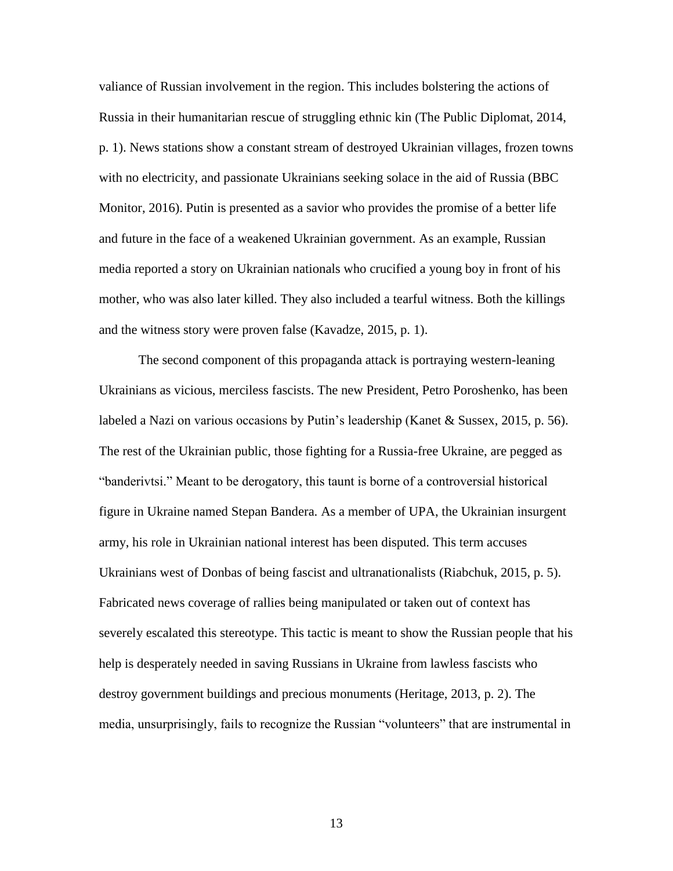valiance of Russian involvement in the region. This includes bolstering the actions of Russia in their humanitarian rescue of struggling ethnic kin (The Public Diplomat, 2014, p. 1). News stations show a constant stream of destroyed Ukrainian villages, frozen towns with no electricity, and passionate Ukrainians seeking solace in the aid of Russia (BBC Monitor, 2016). Putin is presented as a savior who provides the promise of a better life and future in the face of a weakened Ukrainian government. As an example, Russian media reported a story on Ukrainian nationals who crucified a young boy in front of his mother, who was also later killed. They also included a tearful witness. Both the killings and the witness story were proven false (Kavadze, 2015, p. 1).

The second component of this propaganda attack is portraying western-leaning Ukrainians as vicious, merciless fascists. The new President, Petro Poroshenko, has been labeled a Nazi on various occasions by Putin's leadership (Kanet & Sussex, 2015, p. 56). The rest of the Ukrainian public, those fighting for a Russia-free Ukraine, are pegged as "banderivtsi." Meant to be derogatory, this taunt is borne of a controversial historical figure in Ukraine named Stepan Bandera. As a member of UPA, the Ukrainian insurgent army, his role in Ukrainian national interest has been disputed. This term accuses Ukrainians west of Donbas of being fascist and ultranationalists (Riabchuk, 2015, p. 5). Fabricated news coverage of rallies being manipulated or taken out of context has severely escalated this stereotype. This tactic is meant to show the Russian people that his help is desperately needed in saving Russians in Ukraine from lawless fascists who destroy government buildings and precious monuments (Heritage, 2013, p. 2). The media, unsurprisingly, fails to recognize the Russian "volunteers" that are instrumental in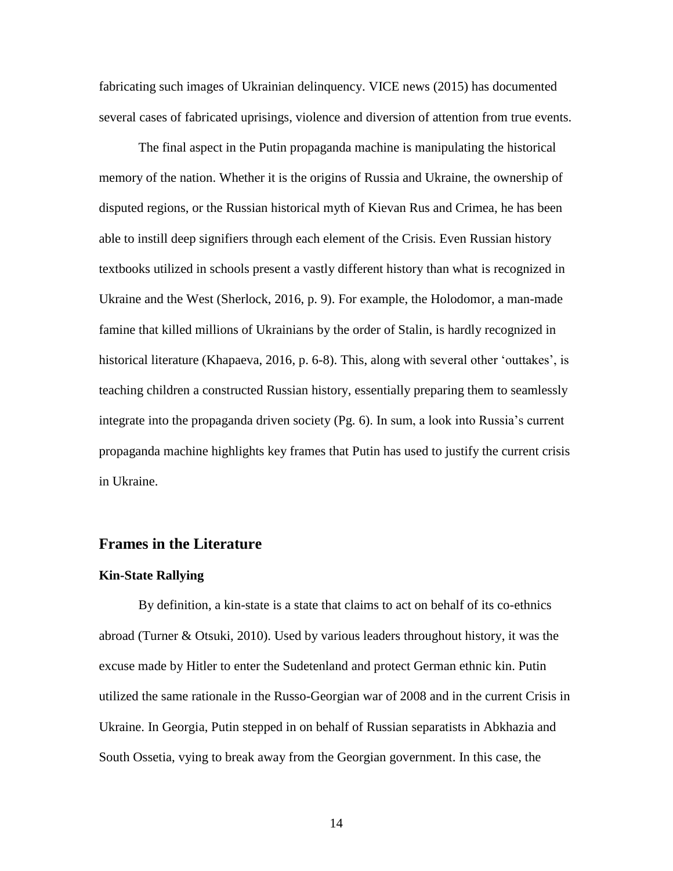fabricating such images of Ukrainian delinquency. VICE news (2015) has documented several cases of fabricated uprisings, violence and diversion of attention from true events.

The final aspect in the Putin propaganda machine is manipulating the historical memory of the nation. Whether it is the origins of Russia and Ukraine, the ownership of disputed regions, or the Russian historical myth of Kievan Rus and Crimea, he has been able to instill deep signifiers through each element of the Crisis. Even Russian history textbooks utilized in schools present a vastly different history than what is recognized in Ukraine and the West (Sherlock, 2016, p. 9). For example, the Holodomor, a man-made famine that killed millions of Ukrainians by the order of Stalin, is hardly recognized in historical literature (Khapaeva, 2016, p. 6-8). This, along with several other 'outtakes', is teaching children a constructed Russian history, essentially preparing them to seamlessly integrate into the propaganda driven society (Pg. 6). In sum, a look into Russia's current propaganda machine highlights key frames that Putin has used to justify the current crisis in Ukraine.

#### **Frames in the Literature**

#### **Kin-State Rallying**

By definition, a kin-state is a state that claims to act on behalf of its co-ethnics abroad (Turner & Otsuki, 2010). Used by various leaders throughout history, it was the excuse made by Hitler to enter the Sudetenland and protect German ethnic kin. Putin utilized the same rationale in the Russo-Georgian war of 2008 and in the current Crisis in Ukraine. In Georgia, Putin stepped in on behalf of Russian separatists in Abkhazia and South Ossetia, vying to break away from the Georgian government. In this case, the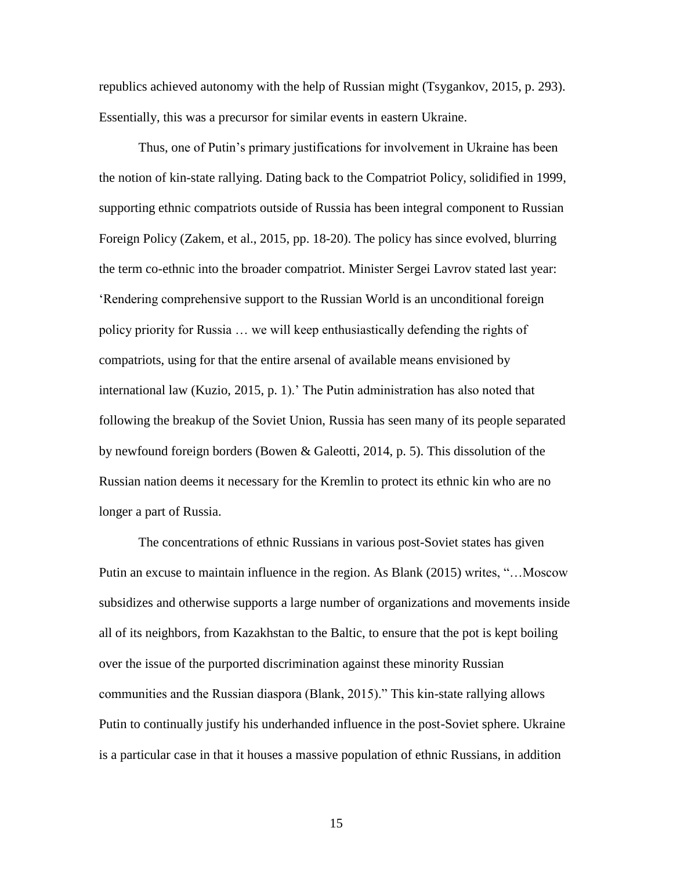republics achieved autonomy with the help of Russian might (Tsygankov, 2015, p. 293). Essentially, this was a precursor for similar events in eastern Ukraine.

Thus, one of Putin's primary justifications for involvement in Ukraine has been the notion of kin-state rallying. Dating back to the Compatriot Policy, solidified in 1999, supporting ethnic compatriots outside of Russia has been integral component to Russian Foreign Policy (Zakem, et al., 2015, pp. 18-20). The policy has since evolved, blurring the term co-ethnic into the broader compatriot. Minister Sergei Lavrov stated last year: 'Rendering comprehensive support to the Russian World is an unconditional foreign policy priority for Russia … we will keep enthusiastically defending the rights of compatriots, using for that the entire arsenal of available means envisioned by international law (Kuzio, 2015, p. 1).' The Putin administration has also noted that following the breakup of the Soviet Union, Russia has seen many of its people separated by newfound foreign borders (Bowen & Galeotti, 2014, p. 5). This dissolution of the Russian nation deems it necessary for the Kremlin to protect its ethnic kin who are no longer a part of Russia.

The concentrations of ethnic Russians in various post-Soviet states has given Putin an excuse to maintain influence in the region. As Blank (2015) writes, "…Moscow subsidizes and otherwise supports a large number of organizations and movements inside all of its neighbors, from Kazakhstan to the Baltic, to ensure that the pot is kept boiling over the issue of the purported discrimination against these minority Russian communities and the Russian diaspora (Blank, 2015)." This kin-state rallying allows Putin to continually justify his underhanded influence in the post-Soviet sphere. Ukraine is a particular case in that it houses a massive population of ethnic Russians, in addition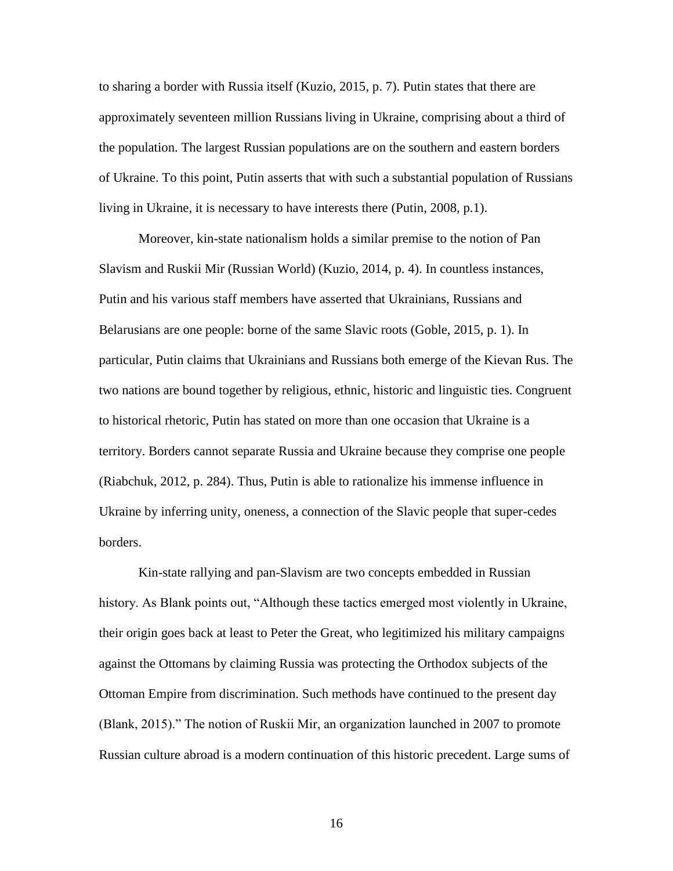to sharing a border with Russia itself (Kuzio, 2015, p. 7). Putin states that there are approximately seventeen million Russians living in Ukraine, comprising about a third of the population. The largest Russian populations are on the southern and eastern borders of Ukraine. To this point, Putin asserts that with such a substantial population of Russians living in Ukraine, it is necessary to have interests there (Putin, 2008, p.1).

Moreover, kin-state nationalism holds a similar premise to the notion of Pan Slavism and Ruskii Mir (Russian World) (Kuzio, 2014, p. 4). In countless instances, Putin and his various staff members have asserted that Ukrainians, Russians and Belarusians are one people: borne of the same Slavic roots (Goble, 2015, p. 1). In particular, Putin claims that Ukrainians and Russians both emerge of the Kievan Rus. The two nations are bound together by religious, ethnic, historic and linguistic ties. Congruent to historical rhetoric, Putin has stated on more than one occasion that Ukraine is a territory. Borders cannot separate Russia and Ukraine because they comprise one people (Riabchuk, 2012, p. 284). Thus, Putin is able to rationalize his immense influence in Ukraine by inferring unity, oneness, a connection of the Slavic people that super-cedes borders.

Kin-state rallying and pan-Slavism are two concepts embedded in Russian history. As Blank points out, "Although these tactics emerged most violently in Ukraine, their origin goes back at least to Peter the Great, who legitimized his military campaigns against the Ottomans by claiming Russia was protecting the Orthodox subjects of the Ottoman Empire from discrimination. Such methods have continued to the present day (Blank, 2015)." The notion of Ruskii Mir, an organization launched in 2007 to promote Russian culture abroad is a modern continuation of this historic precedent. Large sums of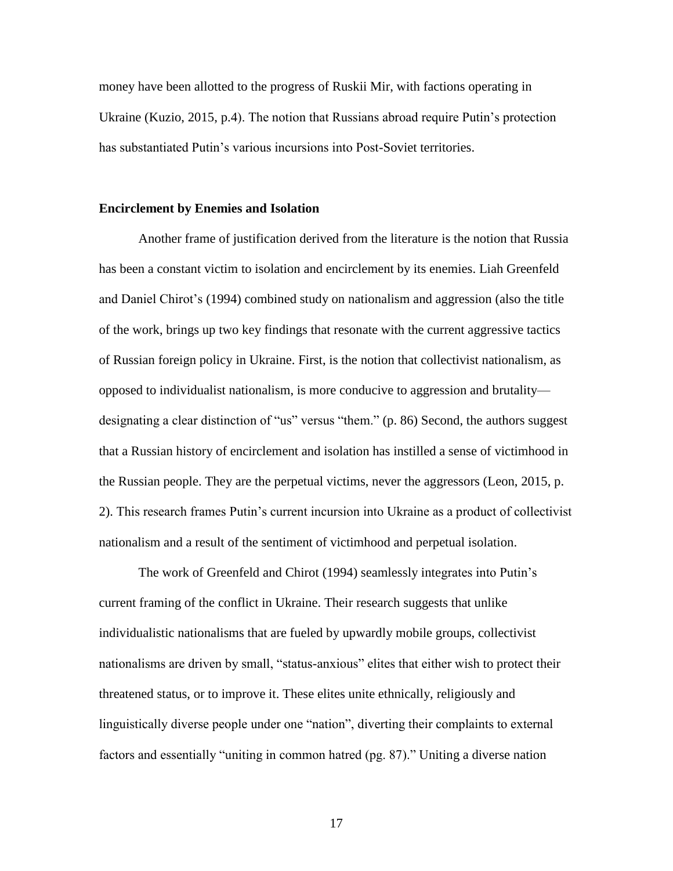money have been allotted to the progress of Ruskii Mir, with factions operating in Ukraine (Kuzio, 2015, p.4). The notion that Russians abroad require Putin's protection has substantiated Putin's various incursions into Post-Soviet territories.

#### **Encirclement by Enemies and Isolation**

Another frame of justification derived from the literature is the notion that Russia has been a constant victim to isolation and encirclement by its enemies. Liah Greenfeld and Daniel Chirot's (1994) combined study on nationalism and aggression (also the title of the work, brings up two key findings that resonate with the current aggressive tactics of Russian foreign policy in Ukraine. First, is the notion that collectivist nationalism, as opposed to individualist nationalism, is more conducive to aggression and brutality designating a clear distinction of "us" versus "them." (p. 86) Second, the authors suggest that a Russian history of encirclement and isolation has instilled a sense of victimhood in the Russian people. They are the perpetual victims, never the aggressors (Leon, 2015, p. 2). This research frames Putin's current incursion into Ukraine as a product of collectivist nationalism and a result of the sentiment of victimhood and perpetual isolation.

The work of Greenfeld and Chirot (1994) seamlessly integrates into Putin's current framing of the conflict in Ukraine. Their research suggests that unlike individualistic nationalisms that are fueled by upwardly mobile groups, collectivist nationalisms are driven by small, "status-anxious" elites that either wish to protect their threatened status, or to improve it. These elites unite ethnically, religiously and linguistically diverse people under one "nation", diverting their complaints to external factors and essentially "uniting in common hatred (pg. 87)." Uniting a diverse nation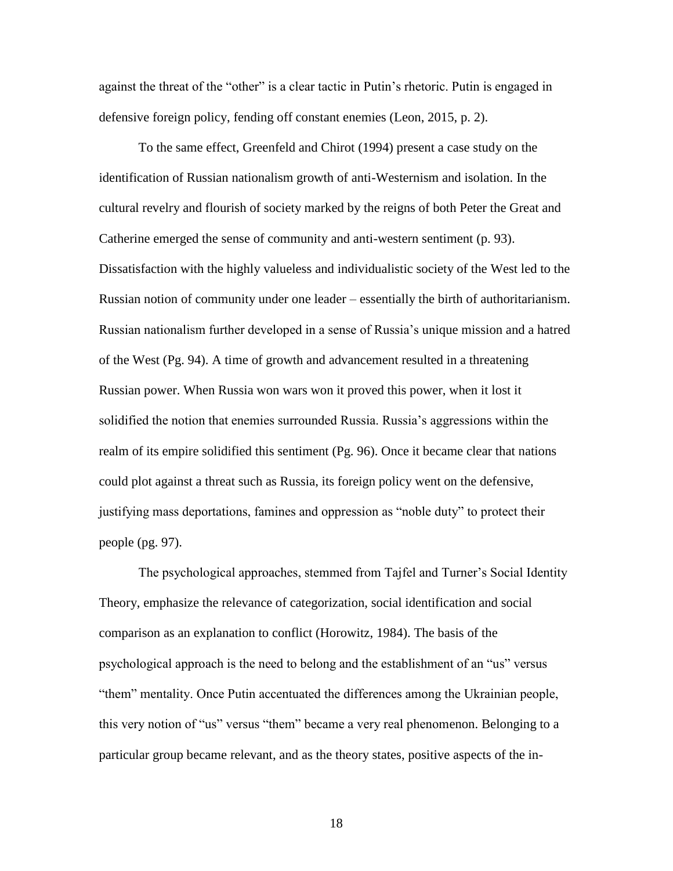against the threat of the "other" is a clear tactic in Putin's rhetoric. Putin is engaged in defensive foreign policy, fending off constant enemies (Leon, 2015, p. 2).

To the same effect, Greenfeld and Chirot (1994) present a case study on the identification of Russian nationalism growth of anti-Westernism and isolation. In the cultural revelry and flourish of society marked by the reigns of both Peter the Great and Catherine emerged the sense of community and anti-western sentiment (p. 93). Dissatisfaction with the highly valueless and individualistic society of the West led to the Russian notion of community under one leader – essentially the birth of authoritarianism. Russian nationalism further developed in a sense of Russia's unique mission and a hatred of the West (Pg. 94). A time of growth and advancement resulted in a threatening Russian power. When Russia won wars won it proved this power, when it lost it solidified the notion that enemies surrounded Russia. Russia's aggressions within the realm of its empire solidified this sentiment (Pg. 96). Once it became clear that nations could plot against a threat such as Russia, its foreign policy went on the defensive, justifying mass deportations, famines and oppression as "noble duty" to protect their people (pg. 97).

The psychological approaches, stemmed from Tajfel and Turner's Social Identity Theory, emphasize the relevance of categorization, social identification and social comparison as an explanation to conflict (Horowitz, 1984). The basis of the psychological approach is the need to belong and the establishment of an "us" versus "them" mentality. Once Putin accentuated the differences among the Ukrainian people, this very notion of "us" versus "them" became a very real phenomenon. Belonging to a particular group became relevant, and as the theory states, positive aspects of the in-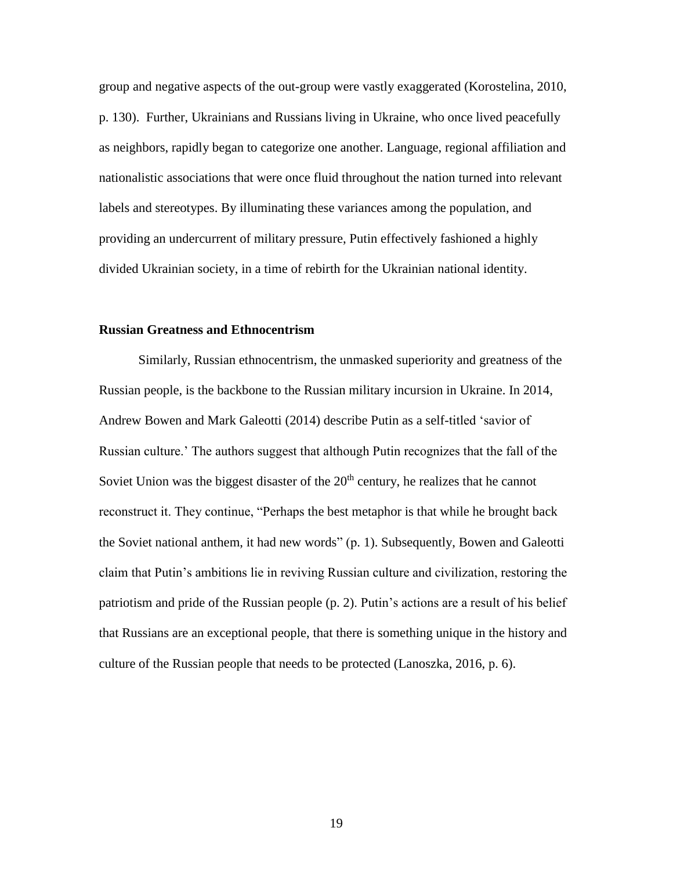group and negative aspects of the out-group were vastly exaggerated (Korostelina, 2010, p. 130). Further, Ukrainians and Russians living in Ukraine, who once lived peacefully as neighbors, rapidly began to categorize one another. Language, regional affiliation and nationalistic associations that were once fluid throughout the nation turned into relevant labels and stereotypes. By illuminating these variances among the population, and providing an undercurrent of military pressure, Putin effectively fashioned a highly divided Ukrainian society, in a time of rebirth for the Ukrainian national identity.

#### **Russian Greatness and Ethnocentrism**

Similarly, Russian ethnocentrism, the unmasked superiority and greatness of the Russian people, is the backbone to the Russian military incursion in Ukraine. In 2014, Andrew Bowen and Mark Galeotti (2014) describe Putin as a self-titled 'savior of Russian culture.' The authors suggest that although Putin recognizes that the fall of the Soviet Union was the biggest disaster of the  $20<sup>th</sup>$  century, he realizes that he cannot reconstruct it. They continue, "Perhaps the best metaphor is that while he brought back the Soviet national anthem, it had new words" (p. 1). Subsequently, Bowen and Galeotti claim that Putin's ambitions lie in reviving Russian culture and civilization, restoring the patriotism and pride of the Russian people (p. 2). Putin's actions are a result of his belief that Russians are an exceptional people, that there is something unique in the history and culture of the Russian people that needs to be protected (Lanoszka, 2016, p. 6).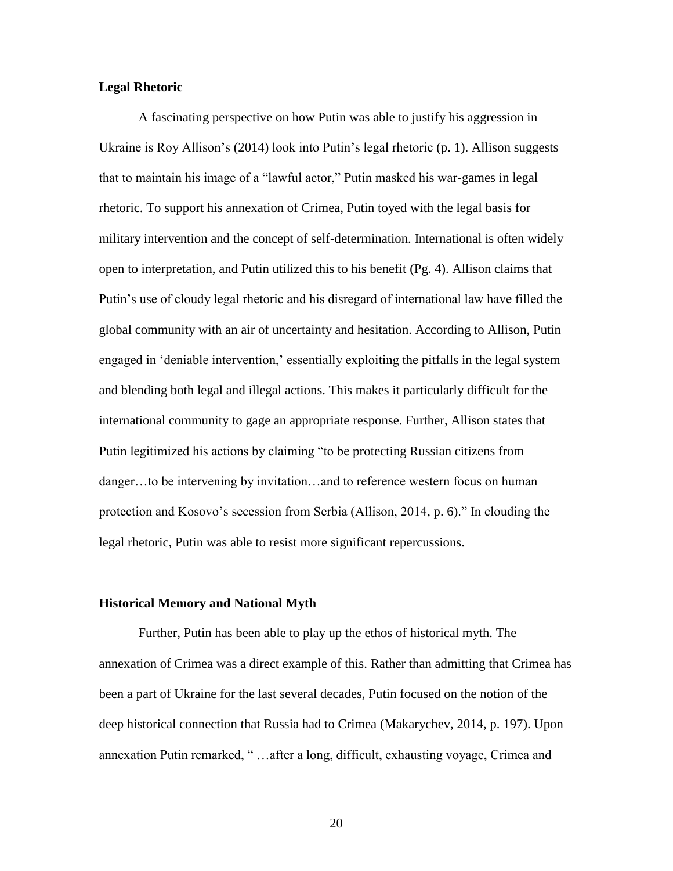#### **Legal Rhetoric**

A fascinating perspective on how Putin was able to justify his aggression in Ukraine is Roy Allison's (2014) look into Putin's legal rhetoric (p. 1). Allison suggests that to maintain his image of a "lawful actor," Putin masked his war-games in legal rhetoric. To support his annexation of Crimea, Putin toyed with the legal basis for military intervention and the concept of self-determination. International is often widely open to interpretation, and Putin utilized this to his benefit (Pg. 4). Allison claims that Putin's use of cloudy legal rhetoric and his disregard of international law have filled the global community with an air of uncertainty and hesitation. According to Allison, Putin engaged in 'deniable intervention,' essentially exploiting the pitfalls in the legal system and blending both legal and illegal actions. This makes it particularly difficult for the international community to gage an appropriate response. Further, Allison states that Putin legitimized his actions by claiming "to be protecting Russian citizens from danger…to be intervening by invitation…and to reference western focus on human protection and Kosovo's secession from Serbia (Allison, 2014, p. 6)." In clouding the legal rhetoric, Putin was able to resist more significant repercussions.

#### **Historical Memory and National Myth**

Further, Putin has been able to play up the ethos of historical myth. The annexation of Crimea was a direct example of this. Rather than admitting that Crimea has been a part of Ukraine for the last several decades, Putin focused on the notion of the deep historical connection that Russia had to Crimea (Makarychev, 2014, p. 197). Upon annexation Putin remarked, " …after a long, difficult, exhausting voyage, Crimea and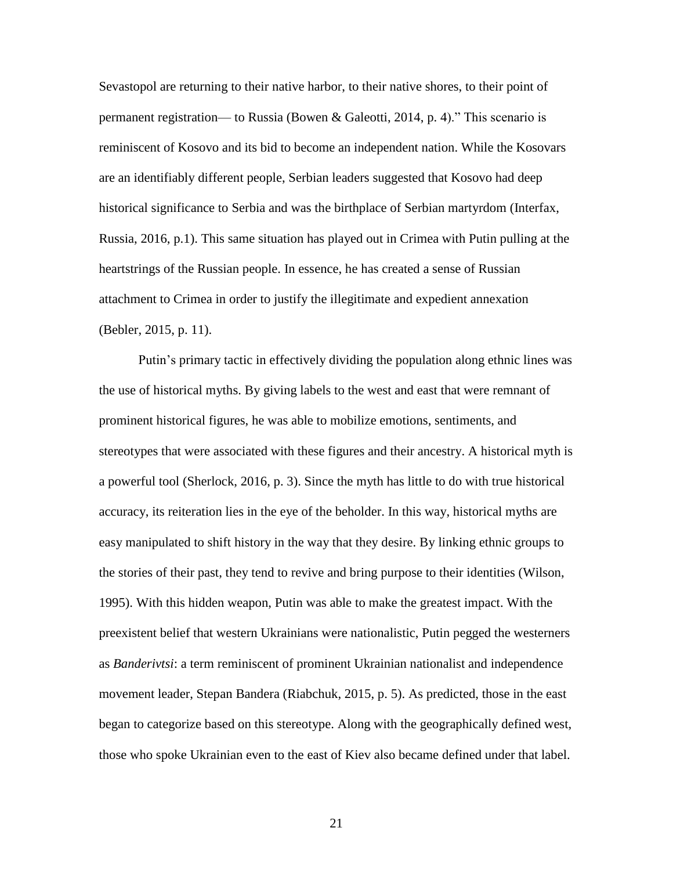Sevastopol are returning to their native harbor, to their native shores, to their point of permanent registration— to Russia (Bowen & Galeotti, 2014, p. 4)." This scenario is reminiscent of Kosovo and its bid to become an independent nation. While the Kosovars are an identifiably different people, Serbian leaders suggested that Kosovo had deep historical significance to Serbia and was the birthplace of Serbian martyrdom (Interfax, Russia, 2016, p.1). This same situation has played out in Crimea with Putin pulling at the heartstrings of the Russian people. In essence, he has created a sense of Russian attachment to Crimea in order to justify the illegitimate and expedient annexation (Bebler, 2015, p. 11).

Putin's primary tactic in effectively dividing the population along ethnic lines was the use of historical myths. By giving labels to the west and east that were remnant of prominent historical figures, he was able to mobilize emotions, sentiments, and stereotypes that were associated with these figures and their ancestry. A historical myth is a powerful tool (Sherlock, 2016, p. 3). Since the myth has little to do with true historical accuracy, its reiteration lies in the eye of the beholder. In this way, historical myths are easy manipulated to shift history in the way that they desire. By linking ethnic groups to the stories of their past, they tend to revive and bring purpose to their identities (Wilson, 1995). With this hidden weapon, Putin was able to make the greatest impact. With the preexistent belief that western Ukrainians were nationalistic, Putin pegged the westerners as *Banderivtsi*: a term reminiscent of prominent Ukrainian nationalist and independence movement leader, Stepan Bandera (Riabchuk, 2015, p. 5). As predicted, those in the east began to categorize based on this stereotype. Along with the geographically defined west, those who spoke Ukrainian even to the east of Kiev also became defined under that label.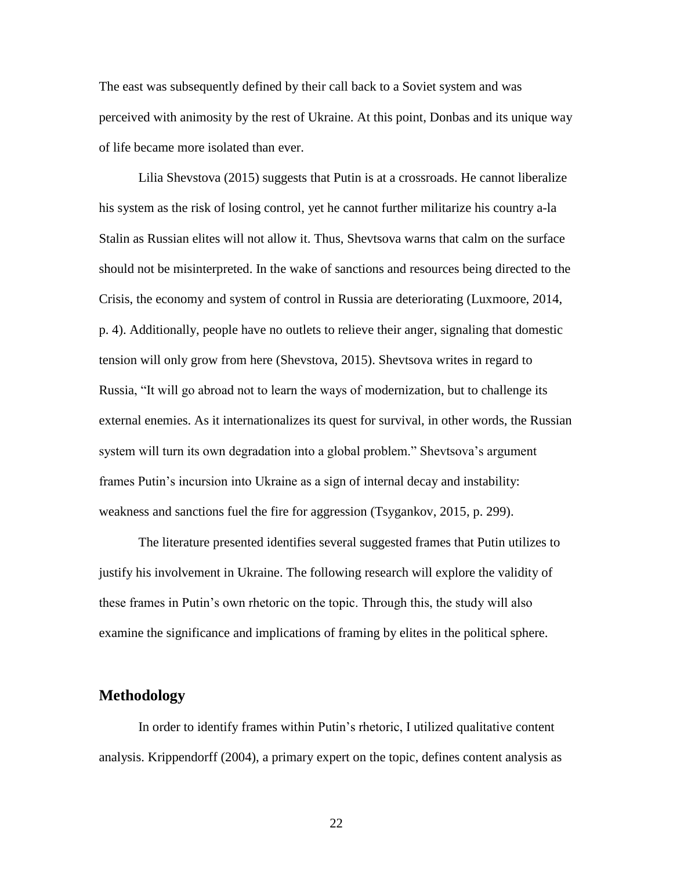The east was subsequently defined by their call back to a Soviet system and was perceived with animosity by the rest of Ukraine. At this point, Donbas and its unique way of life became more isolated than ever.

Lilia Shevstova (2015) suggests that Putin is at a crossroads. He cannot liberalize his system as the risk of losing control, yet he cannot further militarize his country a-la Stalin as Russian elites will not allow it. Thus, Shevtsova warns that calm on the surface should not be misinterpreted. In the wake of sanctions and resources being directed to the Crisis, the economy and system of control in Russia are deteriorating (Luxmoore, 2014, p. 4). Additionally, people have no outlets to relieve their anger, signaling that domestic tension will only grow from here (Shevstova, 2015). Shevtsova writes in regard to Russia, "It will go abroad not to learn the ways of modernization, but to challenge its external enemies. As it internationalizes its quest for survival, in other words, the Russian system will turn its own degradation into a global problem." Shevtsova's argument frames Putin's incursion into Ukraine as a sign of internal decay and instability: weakness and sanctions fuel the fire for aggression (Tsygankov, 2015, p. 299).

The literature presented identifies several suggested frames that Putin utilizes to justify his involvement in Ukraine. The following research will explore the validity of these frames in Putin's own rhetoric on the topic. Through this, the study will also examine the significance and implications of framing by elites in the political sphere.

#### **Methodology**

In order to identify frames within Putin's rhetoric, I utilized qualitative content analysis. Krippendorff (2004), a primary expert on the topic, defines content analysis as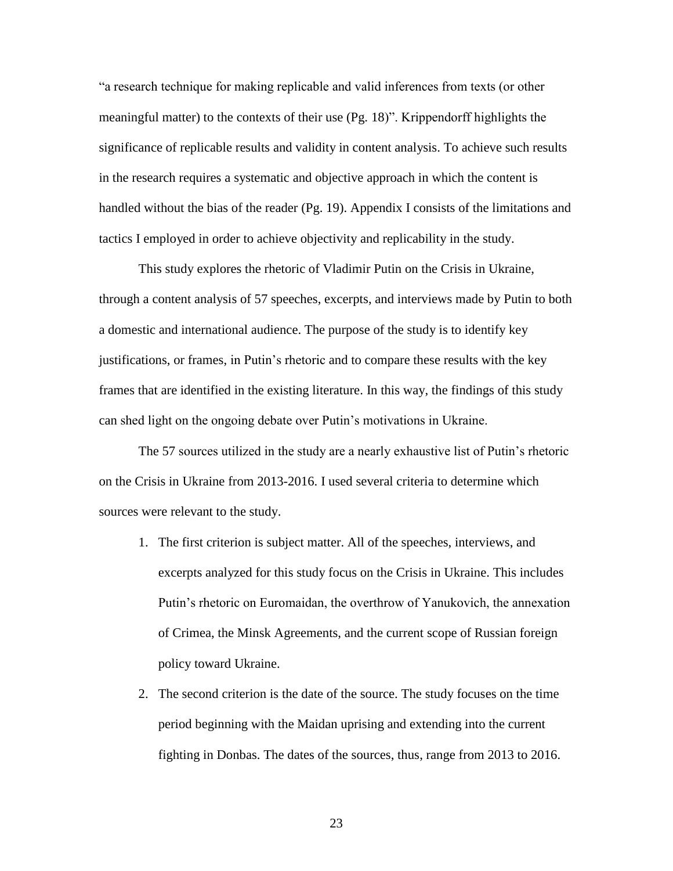"a research technique for making replicable and valid inferences from texts (or other meaningful matter) to the contexts of their use (Pg. 18)". Krippendorff highlights the significance of replicable results and validity in content analysis. To achieve such results in the research requires a systematic and objective approach in which the content is handled without the bias of the reader (Pg. 19). Appendix I consists of the limitations and tactics I employed in order to achieve objectivity and replicability in the study.

This study explores the rhetoric of Vladimir Putin on the Crisis in Ukraine, through a content analysis of 57 speeches, excerpts, and interviews made by Putin to both a domestic and international audience. The purpose of the study is to identify key justifications, or frames, in Putin's rhetoric and to compare these results with the key frames that are identified in the existing literature. In this way, the findings of this study can shed light on the ongoing debate over Putin's motivations in Ukraine.

The 57 sources utilized in the study are a nearly exhaustive list of Putin's rhetoric on the Crisis in Ukraine from 2013-2016. I used several criteria to determine which sources were relevant to the study.

- 1. The first criterion is subject matter. All of the speeches, interviews, and excerpts analyzed for this study focus on the Crisis in Ukraine. This includes Putin's rhetoric on Euromaidan, the overthrow of Yanukovich, the annexation of Crimea, the Minsk Agreements, and the current scope of Russian foreign policy toward Ukraine.
- 2. The second criterion is the date of the source. The study focuses on the time period beginning with the Maidan uprising and extending into the current fighting in Donbas. The dates of the sources, thus, range from 2013 to 2016.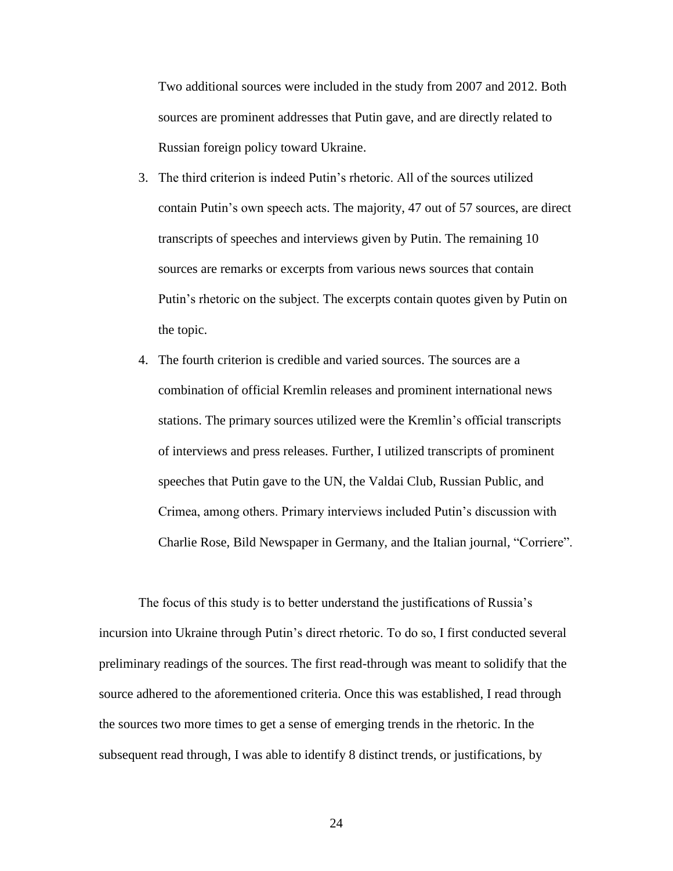Two additional sources were included in the study from 2007 and 2012. Both sources are prominent addresses that Putin gave, and are directly related to Russian foreign policy toward Ukraine.

- 3. The third criterion is indeed Putin's rhetoric. All of the sources utilized contain Putin's own speech acts. The majority, 47 out of 57 sources, are direct transcripts of speeches and interviews given by Putin. The remaining 10 sources are remarks or excerpts from various news sources that contain Putin's rhetoric on the subject. The excerpts contain quotes given by Putin on the topic.
- 4. The fourth criterion is credible and varied sources. The sources are a combination of official Kremlin releases and prominent international news stations. The primary sources utilized were the Kremlin's official transcripts of interviews and press releases. Further, I utilized transcripts of prominent speeches that Putin gave to the UN, the Valdai Club, Russian Public, and Crimea, among others. Primary interviews included Putin's discussion with Charlie Rose, Bild Newspaper in Germany, and the Italian journal, "Corriere".

The focus of this study is to better understand the justifications of Russia's incursion into Ukraine through Putin's direct rhetoric. To do so, I first conducted several preliminary readings of the sources. The first read-through was meant to solidify that the source adhered to the aforementioned criteria. Once this was established, I read through the sources two more times to get a sense of emerging trends in the rhetoric. In the subsequent read through, I was able to identify 8 distinct trends, or justifications, by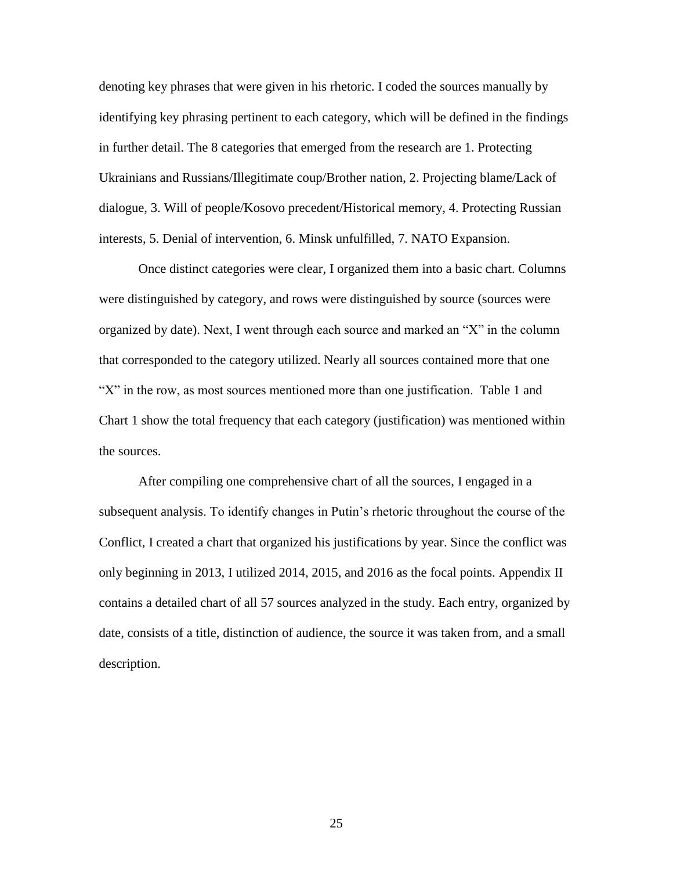denoting key phrases that were given in his rhetoric. I coded the sources manually by identifying key phrasing pertinent to each category, which will be defined in the findings in further detail. The 8 categories that emerged from the research are 1. Protecting Ukrainians and Russians/Illegitimate coup/Brother nation, 2. Projecting blame/Lack of dialogue, 3. Will of people/Kosovo precedent/Historical memory, 4. Protecting Russian interests, 5. Denial of intervention, 6. Minsk unfulfilled, 7. NATO Expansion.

Once distinct categories were clear, I organized them into a basic chart. Columns were distinguished by category, and rows were distinguished by source (sources were organized by date). Next, I went through each source and marked an "X" in the column that corresponded to the category utilized. Nearly all sources contained more that one "X" in the row, as most sources mentioned more than one justification. Table 1 and Chart 1 show the total frequency that each category (justification) was mentioned within the sources.

After compiling one comprehensive chart of all the sources, I engaged in a subsequent analysis. To identify changes in Putin's rhetoric throughout the course of the Conflict, I created a chart that organized his justifications by year. Since the conflict was only beginning in 2013, I utilized 2014, 2015, and 2016 as the focal points. Appendix II contains a detailed chart of all 57 sources analyzed in the study. Each entry, organized by date, consists of a title, distinction of audience, the source it was taken from, and a small description.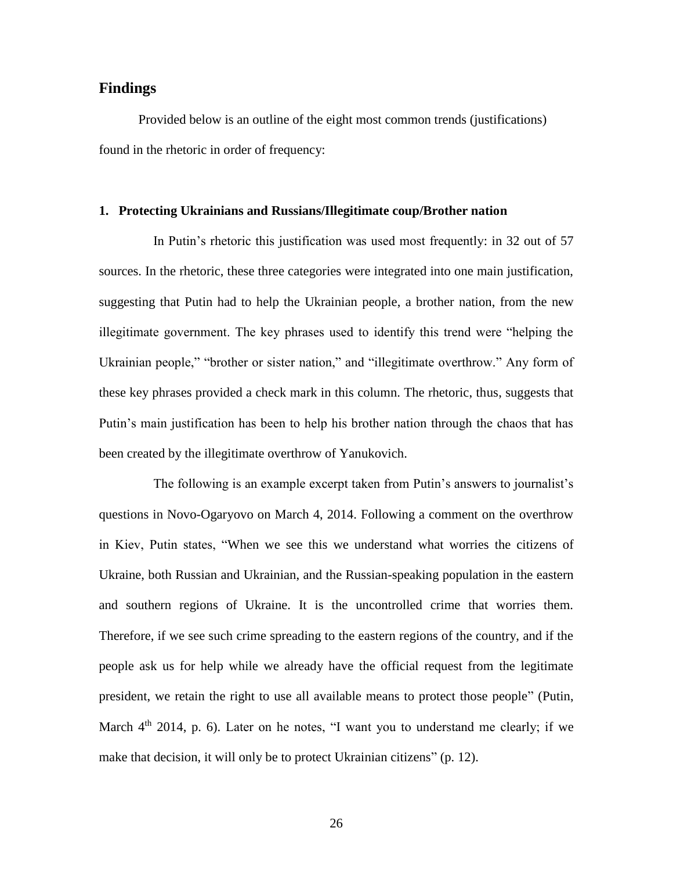#### **Findings**

Provided below is an outline of the eight most common trends (justifications) found in the rhetoric in order of frequency:

#### **1. Protecting Ukrainians and Russians/Illegitimate coup/Brother nation**

In Putin's rhetoric this justification was used most frequently: in 32 out of 57 sources. In the rhetoric, these three categories were integrated into one main justification, suggesting that Putin had to help the Ukrainian people, a brother nation, from the new illegitimate government. The key phrases used to identify this trend were "helping the Ukrainian people," "brother or sister nation," and "illegitimate overthrow." Any form of these key phrases provided a check mark in this column. The rhetoric, thus, suggests that Putin's main justification has been to help his brother nation through the chaos that has been created by the illegitimate overthrow of Yanukovich.

The following is an example excerpt taken from Putin's answers to journalist's questions in Novo-Ogaryovo on March 4, 2014. Following a comment on the overthrow in Kiev, Putin states, "When we see this we understand what worries the citizens of Ukraine, both Russian and Ukrainian, and the Russian-speaking population in the eastern and southern regions of Ukraine. It is the uncontrolled crime that worries them. Therefore, if we see such crime spreading to the eastern regions of the country, and if the people ask us for help while we already have the official request from the legitimate president, we retain the right to use all available means to protect those people" (Putin, March  $4<sup>th</sup>$  2014, p. 6). Later on he notes, "I want you to understand me clearly; if we make that decision, it will only be to protect Ukrainian citizens" (p. 12).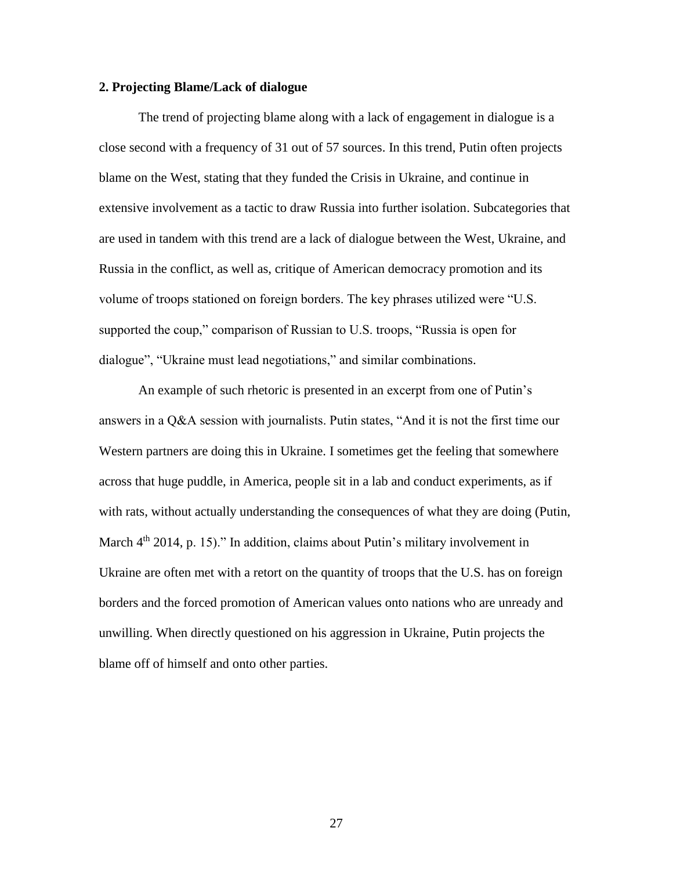#### **2. Projecting Blame/Lack of dialogue**

The trend of projecting blame along with a lack of engagement in dialogue is a close second with a frequency of 31 out of 57 sources. In this trend, Putin often projects blame on the West, stating that they funded the Crisis in Ukraine, and continue in extensive involvement as a tactic to draw Russia into further isolation. Subcategories that are used in tandem with this trend are a lack of dialogue between the West, Ukraine, and Russia in the conflict, as well as, critique of American democracy promotion and its volume of troops stationed on foreign borders. The key phrases utilized were "U.S. supported the coup," comparison of Russian to U.S. troops, "Russia is open for dialogue", "Ukraine must lead negotiations," and similar combinations.

An example of such rhetoric is presented in an excerpt from one of Putin's answers in a Q&A session with journalists. Putin states, "And it is not the first time our Western partners are doing this in Ukraine. I sometimes get the feeling that somewhere across that huge puddle, in America, people sit in a lab and conduct experiments, as if with rats, without actually understanding the consequences of what they are doing (Putin, March  $4<sup>th</sup>$  2014, p. 15)." In addition, claims about Putin's military involvement in Ukraine are often met with a retort on the quantity of troops that the U.S. has on foreign borders and the forced promotion of American values onto nations who are unready and unwilling. When directly questioned on his aggression in Ukraine, Putin projects the blame off of himself and onto other parties.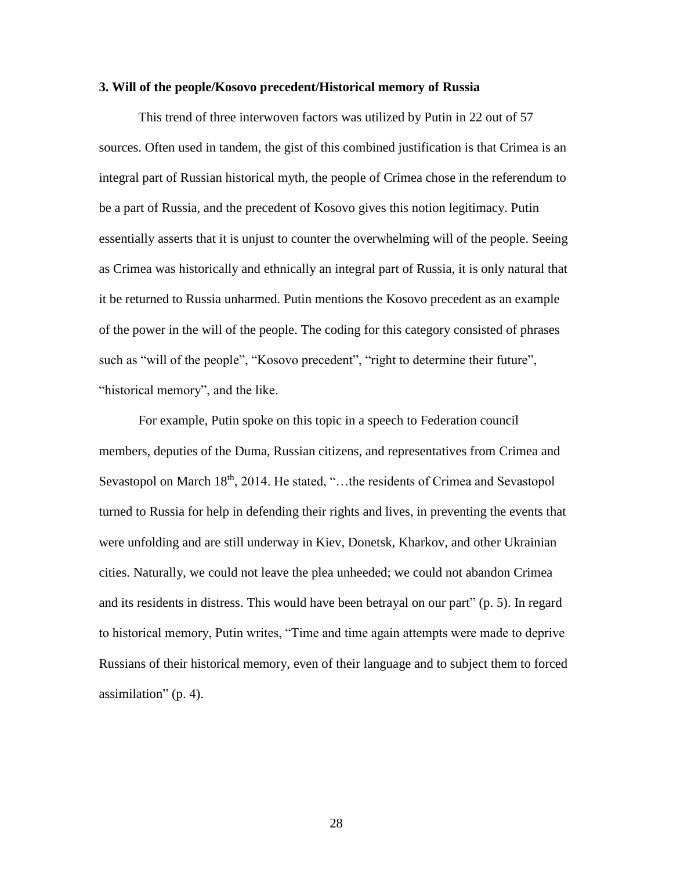#### **3. Will of the people/Kosovo precedent/Historical memory of Russia**

This trend of three interwoven factors was utilized by Putin in 22 out of 57 sources. Often used in tandem, the gist of this combined justification is that Crimea is an integral part of Russian historical myth, the people of Crimea chose in the referendum to be a part of Russia, and the precedent of Kosovo gives this notion legitimacy. Putin essentially asserts that it is unjust to counter the overwhelming will of the people. Seeing as Crimea was historically and ethnically an integral part of Russia, it is only natural that it be returned to Russia unharmed. Putin mentions the Kosovo precedent as an example of the power in the will of the people. The coding for this category consisted of phrases such as "will of the people", "Kosovo precedent", "right to determine their future", "historical memory", and the like.

For example, Putin spoke on this topic in a speech to Federation council members, deputies of the Duma, Russian citizens, and representatives from Crimea and Sevastopol on March 18<sup>th</sup>, 2014. He stated, "...the residents of Crimea and Sevastopol turned to Russia for help in defending their rights and lives, in preventing the events that were unfolding and are still underway in Kiev, Donetsk, Kharkov, and other Ukrainian cities. Naturally, we could not leave the plea unheeded; we could not abandon Crimea and its residents in distress. This would have been betrayal on our part" (p. 5). In regard to historical memory, Putin writes, "Time and time again attempts were made to deprive Russians of their historical memory, even of their language and to subject them to forced assimilation" (p. 4).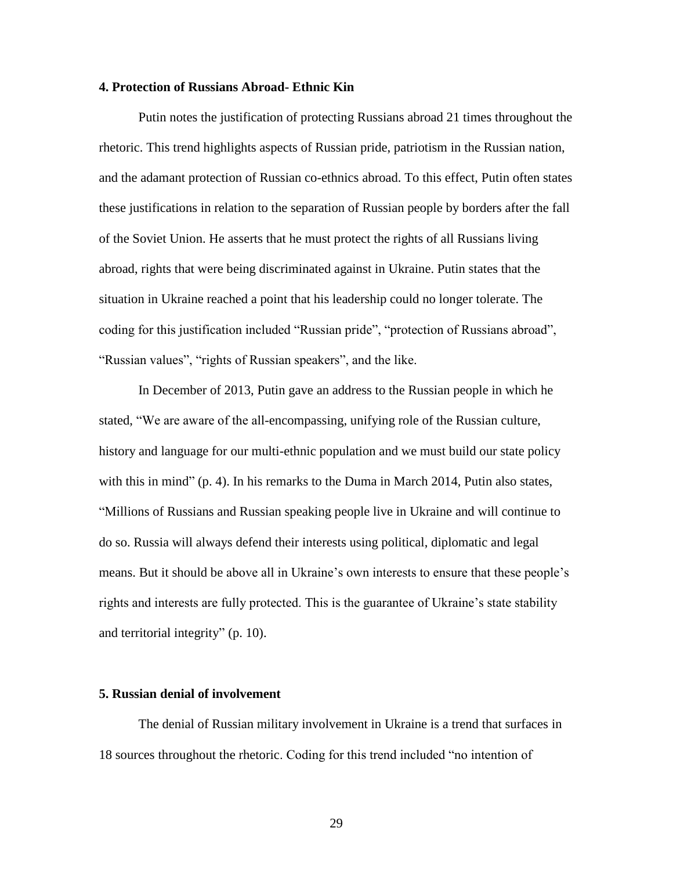#### **4. Protection of Russians Abroad- Ethnic Kin**

Putin notes the justification of protecting Russians abroad 21 times throughout the rhetoric. This trend highlights aspects of Russian pride, patriotism in the Russian nation, and the adamant protection of Russian co-ethnics abroad. To this effect, Putin often states these justifications in relation to the separation of Russian people by borders after the fall of the Soviet Union. He asserts that he must protect the rights of all Russians living abroad, rights that were being discriminated against in Ukraine. Putin states that the situation in Ukraine reached a point that his leadership could no longer tolerate. The coding for this justification included "Russian pride", "protection of Russians abroad", "Russian values", "rights of Russian speakers", and the like.

In December of 2013, Putin gave an address to the Russian people in which he stated, "We are aware of the all-encompassing, unifying role of the Russian culture, history and language for our multi-ethnic population and we must build our state policy with this in mind" (p. 4). In his remarks to the Duma in March 2014, Putin also states, "Millions of Russians and Russian speaking people live in Ukraine and will continue to do so. Russia will always defend their interests using political, diplomatic and legal means. But it should be above all in Ukraine's own interests to ensure that these people's rights and interests are fully protected. This is the guarantee of Ukraine's state stability and territorial integrity" (p. 10).

#### **5. Russian denial of involvement**

The denial of Russian military involvement in Ukraine is a trend that surfaces in 18 sources throughout the rhetoric. Coding for this trend included "no intention of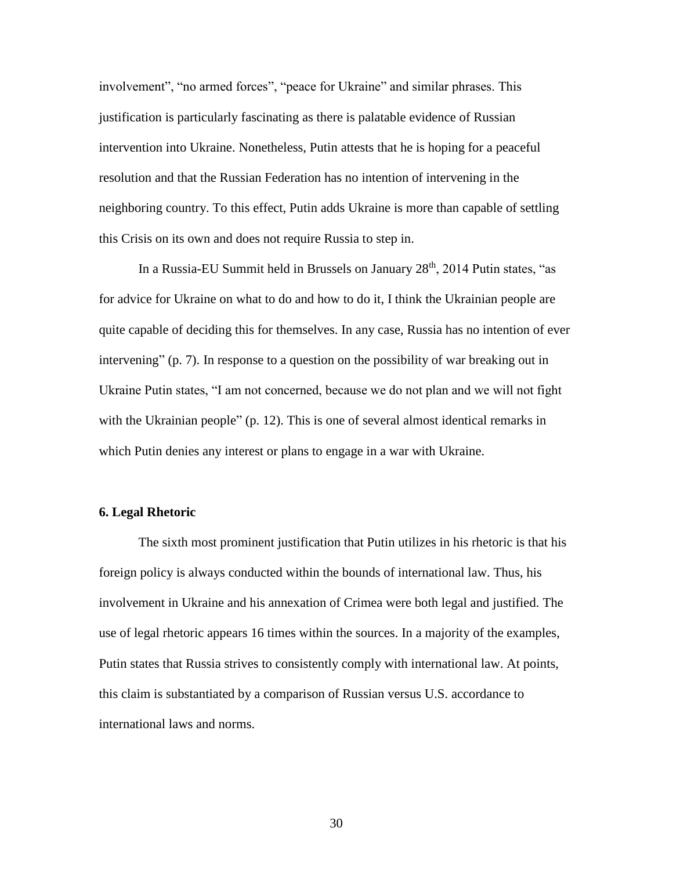involvement", "no armed forces", "peace for Ukraine" and similar phrases. This justification is particularly fascinating as there is palatable evidence of Russian intervention into Ukraine. Nonetheless, Putin attests that he is hoping for a peaceful resolution and that the Russian Federation has no intention of intervening in the neighboring country. To this effect, Putin adds Ukraine is more than capable of settling this Crisis on its own and does not require Russia to step in.

In a Russia-EU Summit held in Brussels on January  $28<sup>th</sup>$ , 2014 Putin states, "as for advice for Ukraine on what to do and how to do it, I think the Ukrainian people are quite capable of deciding this for themselves. In any case, Russia has no intention of ever intervening" (p. 7). In response to a question on the possibility of war breaking out in Ukraine Putin states, "I am not concerned, because we do not plan and we will not fight with the Ukrainian people" (p. 12). This is one of several almost identical remarks in which Putin denies any interest or plans to engage in a war with Ukraine.

#### **6. Legal Rhetoric**

The sixth most prominent justification that Putin utilizes in his rhetoric is that his foreign policy is always conducted within the bounds of international law. Thus, his involvement in Ukraine and his annexation of Crimea were both legal and justified. The use of legal rhetoric appears 16 times within the sources. In a majority of the examples, Putin states that Russia strives to consistently comply with international law. At points, this claim is substantiated by a comparison of Russian versus U.S. accordance to international laws and norms.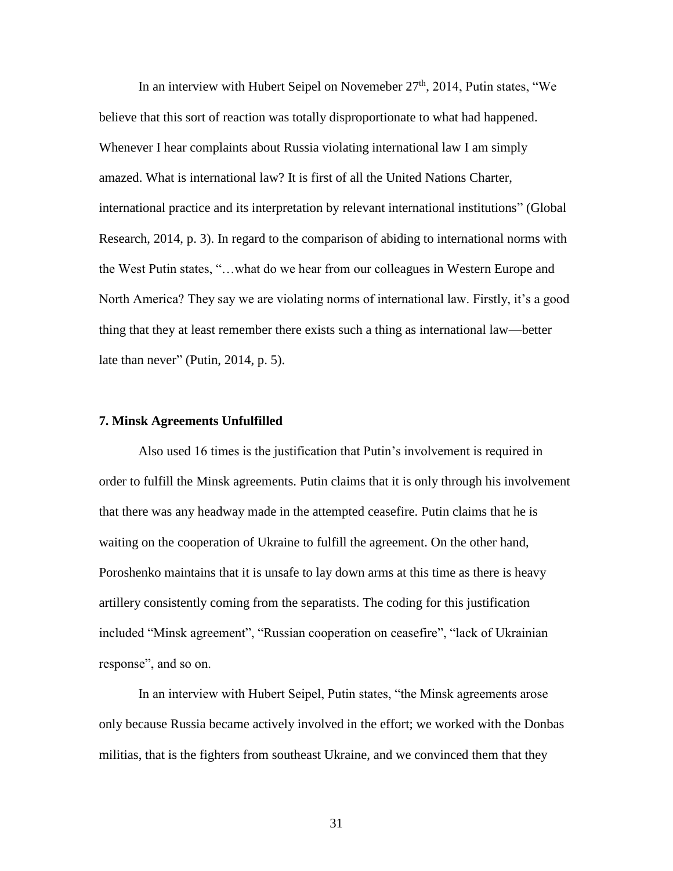In an interview with Hubert Seipel on Novemeber 27<sup>th</sup>, 2014, Putin states, "We believe that this sort of reaction was totally disproportionate to what had happened. Whenever I hear complaints about Russia violating international law I am simply amazed. What is international law? It is first of all the United Nations Charter, international practice and its interpretation by relevant international institutions" (Global Research, 2014, p. 3). In regard to the comparison of abiding to international norms with the West Putin states, "…what do we hear from our colleagues in Western Europe and North America? They say we are violating norms of international law. Firstly, it's a good thing that they at least remember there exists such a thing as international law—better late than never" (Putin, 2014, p. 5).

## **7. Minsk Agreements Unfulfilled**

Also used 16 times is the justification that Putin's involvement is required in order to fulfill the Minsk agreements. Putin claims that it is only through his involvement that there was any headway made in the attempted ceasefire. Putin claims that he is waiting on the cooperation of Ukraine to fulfill the agreement. On the other hand, Poroshenko maintains that it is unsafe to lay down arms at this time as there is heavy artillery consistently coming from the separatists. The coding for this justification included "Minsk agreement", "Russian cooperation on ceasefire", "lack of Ukrainian response", and so on.

In an interview with Hubert Seipel, Putin states, "the Minsk agreements arose only because Russia became actively involved in the effort; we worked with the Donbas militias, that is the fighters from southeast Ukraine, and we convinced them that they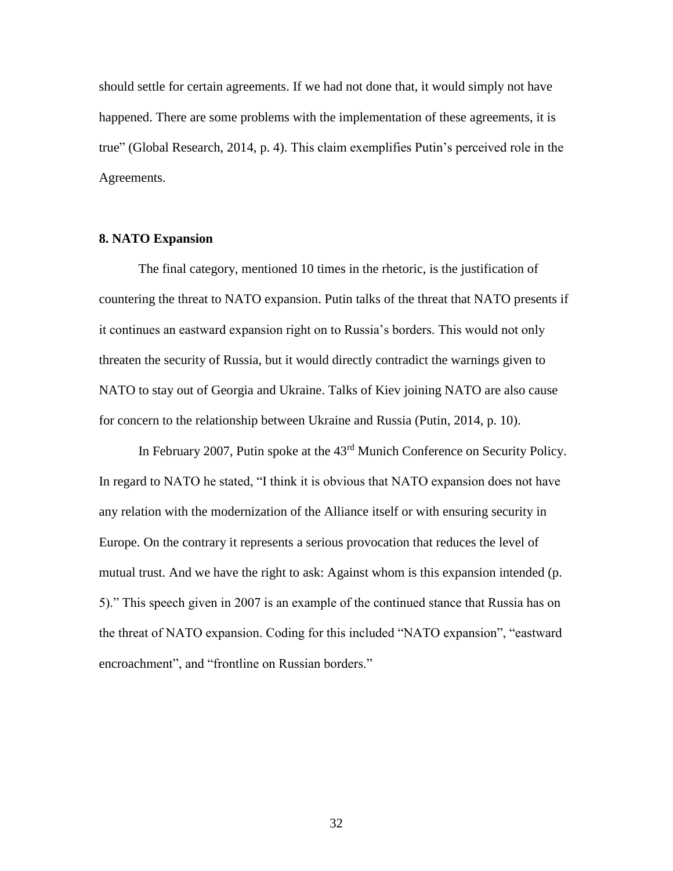should settle for certain agreements. If we had not done that, it would simply not have happened. There are some problems with the implementation of these agreements, it is true" (Global Research, 2014, p. 4). This claim exemplifies Putin's perceived role in the Agreements.

## **8. NATO Expansion**

The final category, mentioned 10 times in the rhetoric, is the justification of countering the threat to NATO expansion. Putin talks of the threat that NATO presents if it continues an eastward expansion right on to Russia's borders. This would not only threaten the security of Russia, but it would directly contradict the warnings given to NATO to stay out of Georgia and Ukraine. Talks of Kiev joining NATO are also cause for concern to the relationship between Ukraine and Russia (Putin, 2014, p. 10).

In February 2007, Putin spoke at the 43rd Munich Conference on Security Policy. In regard to NATO he stated, "I think it is obvious that NATO expansion does not have any relation with the modernization of the Alliance itself or with ensuring security in Europe. On the contrary it represents a serious provocation that reduces the level of mutual trust. And we have the right to ask: Against whom is this expansion intended (p. 5)." This speech given in 2007 is an example of the continued stance that Russia has on the threat of NATO expansion. Coding for this included "NATO expansion", "eastward encroachment", and "frontline on Russian borders."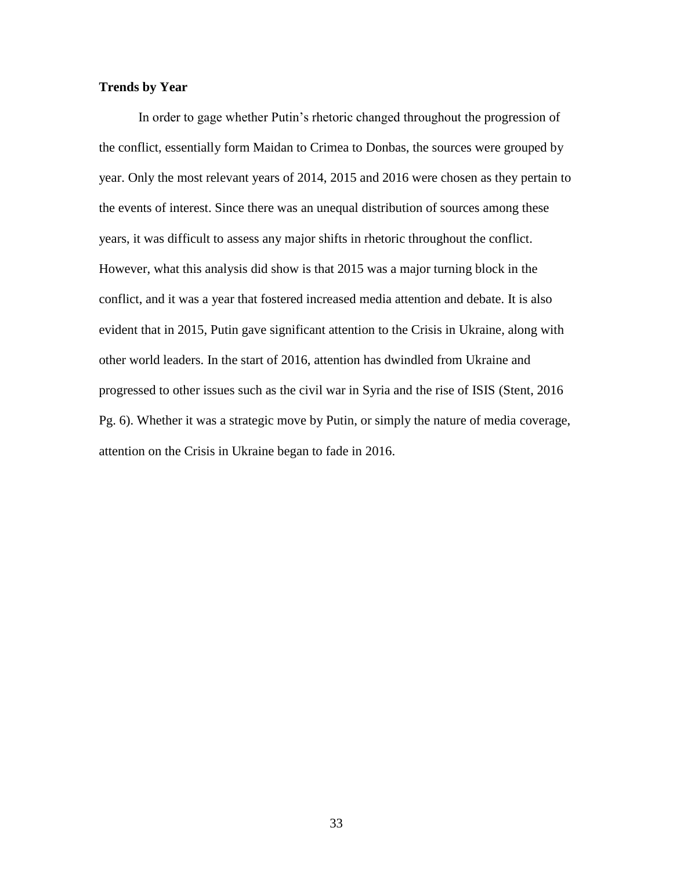# **Trends by Year**

In order to gage whether Putin's rhetoric changed throughout the progression of the conflict, essentially form Maidan to Crimea to Donbas, the sources were grouped by year. Only the most relevant years of 2014, 2015 and 2016 were chosen as they pertain to the events of interest. Since there was an unequal distribution of sources among these years, it was difficult to assess any major shifts in rhetoric throughout the conflict. However, what this analysis did show is that 2015 was a major turning block in the conflict, and it was a year that fostered increased media attention and debate. It is also evident that in 2015, Putin gave significant attention to the Crisis in Ukraine, along with other world leaders. In the start of 2016, attention has dwindled from Ukraine and progressed to other issues such as the civil war in Syria and the rise of ISIS (Stent, 2016 Pg. 6). Whether it was a strategic move by Putin, or simply the nature of media coverage, attention on the Crisis in Ukraine began to fade in 2016.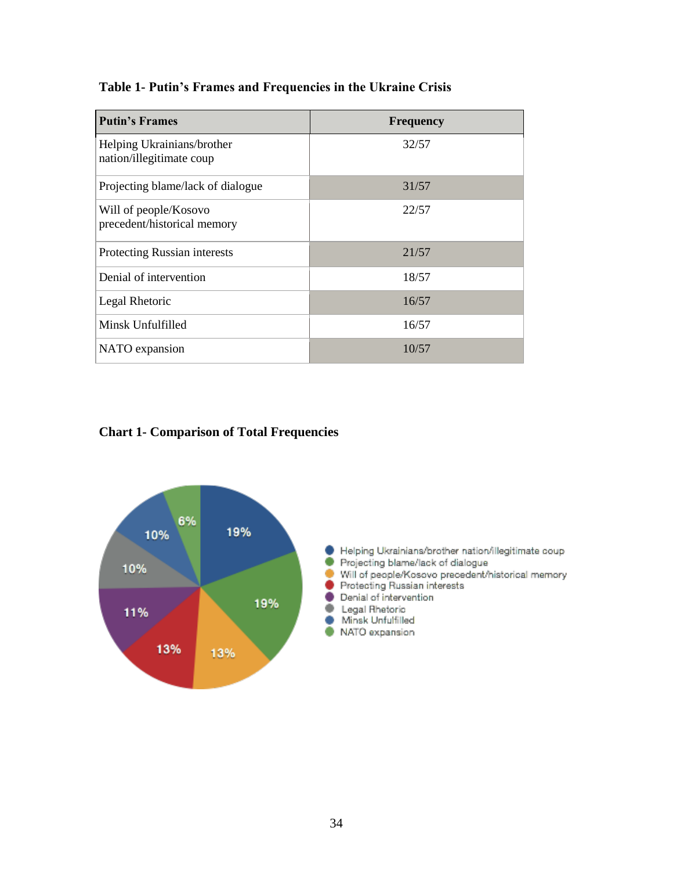| Table 1- Putin's Frames and Frequencies in the Ukraine Crisis |  |  |  |  |  |  |  |  |  |  |
|---------------------------------------------------------------|--|--|--|--|--|--|--|--|--|--|
|---------------------------------------------------------------|--|--|--|--|--|--|--|--|--|--|

| <b>Putin's Frames</b>                                  | <b>Frequency</b> |
|--------------------------------------------------------|------------------|
| Helping Ukrainians/brother<br>nation/illegitimate coup | 32/57            |
| Projecting blame/lack of dialogue                      | 31/57            |
| Will of people/Kosovo<br>precedent/historical memory   | 22/57            |
| Protecting Russian interests                           | 21/57            |
| Denial of intervention                                 | 18/57            |
| Legal Rhetoric                                         | 16/57            |
| Minsk Unfulfilled                                      | 16/57            |
| NATO expansion                                         | 10/57            |

# **Chart 1- Comparison of Total Frequencies**

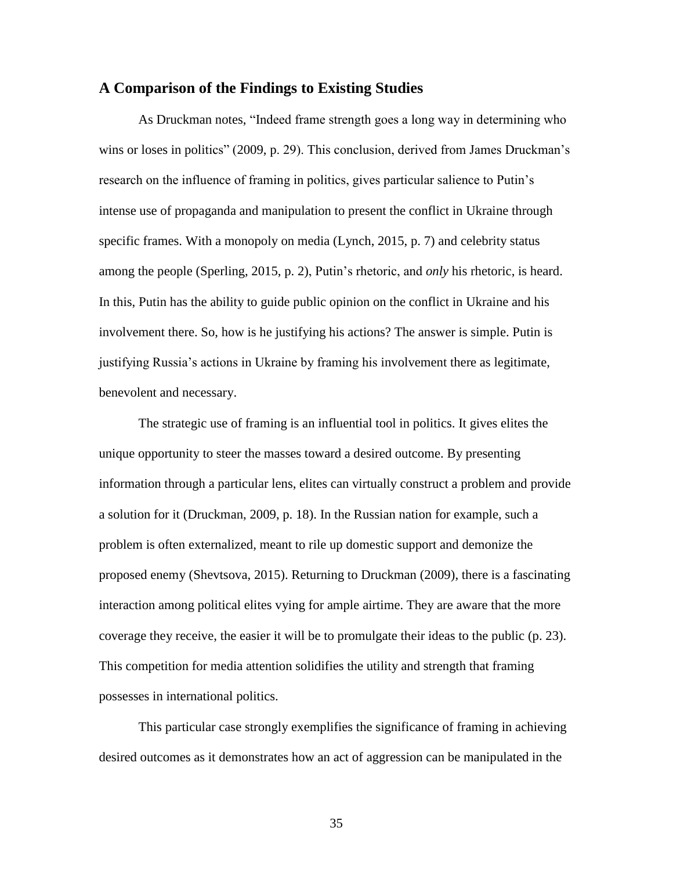# **A Comparison of the Findings to Existing Studies**

As Druckman notes, "Indeed frame strength goes a long way in determining who wins or loses in politics" (2009, p. 29). This conclusion, derived from James Druckman's research on the influence of framing in politics, gives particular salience to Putin's intense use of propaganda and manipulation to present the conflict in Ukraine through specific frames. With a monopoly on media (Lynch, 2015, p. 7) and celebrity status among the people (Sperling, 2015, p. 2), Putin's rhetoric, and *only* his rhetoric, is heard. In this, Putin has the ability to guide public opinion on the conflict in Ukraine and his involvement there. So, how is he justifying his actions? The answer is simple. Putin is justifying Russia's actions in Ukraine by framing his involvement there as legitimate, benevolent and necessary.

The strategic use of framing is an influential tool in politics. It gives elites the unique opportunity to steer the masses toward a desired outcome. By presenting information through a particular lens, elites can virtually construct a problem and provide a solution for it (Druckman, 2009, p. 18). In the Russian nation for example, such a problem is often externalized, meant to rile up domestic support and demonize the proposed enemy (Shevtsova, 2015). Returning to Druckman (2009), there is a fascinating interaction among political elites vying for ample airtime. They are aware that the more coverage they receive, the easier it will be to promulgate their ideas to the public (p. 23). This competition for media attention solidifies the utility and strength that framing possesses in international politics.

This particular case strongly exemplifies the significance of framing in achieving desired outcomes as it demonstrates how an act of aggression can be manipulated in the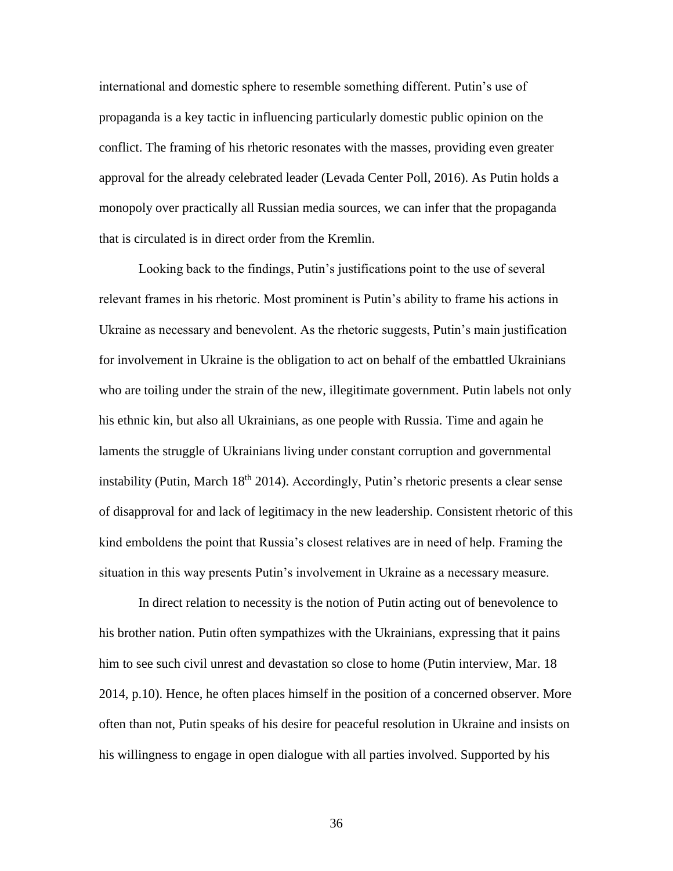international and domestic sphere to resemble something different. Putin's use of propaganda is a key tactic in influencing particularly domestic public opinion on the conflict. The framing of his rhetoric resonates with the masses, providing even greater approval for the already celebrated leader (Levada Center Poll, 2016). As Putin holds a monopoly over practically all Russian media sources, we can infer that the propaganda that is circulated is in direct order from the Kremlin.

Looking back to the findings, Putin's justifications point to the use of several relevant frames in his rhetoric. Most prominent is Putin's ability to frame his actions in Ukraine as necessary and benevolent. As the rhetoric suggests, Putin's main justification for involvement in Ukraine is the obligation to act on behalf of the embattled Ukrainians who are toiling under the strain of the new, illegitimate government. Putin labels not only his ethnic kin, but also all Ukrainians, as one people with Russia. Time and again he laments the struggle of Ukrainians living under constant corruption and governmental instability (Putin, March  $18<sup>th</sup> 2014$ ). Accordingly, Putin's rhetoric presents a clear sense of disapproval for and lack of legitimacy in the new leadership. Consistent rhetoric of this kind emboldens the point that Russia's closest relatives are in need of help. Framing the situation in this way presents Putin's involvement in Ukraine as a necessary measure.

In direct relation to necessity is the notion of Putin acting out of benevolence to his brother nation. Putin often sympathizes with the Ukrainians, expressing that it pains him to see such civil unrest and devastation so close to home (Putin interview, Mar. 18 2014, p.10). Hence, he often places himself in the position of a concerned observer. More often than not, Putin speaks of his desire for peaceful resolution in Ukraine and insists on his willingness to engage in open dialogue with all parties involved. Supported by his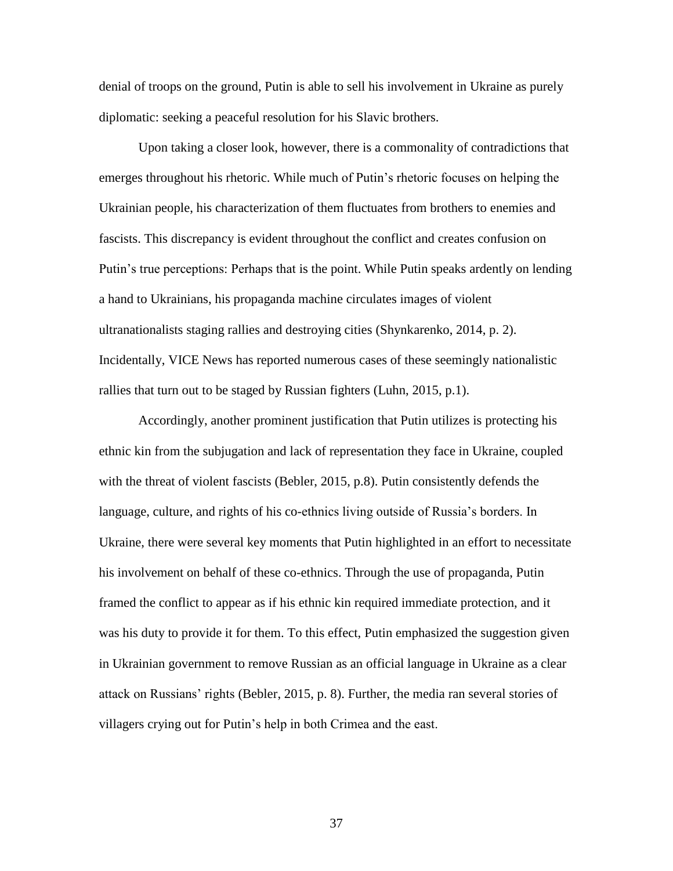denial of troops on the ground, Putin is able to sell his involvement in Ukraine as purely diplomatic: seeking a peaceful resolution for his Slavic brothers.

Upon taking a closer look, however, there is a commonality of contradictions that emerges throughout his rhetoric. While much of Putin's rhetoric focuses on helping the Ukrainian people, his characterization of them fluctuates from brothers to enemies and fascists. This discrepancy is evident throughout the conflict and creates confusion on Putin's true perceptions: Perhaps that is the point. While Putin speaks ardently on lending a hand to Ukrainians, his propaganda machine circulates images of violent ultranationalists staging rallies and destroying cities (Shynkarenko, 2014, p. 2). Incidentally, VICE News has reported numerous cases of these seemingly nationalistic rallies that turn out to be staged by Russian fighters (Luhn, 2015, p.1).

Accordingly, another prominent justification that Putin utilizes is protecting his ethnic kin from the subjugation and lack of representation they face in Ukraine, coupled with the threat of violent fascists (Bebler, 2015, p.8). Putin consistently defends the language, culture, and rights of his co-ethnics living outside of Russia's borders. In Ukraine, there were several key moments that Putin highlighted in an effort to necessitate his involvement on behalf of these co-ethnics. Through the use of propaganda, Putin framed the conflict to appear as if his ethnic kin required immediate protection, and it was his duty to provide it for them. To this effect, Putin emphasized the suggestion given in Ukrainian government to remove Russian as an official language in Ukraine as a clear attack on Russians' rights (Bebler, 2015, p. 8). Further, the media ran several stories of villagers crying out for Putin's help in both Crimea and the east.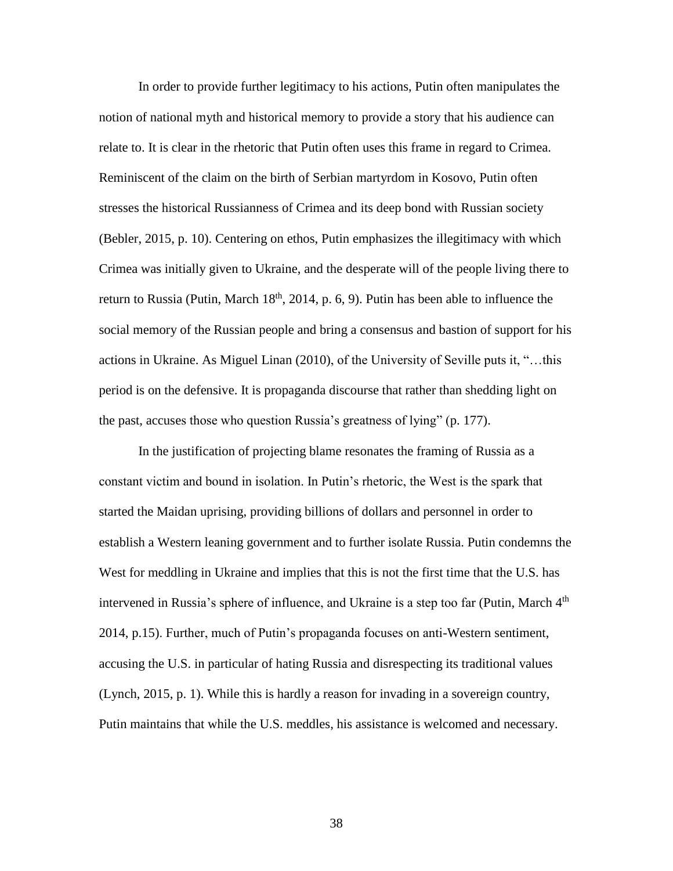In order to provide further legitimacy to his actions, Putin often manipulates the notion of national myth and historical memory to provide a story that his audience can relate to. It is clear in the rhetoric that Putin often uses this frame in regard to Crimea. Reminiscent of the claim on the birth of Serbian martyrdom in Kosovo, Putin often stresses the historical Russianness of Crimea and its deep bond with Russian society (Bebler, 2015, p. 10). Centering on ethos, Putin emphasizes the illegitimacy with which Crimea was initially given to Ukraine, and the desperate will of the people living there to return to Russia (Putin, March  $18<sup>th</sup>$ , 2014, p. 6, 9). Putin has been able to influence the social memory of the Russian people and bring a consensus and bastion of support for his actions in Ukraine. As Miguel Linan (2010), of the University of Seville puts it, "…this period is on the defensive. It is propaganda discourse that rather than shedding light on the past, accuses those who question Russia's greatness of lying" (p. 177).

In the justification of projecting blame resonates the framing of Russia as a constant victim and bound in isolation. In Putin's rhetoric, the West is the spark that started the Maidan uprising, providing billions of dollars and personnel in order to establish a Western leaning government and to further isolate Russia. Putin condemns the West for meddling in Ukraine and implies that this is not the first time that the U.S. has intervened in Russia's sphere of influence, and Ukraine is a step too far (Putin, March  $4<sup>th</sup>$ 2014, p.15). Further, much of Putin's propaganda focuses on anti-Western sentiment, accusing the U.S. in particular of hating Russia and disrespecting its traditional values (Lynch, 2015, p. 1). While this is hardly a reason for invading in a sovereign country, Putin maintains that while the U.S. meddles, his assistance is welcomed and necessary.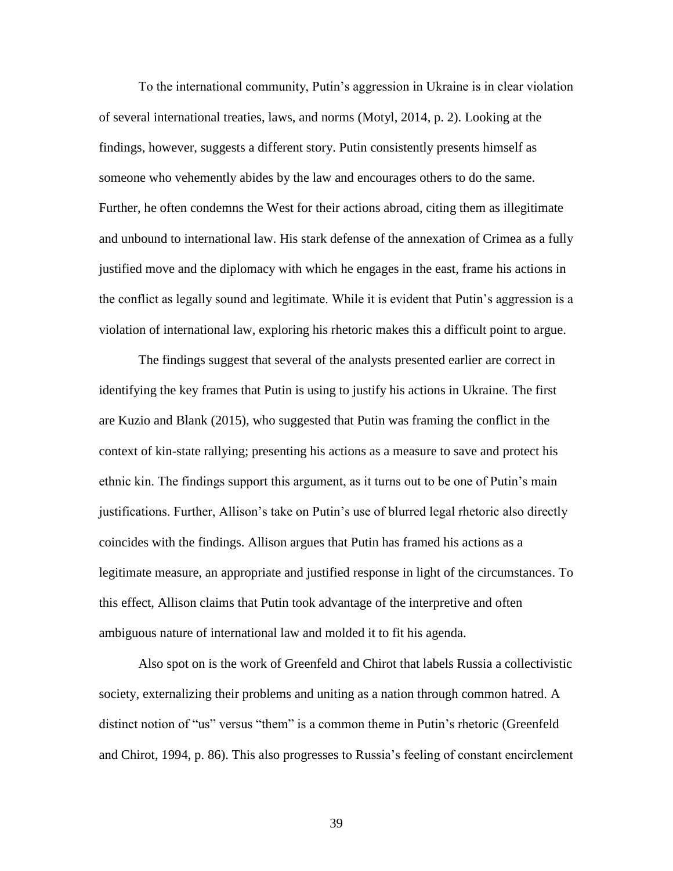To the international community, Putin's aggression in Ukraine is in clear violation of several international treaties, laws, and norms (Motyl, 2014, p. 2). Looking at the findings, however, suggests a different story. Putin consistently presents himself as someone who vehemently abides by the law and encourages others to do the same. Further, he often condemns the West for their actions abroad, citing them as illegitimate and unbound to international law. His stark defense of the annexation of Crimea as a fully justified move and the diplomacy with which he engages in the east, frame his actions in the conflict as legally sound and legitimate. While it is evident that Putin's aggression is a violation of international law, exploring his rhetoric makes this a difficult point to argue.

The findings suggest that several of the analysts presented earlier are correct in identifying the key frames that Putin is using to justify his actions in Ukraine. The first are Kuzio and Blank (2015), who suggested that Putin was framing the conflict in the context of kin-state rallying; presenting his actions as a measure to save and protect his ethnic kin. The findings support this argument, as it turns out to be one of Putin's main justifications. Further, Allison's take on Putin's use of blurred legal rhetoric also directly coincides with the findings. Allison argues that Putin has framed his actions as a legitimate measure, an appropriate and justified response in light of the circumstances. To this effect, Allison claims that Putin took advantage of the interpretive and often ambiguous nature of international law and molded it to fit his agenda.

Also spot on is the work of Greenfeld and Chirot that labels Russia a collectivistic society, externalizing their problems and uniting as a nation through common hatred. A distinct notion of "us" versus "them" is a common theme in Putin's rhetoric (Greenfeld and Chirot, 1994, p. 86). This also progresses to Russia's feeling of constant encirclement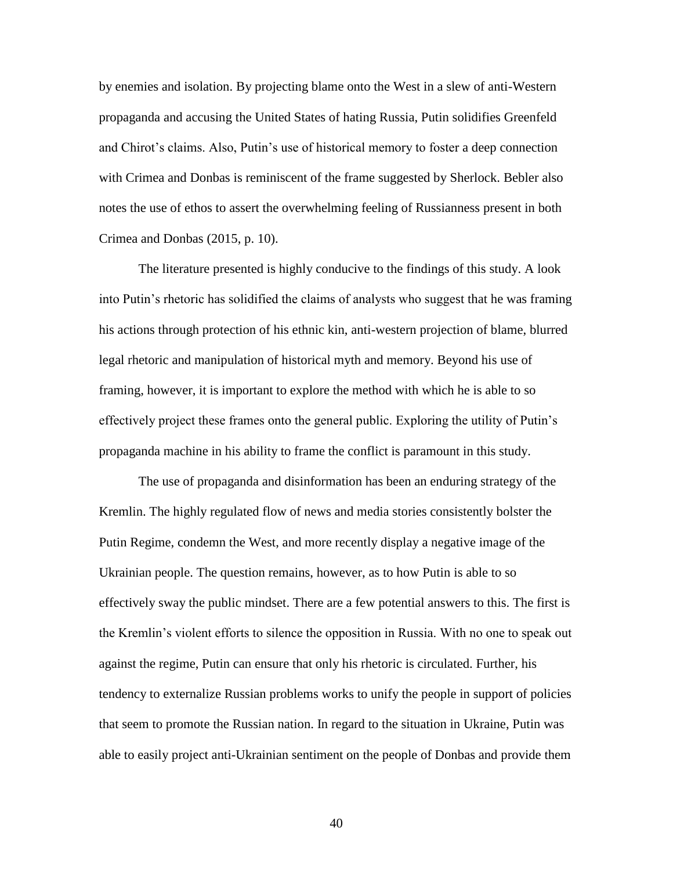by enemies and isolation. By projecting blame onto the West in a slew of anti-Western propaganda and accusing the United States of hating Russia, Putin solidifies Greenfeld and Chirot's claims. Also, Putin's use of historical memory to foster a deep connection with Crimea and Donbas is reminiscent of the frame suggested by Sherlock. Bebler also notes the use of ethos to assert the overwhelming feeling of Russianness present in both Crimea and Donbas (2015, p. 10).

The literature presented is highly conducive to the findings of this study. A look into Putin's rhetoric has solidified the claims of analysts who suggest that he was framing his actions through protection of his ethnic kin, anti-western projection of blame, blurred legal rhetoric and manipulation of historical myth and memory. Beyond his use of framing, however, it is important to explore the method with which he is able to so effectively project these frames onto the general public. Exploring the utility of Putin's propaganda machine in his ability to frame the conflict is paramount in this study.

The use of propaganda and disinformation has been an enduring strategy of the Kremlin. The highly regulated flow of news and media stories consistently bolster the Putin Regime, condemn the West, and more recently display a negative image of the Ukrainian people. The question remains, however, as to how Putin is able to so effectively sway the public mindset. There are a few potential answers to this. The first is the Kremlin's violent efforts to silence the opposition in Russia. With no one to speak out against the regime, Putin can ensure that only his rhetoric is circulated. Further, his tendency to externalize Russian problems works to unify the people in support of policies that seem to promote the Russian nation. In regard to the situation in Ukraine, Putin was able to easily project anti-Ukrainian sentiment on the people of Donbas and provide them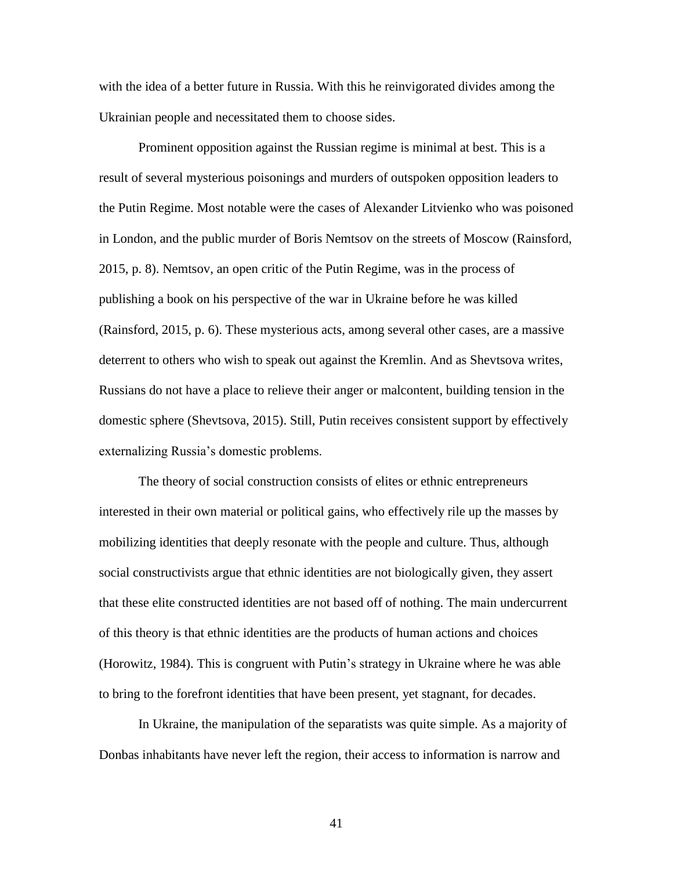with the idea of a better future in Russia. With this he reinvigorated divides among the Ukrainian people and necessitated them to choose sides.

Prominent opposition against the Russian regime is minimal at best. This is a result of several mysterious poisonings and murders of outspoken opposition leaders to the Putin Regime. Most notable were the cases of Alexander Litvienko who was poisoned in London, and the public murder of Boris Nemtsov on the streets of Moscow (Rainsford, 2015, p. 8). Nemtsov, an open critic of the Putin Regime, was in the process of publishing a book on his perspective of the war in Ukraine before he was killed (Rainsford, 2015, p. 6). These mysterious acts, among several other cases, are a massive deterrent to others who wish to speak out against the Kremlin. And as Shevtsova writes, Russians do not have a place to relieve their anger or malcontent, building tension in the domestic sphere (Shevtsova, 2015). Still, Putin receives consistent support by effectively externalizing Russia's domestic problems.

The theory of social construction consists of elites or ethnic entrepreneurs interested in their own material or political gains, who effectively rile up the masses by mobilizing identities that deeply resonate with the people and culture. Thus, although social constructivists argue that ethnic identities are not biologically given, they assert that these elite constructed identities are not based off of nothing. The main undercurrent of this theory is that ethnic identities are the products of human actions and choices (Horowitz, 1984). This is congruent with Putin's strategy in Ukraine where he was able to bring to the forefront identities that have been present, yet stagnant, for decades.

In Ukraine, the manipulation of the separatists was quite simple. As a majority of Donbas inhabitants have never left the region, their access to information is narrow and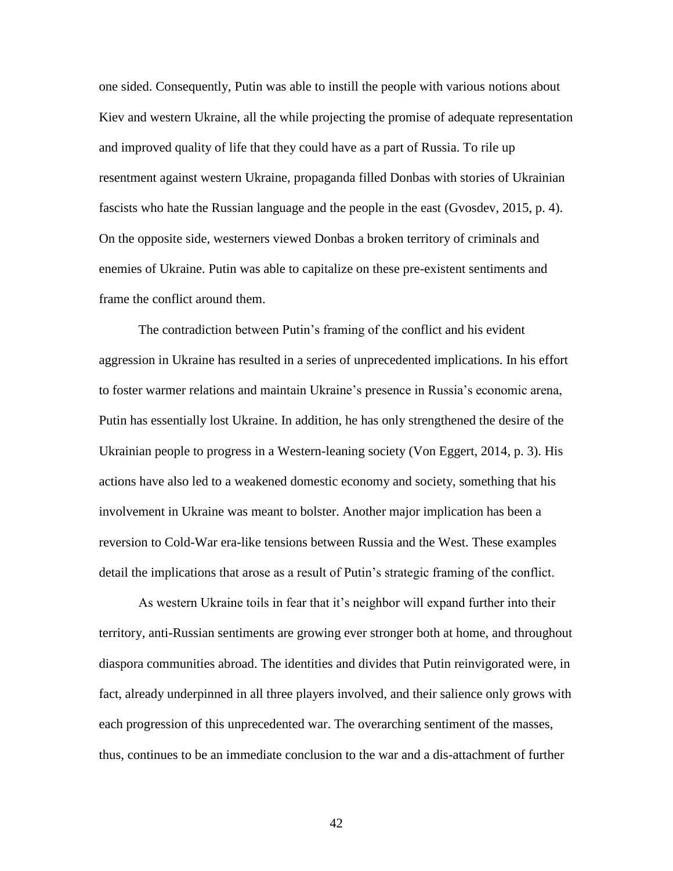one sided. Consequently, Putin was able to instill the people with various notions about Kiev and western Ukraine, all the while projecting the promise of adequate representation and improved quality of life that they could have as a part of Russia. To rile up resentment against western Ukraine, propaganda filled Donbas with stories of Ukrainian fascists who hate the Russian language and the people in the east (Gvosdev, 2015, p. 4). On the opposite side, westerners viewed Donbas a broken territory of criminals and enemies of Ukraine. Putin was able to capitalize on these pre-existent sentiments and frame the conflict around them.

The contradiction between Putin's framing of the conflict and his evident aggression in Ukraine has resulted in a series of unprecedented implications. In his effort to foster warmer relations and maintain Ukraine's presence in Russia's economic arena, Putin has essentially lost Ukraine. In addition, he has only strengthened the desire of the Ukrainian people to progress in a Western-leaning society (Von Eggert, 2014, p. 3). His actions have also led to a weakened domestic economy and society, something that his involvement in Ukraine was meant to bolster. Another major implication has been a reversion to Cold-War era-like tensions between Russia and the West. These examples detail the implications that arose as a result of Putin's strategic framing of the conflict.

As western Ukraine toils in fear that it's neighbor will expand further into their territory, anti-Russian sentiments are growing ever stronger both at home, and throughout diaspora communities abroad. The identities and divides that Putin reinvigorated were, in fact, already underpinned in all three players involved, and their salience only grows with each progression of this unprecedented war. The overarching sentiment of the masses, thus, continues to be an immediate conclusion to the war and a dis-attachment of further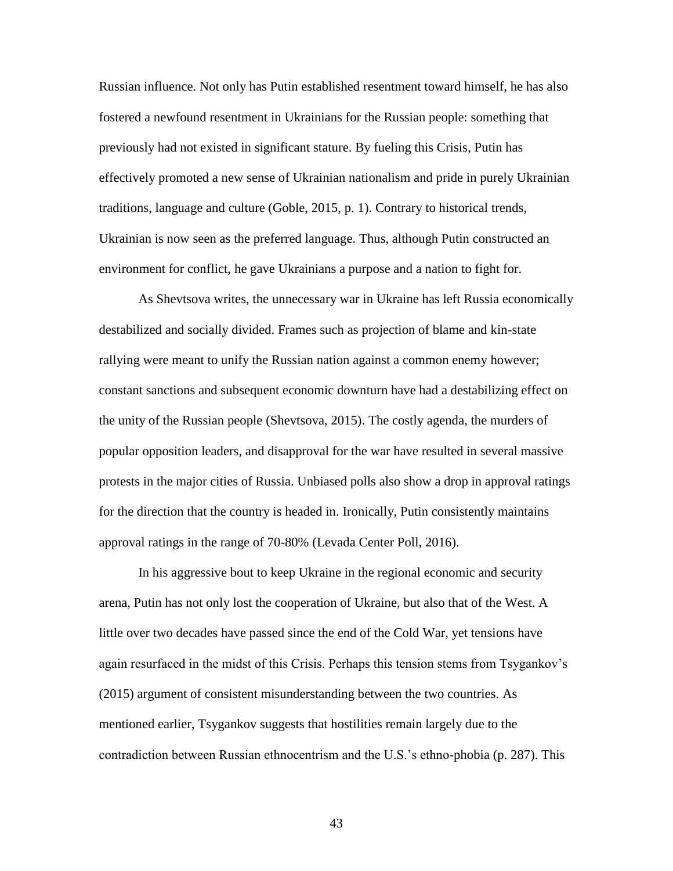Russian influence. Not only has Putin established resentment toward himself, he has also fostered a newfound resentment in Ukrainians for the Russian people: something that previously had not existed in significant stature. By fueling this Crisis, Putin has effectively promoted a new sense of Ukrainian nationalism and pride in purely Ukrainian traditions, language and culture (Goble, 2015, p. 1). Contrary to historical trends, Ukrainian is now seen as the preferred language. Thus, although Putin constructed an environment for conflict, he gave Ukrainians a purpose and a nation to fight for.

As Shevtsova writes, the unnecessary war in Ukraine has left Russia economically destabilized and socially divided. Frames such as projection of blame and kin-state rallying were meant to unify the Russian nation against a common enemy however; constant sanctions and subsequent economic downturn have had a destabilizing effect on the unity of the Russian people (Shevtsova, 2015). The costly agenda, the murders of popular opposition leaders, and disapproval for the war have resulted in several massive protests in the major cities of Russia. Unbiased polls also show a drop in approval ratings for the direction that the country is headed in. Ironically, Putin consistently maintains approval ratings in the range of 70-80% (Levada Center Poll, 2016).

In his aggressive bout to keep Ukraine in the regional economic and security arena, Putin has not only lost the cooperation of Ukraine, but also that of the West. A little over two decades have passed since the end of the Cold War, yet tensions have again resurfaced in the midst of this Crisis. Perhaps this tension stems from Tsygankov's (2015) argument of consistent misunderstanding between the two countries. As mentioned earlier, Tsygankov suggests that hostilities remain largely due to the contradiction between Russian ethnocentrism and the U.S.'s ethno-phobia (p. 287). This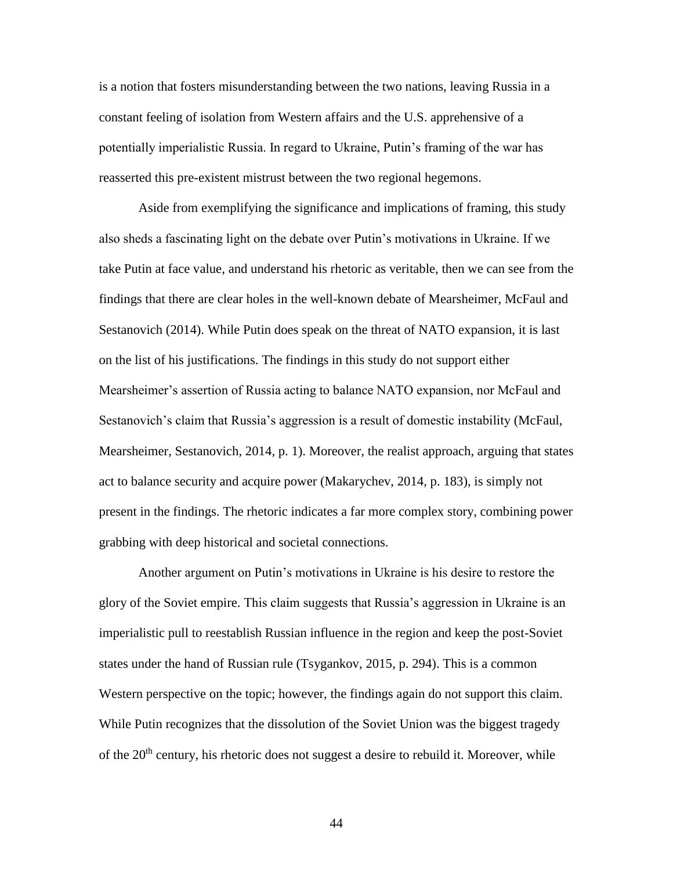is a notion that fosters misunderstanding between the two nations, leaving Russia in a constant feeling of isolation from Western affairs and the U.S. apprehensive of a potentially imperialistic Russia. In regard to Ukraine, Putin's framing of the war has reasserted this pre-existent mistrust between the two regional hegemons.

Aside from exemplifying the significance and implications of framing, this study also sheds a fascinating light on the debate over Putin's motivations in Ukraine. If we take Putin at face value, and understand his rhetoric as veritable, then we can see from the findings that there are clear holes in the well-known debate of Mearsheimer, McFaul and Sestanovich (2014). While Putin does speak on the threat of NATO expansion, it is last on the list of his justifications. The findings in this study do not support either Mearsheimer's assertion of Russia acting to balance NATO expansion, nor McFaul and Sestanovich's claim that Russia's aggression is a result of domestic instability (McFaul, Mearsheimer, Sestanovich, 2014, p. 1). Moreover, the realist approach, arguing that states act to balance security and acquire power (Makarychev, 2014, p. 183), is simply not present in the findings. The rhetoric indicates a far more complex story, combining power grabbing with deep historical and societal connections.

Another argument on Putin's motivations in Ukraine is his desire to restore the glory of the Soviet empire. This claim suggests that Russia's aggression in Ukraine is an imperialistic pull to reestablish Russian influence in the region and keep the post-Soviet states under the hand of Russian rule (Tsygankov, 2015, p. 294). This is a common Western perspective on the topic; however, the findings again do not support this claim. While Putin recognizes that the dissolution of the Soviet Union was the biggest tragedy of the  $20<sup>th</sup>$  century, his rhetoric does not suggest a desire to rebuild it. Moreover, while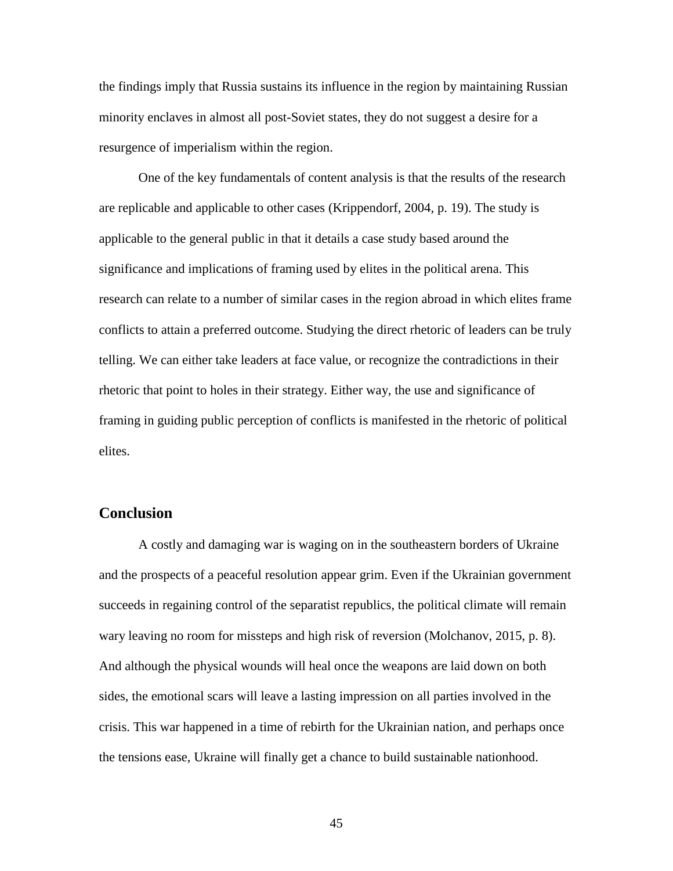the findings imply that Russia sustains its influence in the region by maintaining Russian minority enclaves in almost all post-Soviet states, they do not suggest a desire for a resurgence of imperialism within the region.

One of the key fundamentals of content analysis is that the results of the research are replicable and applicable to other cases (Krippendorf, 2004, p. 19). The study is applicable to the general public in that it details a case study based around the significance and implications of framing used by elites in the political arena. This research can relate to a number of similar cases in the region abroad in which elites frame conflicts to attain a preferred outcome. Studying the direct rhetoric of leaders can be truly telling. We can either take leaders at face value, or recognize the contradictions in their rhetoric that point to holes in their strategy. Either way, the use and significance of framing in guiding public perception of conflicts is manifested in the rhetoric of political elites.

# **Conclusion**

A costly and damaging war is waging on in the southeastern borders of Ukraine and the prospects of a peaceful resolution appear grim. Even if the Ukrainian government succeeds in regaining control of the separatist republics, the political climate will remain wary leaving no room for missteps and high risk of reversion (Molchanov, 2015, p. 8). And although the physical wounds will heal once the weapons are laid down on both sides, the emotional scars will leave a lasting impression on all parties involved in the crisis. This war happened in a time of rebirth for the Ukrainian nation, and perhaps once the tensions ease, Ukraine will finally get a chance to build sustainable nationhood.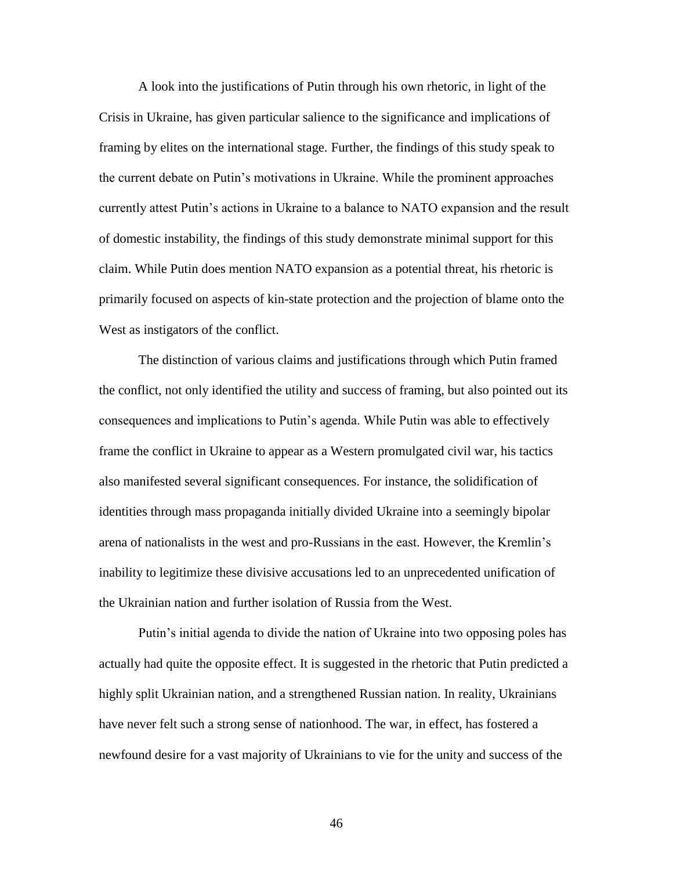A look into the justifications of Putin through his own rhetoric, in light of the Crisis in Ukraine, has given particular salience to the significance and implications of framing by elites on the international stage. Further, the findings of this study speak to the current debate on Putin's motivations in Ukraine. While the prominent approaches currently attest Putin's actions in Ukraine to a balance to NATO expansion and the result of domestic instability, the findings of this study demonstrate minimal support for this claim. While Putin does mention NATO expansion as a potential threat, his rhetoric is primarily focused on aspects of kin-state protection and the projection of blame onto the West as instigators of the conflict.

The distinction of various claims and justifications through which Putin framed the conflict, not only identified the utility and success of framing, but also pointed out its consequences and implications to Putin's agenda. While Putin was able to effectively frame the conflict in Ukraine to appear as a Western promulgated civil war, his tactics also manifested several significant consequences. For instance, the solidification of identities through mass propaganda initially divided Ukraine into a seemingly bipolar arena of nationalists in the west and pro-Russians in the east. However, the Kremlin's inability to legitimize these divisive accusations led to an unprecedented unification of the Ukrainian nation and further isolation of Russia from the West.

Putin's initial agenda to divide the nation of Ukraine into two opposing poles has actually had quite the opposite effect. It is suggested in the rhetoric that Putin predicted a highly split Ukrainian nation, and a strengthened Russian nation. In reality, Ukrainians have never felt such a strong sense of nationhood. The war, in effect, has fostered a newfound desire for a vast majority of Ukrainians to vie for the unity and success of the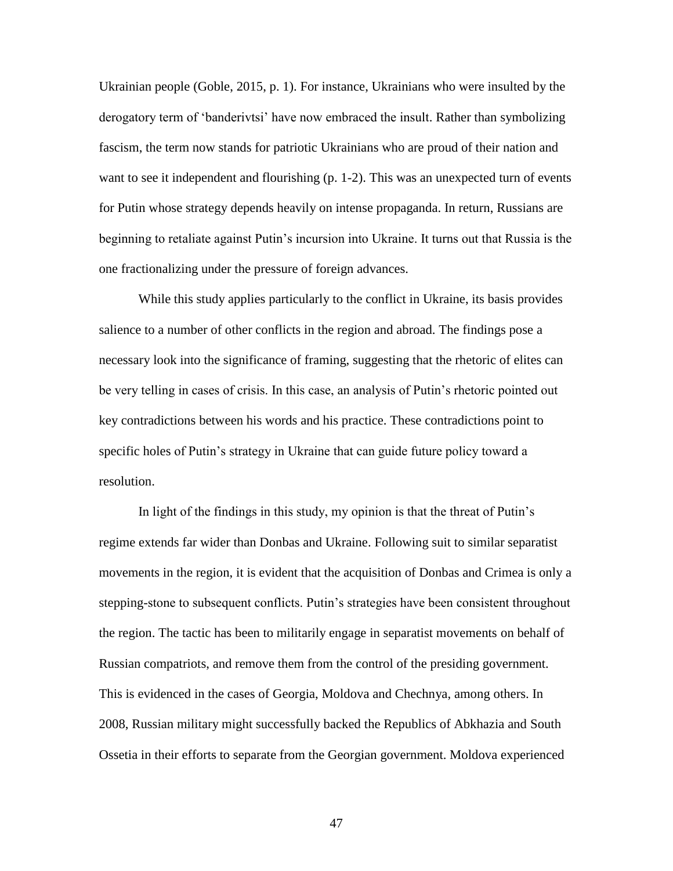Ukrainian people (Goble, 2015, p. 1). For instance, Ukrainians who were insulted by the derogatory term of 'banderivtsi' have now embraced the insult. Rather than symbolizing fascism, the term now stands for patriotic Ukrainians who are proud of their nation and want to see it independent and flourishing (p. 1-2). This was an unexpected turn of events for Putin whose strategy depends heavily on intense propaganda. In return, Russians are beginning to retaliate against Putin's incursion into Ukraine. It turns out that Russia is the one fractionalizing under the pressure of foreign advances.

While this study applies particularly to the conflict in Ukraine, its basis provides salience to a number of other conflicts in the region and abroad. The findings pose a necessary look into the significance of framing, suggesting that the rhetoric of elites can be very telling in cases of crisis. In this case, an analysis of Putin's rhetoric pointed out key contradictions between his words and his practice. These contradictions point to specific holes of Putin's strategy in Ukraine that can guide future policy toward a resolution.

In light of the findings in this study, my opinion is that the threat of Putin's regime extends far wider than Donbas and Ukraine. Following suit to similar separatist movements in the region, it is evident that the acquisition of Donbas and Crimea is only a stepping-stone to subsequent conflicts. Putin's strategies have been consistent throughout the region. The tactic has been to militarily engage in separatist movements on behalf of Russian compatriots, and remove them from the control of the presiding government. This is evidenced in the cases of Georgia, Moldova and Chechnya, among others. In 2008, Russian military might successfully backed the Republics of Abkhazia and South Ossetia in their efforts to separate from the Georgian government. Moldova experienced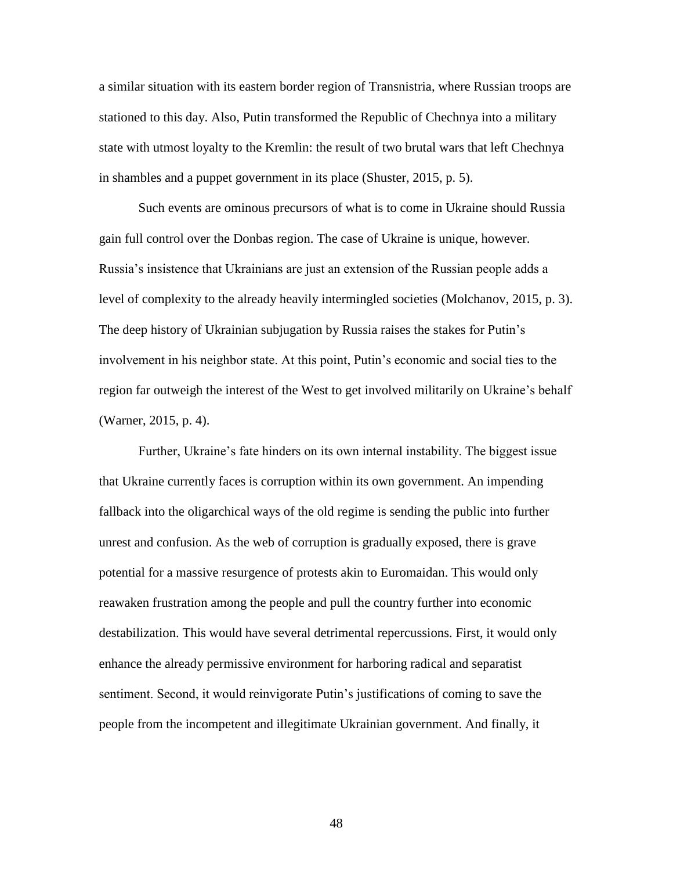a similar situation with its eastern border region of Transnistria, where Russian troops are stationed to this day. Also, Putin transformed the Republic of Chechnya into a military state with utmost loyalty to the Kremlin: the result of two brutal wars that left Chechnya in shambles and a puppet government in its place (Shuster, 2015, p. 5).

Such events are ominous precursors of what is to come in Ukraine should Russia gain full control over the Donbas region. The case of Ukraine is unique, however. Russia's insistence that Ukrainians are just an extension of the Russian people adds a level of complexity to the already heavily intermingled societies (Molchanov, 2015, p. 3). The deep history of Ukrainian subjugation by Russia raises the stakes for Putin's involvement in his neighbor state. At this point, Putin's economic and social ties to the region far outweigh the interest of the West to get involved militarily on Ukraine's behalf (Warner, 2015, p. 4).

Further, Ukraine's fate hinders on its own internal instability. The biggest issue that Ukraine currently faces is corruption within its own government. An impending fallback into the oligarchical ways of the old regime is sending the public into further unrest and confusion. As the web of corruption is gradually exposed, there is grave potential for a massive resurgence of protests akin to Euromaidan. This would only reawaken frustration among the people and pull the country further into economic destabilization. This would have several detrimental repercussions. First, it would only enhance the already permissive environment for harboring radical and separatist sentiment. Second, it would reinvigorate Putin's justifications of coming to save the people from the incompetent and illegitimate Ukrainian government. And finally, it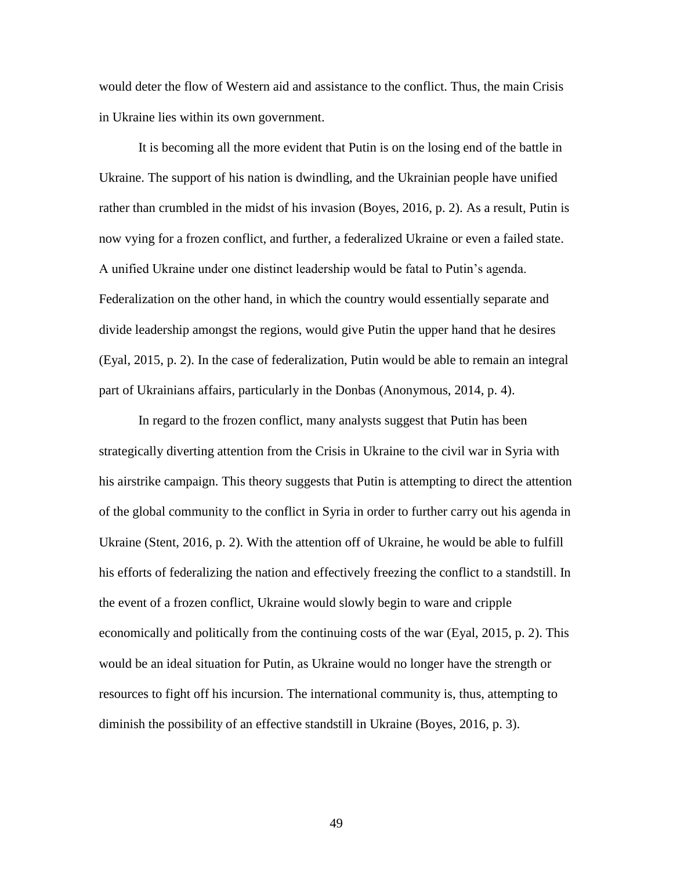would deter the flow of Western aid and assistance to the conflict. Thus, the main Crisis in Ukraine lies within its own government.

It is becoming all the more evident that Putin is on the losing end of the battle in Ukraine. The support of his nation is dwindling, and the Ukrainian people have unified rather than crumbled in the midst of his invasion (Boyes, 2016, p. 2). As a result, Putin is now vying for a frozen conflict, and further, a federalized Ukraine or even a failed state. A unified Ukraine under one distinct leadership would be fatal to Putin's agenda. Federalization on the other hand, in which the country would essentially separate and divide leadership amongst the regions, would give Putin the upper hand that he desires (Eyal, 2015, p. 2). In the case of federalization, Putin would be able to remain an integral part of Ukrainians affairs, particularly in the Donbas (Anonymous, 2014, p. 4).

In regard to the frozen conflict, many analysts suggest that Putin has been strategically diverting attention from the Crisis in Ukraine to the civil war in Syria with his airstrike campaign. This theory suggests that Putin is attempting to direct the attention of the global community to the conflict in Syria in order to further carry out his agenda in Ukraine (Stent, 2016, p. 2). With the attention off of Ukraine, he would be able to fulfill his efforts of federalizing the nation and effectively freezing the conflict to a standstill. In the event of a frozen conflict, Ukraine would slowly begin to ware and cripple economically and politically from the continuing costs of the war (Eyal, 2015, p. 2). This would be an ideal situation for Putin, as Ukraine would no longer have the strength or resources to fight off his incursion. The international community is, thus, attempting to diminish the possibility of an effective standstill in Ukraine (Boyes, 2016, p. 3).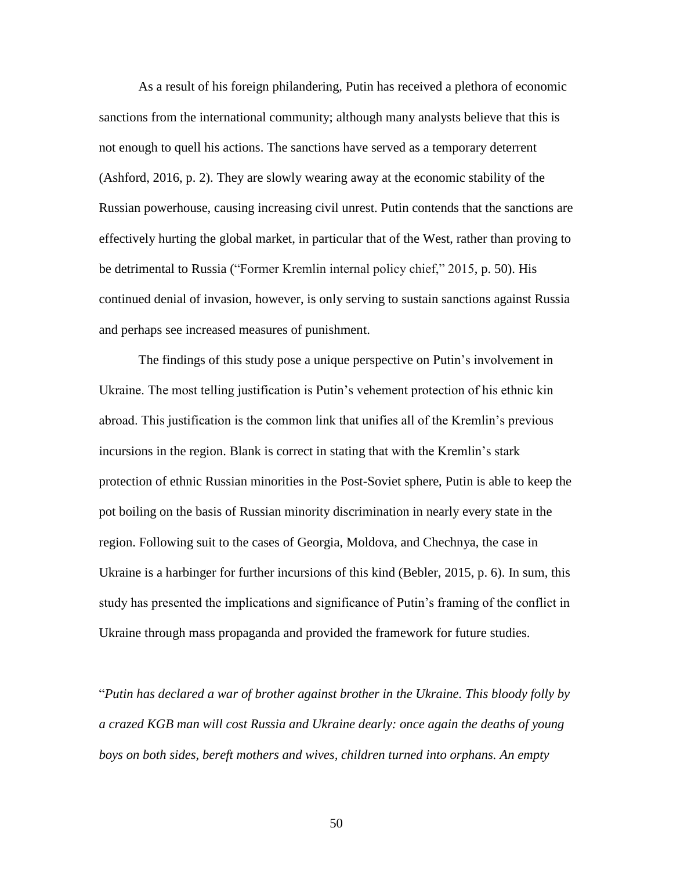As a result of his foreign philandering, Putin has received a plethora of economic sanctions from the international community; although many analysts believe that this is not enough to quell his actions. The sanctions have served as a temporary deterrent (Ashford, 2016, p. 2). They are slowly wearing away at the economic stability of the Russian powerhouse, causing increasing civil unrest. Putin contends that the sanctions are effectively hurting the global market, in particular that of the West, rather than proving to be detrimental to Russia ("Former Kremlin internal policy chief," 2015, p. 50). His continued denial of invasion, however, is only serving to sustain sanctions against Russia and perhaps see increased measures of punishment.

The findings of this study pose a unique perspective on Putin's involvement in Ukraine. The most telling justification is Putin's vehement protection of his ethnic kin abroad. This justification is the common link that unifies all of the Kremlin's previous incursions in the region. Blank is correct in stating that with the Kremlin's stark protection of ethnic Russian minorities in the Post-Soviet sphere, Putin is able to keep the pot boiling on the basis of Russian minority discrimination in nearly every state in the region. Following suit to the cases of Georgia, Moldova, and Chechnya, the case in Ukraine is a harbinger for further incursions of this kind (Bebler, 2015, p. 6). In sum, this study has presented the implications and significance of Putin's framing of the conflict in Ukraine through mass propaganda and provided the framework for future studies.

"*Putin has declared a war of brother against brother in the Ukraine. This bloody folly by a crazed KGB man will cost Russia and Ukraine dearly: once again the deaths of young boys on both sides, bereft mothers and wives, children turned into orphans. An empty*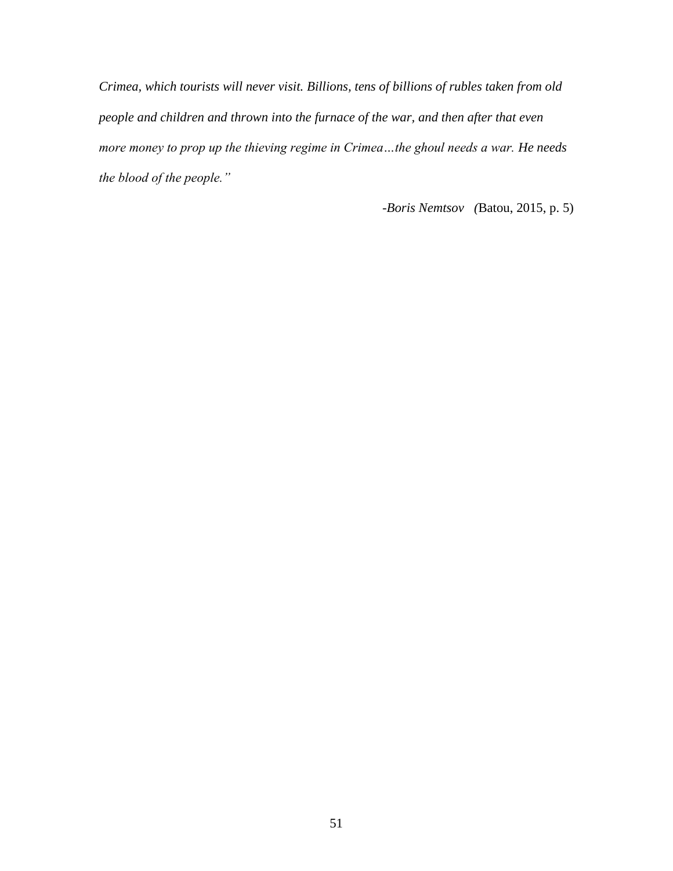*Crimea, which tourists will never visit. Billions, tens of billions of rubles taken from old people and children and thrown into the furnace of the war, and then after that even more money to prop up the thieving regime in Crimea…the ghoul needs a war. He needs the blood of the people."* 

*-Boris Nemtsov (*Batou, 2015, p. 5)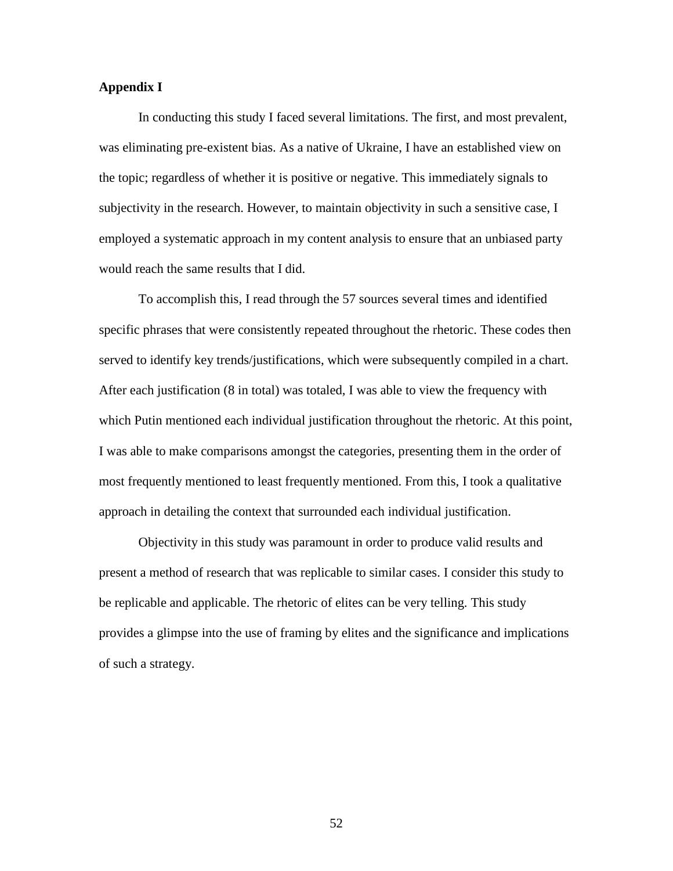### **Appendix I**

In conducting this study I faced several limitations. The first, and most prevalent, was eliminating pre-existent bias. As a native of Ukraine, I have an established view on the topic; regardless of whether it is positive or negative. This immediately signals to subjectivity in the research. However, to maintain objectivity in such a sensitive case, I employed a systematic approach in my content analysis to ensure that an unbiased party would reach the same results that I did.

To accomplish this, I read through the 57 sources several times and identified specific phrases that were consistently repeated throughout the rhetoric. These codes then served to identify key trends/justifications, which were subsequently compiled in a chart. After each justification (8 in total) was totaled, I was able to view the frequency with which Putin mentioned each individual justification throughout the rhetoric. At this point, I was able to make comparisons amongst the categories, presenting them in the order of most frequently mentioned to least frequently mentioned. From this, I took a qualitative approach in detailing the context that surrounded each individual justification.

Objectivity in this study was paramount in order to produce valid results and present a method of research that was replicable to similar cases. I consider this study to be replicable and applicable. The rhetoric of elites can be very telling. This study provides a glimpse into the use of framing by elites and the significance and implications of such a strategy.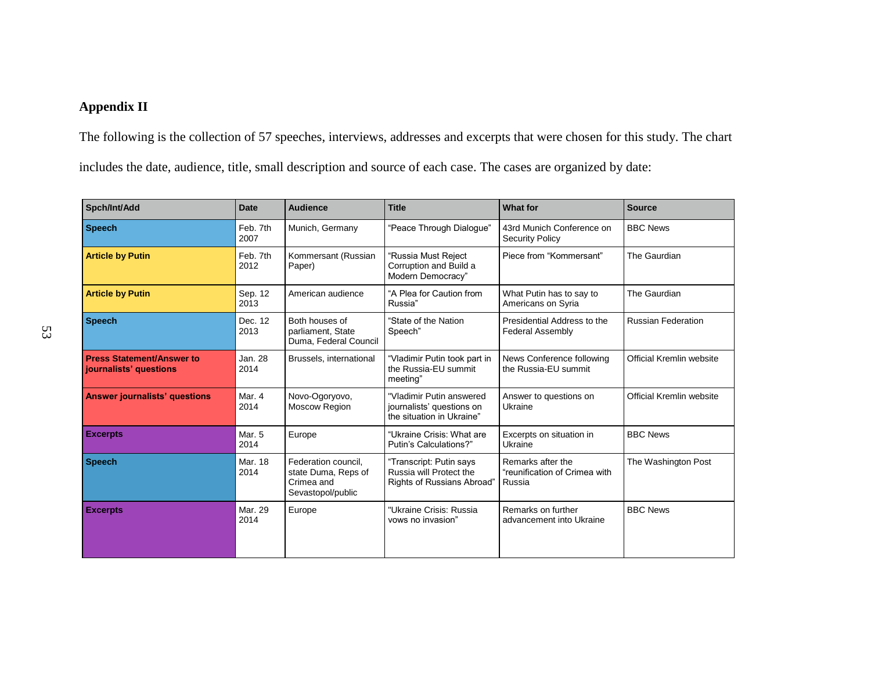# **Appendix II**

The following is the collection of 57 speeches, interviews, addresses and excerpts that were chosen for this study. The chart includes the date, audience, title, small description and source of each case. The cases are organized by date:

| Spch/Int/Add                                               | <b>Date</b>      | <b>Audience</b>                                                               | <b>Title</b>                                                                       | <b>What for</b>                                              | <b>Source</b>             |
|------------------------------------------------------------|------------------|-------------------------------------------------------------------------------|------------------------------------------------------------------------------------|--------------------------------------------------------------|---------------------------|
| <b>Speech</b>                                              | Feb. 7th<br>2007 | Munich, Germany                                                               | "Peace Through Dialoque"                                                           | 43rd Munich Conference on<br><b>Security Policy</b>          | <b>BBC News</b>           |
| <b>Article by Putin</b>                                    | Feb. 7th<br>2012 | Kommersant (Russian<br>Paper)                                                 | "Russia Must Reject<br>Corruption and Build a<br>Modern Democracy"                 | Piece from "Kommersant"                                      | The Gaurdian              |
| <b>Article by Putin</b>                                    | Sep. 12<br>2013  | American audience                                                             | "A Plea for Caution from<br>Russia"                                                | What Putin has to say to<br>Americans on Syria               | The Gaurdian              |
| <b>Speech</b>                                              | Dec. 12<br>2013  | Both houses of<br>parliament, State<br>Duma, Federal Council                  | "State of the Nation<br>Speech"                                                    | Presidential Address to the<br><b>Federal Assembly</b>       | <b>Russian Federation</b> |
| <b>Press Statement/Answer to</b><br>journalists' questions | Jan. 28<br>2014  | Brussels, international                                                       | "Vladimir Putin took part in<br>the Russia-EU summit<br>meeting"                   | News Conference following<br>the Russia-EU summit            | Official Kremlin website  |
| <b>Answer journalists' questions</b>                       | Mar. 4<br>2014   | Novo-Ogoryovo,<br><b>Moscow Region</b>                                        | "Vladimir Putin answered<br>journalists' questions on<br>the situation in Ukraine" | Answer to questions on<br>Ukraine                            | Official Kremlin website  |
| <b>Excerpts</b>                                            | Mar. 5<br>2014   | Europe                                                                        | "Ukraine Crisis: What are<br>Putin's Calculations?"                                | Excerpts on situation in<br>Ukraine                          | <b>BBC News</b>           |
| <b>Speech</b>                                              | Mar. 18<br>2014  | Federation council,<br>state Duma, Reps of<br>Crimea and<br>Sevastopol/public | "Transcript: Putin says<br>Russia will Protect the<br>Rights of Russians Abroad    | Remarks after the<br>"reunification of Crimea with<br>Russia | The Washington Post       |
| <b>Excerpts</b>                                            | Mar. 29<br>2014  | Europe                                                                        | "Ukraine Crisis: Russia<br>vows no invasion"                                       | Remarks on further<br>advancement into Ukraine               | <b>BBC News</b>           |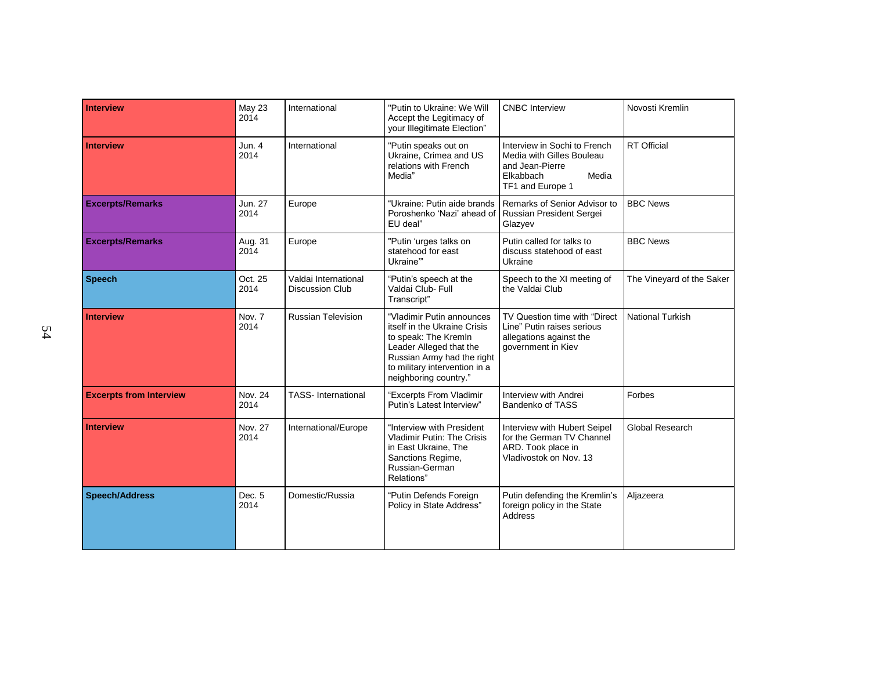| <b>Interview</b>               | May 23<br>2014  | International                                  | "Putin to Ukraine: We Will<br>Accept the Legitimacy of<br>your Illegitimate Election"                                                                                                                | <b>CNBC</b> Interview                                                                                                  | Novosti Kremlin           |
|--------------------------------|-----------------|------------------------------------------------|------------------------------------------------------------------------------------------------------------------------------------------------------------------------------------------------------|------------------------------------------------------------------------------------------------------------------------|---------------------------|
| <b>Interview</b>               | Jun. 4<br>2014  | International                                  | "Putin speaks out on<br>Ukraine, Crimea and US<br>relations with French<br>Media"                                                                                                                    | Interview in Sochi to French<br>Media with Gilles Bouleau<br>and Jean-Pierre<br>Elkabbach<br>Media<br>TF1 and Europe 1 | <b>RT</b> Official        |
| <b>Excerpts/Remarks</b>        | Jun. 27<br>2014 | Europe                                         | "Ukraine: Putin aide brands<br>Poroshenko 'Nazi' ahead of<br>EU deal"                                                                                                                                | Remarks of Senior Advisor to<br>Russian President Sergei<br>Glazyev                                                    | <b>BBC News</b>           |
| <b>Excerpts/Remarks</b>        | Aug. 31<br>2014 | Europe                                         | "Putin 'urges talks on<br>statehood for east<br>Ukraine"                                                                                                                                             | Putin called for talks to<br>discuss statehood of east<br>Ukraine                                                      | <b>BBC News</b>           |
| <b>Speech</b>                  | Oct. 25<br>2014 | Valdai International<br><b>Discussion Club</b> | "Putin's speech at the<br>Valdai Club- Full<br>Transcript"                                                                                                                                           | Speech to the XI meeting of<br>the Valdai Club                                                                         | The Vineyard of the Saker |
| <b>Interview</b>               | Nov. 7<br>2014  | <b>Russian Television</b>                      | "Vladimir Putin announces<br>itself in the Ukraine Crisis<br>to speak: The Kremln<br>Leader Alleged that the<br>Russian Army had the right<br>to military intervention in a<br>neighboring country." | TV Question time with "Direct<br>Line" Putin raises serious<br>allegations against the<br>government in Kiev           | <b>National Turkish</b>   |
| <b>Excerpts from Interview</b> | Nov. 24<br>2014 | <b>TASS-International</b>                      | "Excerpts From Vladimir<br>Putin's Latest Interview"                                                                                                                                                 | Interview with Andrei<br>Bandenko of TASS                                                                              | Forbes                    |
| <b>Interview</b>               | Nov. 27<br>2014 | International/Europe                           | "Interview with President<br><b>Vladimir Putin: The Crisis</b><br>in East Ukraine, The<br>Sanctions Regime,<br>Russian-German<br>Relations"                                                          | Interview with Hubert Seipel<br>for the German TV Channel<br>ARD. Took place in<br>Vladivostok on Nov. 13              | Global Research           |
| <b>Speech/Address</b>          | Dec. 5<br>2014  | Domestic/Russia                                | "Putin Defends Foreign<br>Policy in State Address"                                                                                                                                                   | Putin defending the Kremlin's<br>foreign policy in the State<br>Address                                                | Aljazeera                 |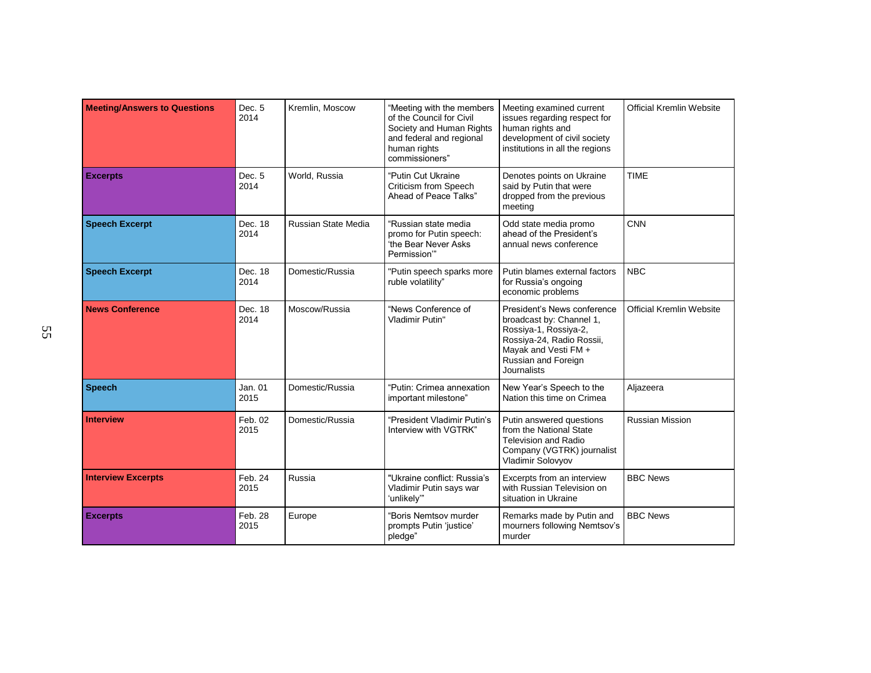| <b>Meeting/Answers to Questions</b> | Dec. 5<br>2014  | Kremlin, Moscow     | "Meeting with the members<br>of the Council for Civil<br>Society and Human Rights<br>and federal and regional<br>human rights<br>commissioners" | Meeting examined current<br>issues regarding respect for<br>human rights and<br>development of civil society<br>institutions in all the regions                                    | <b>Official Kremlin Website</b> |
|-------------------------------------|-----------------|---------------------|-------------------------------------------------------------------------------------------------------------------------------------------------|------------------------------------------------------------------------------------------------------------------------------------------------------------------------------------|---------------------------------|
| <b>Excerpts</b>                     | Dec. 5<br>2014  | World, Russia       | "Putin Cut Ukraine<br>Criticism from Speech<br>Ahead of Peace Talks"                                                                            | Denotes points on Ukraine<br>said by Putin that were<br>dropped from the previous<br>meeting                                                                                       | <b>TIME</b>                     |
| <b>Speech Excerpt</b>               | Dec. 18<br>2014 | Russian State Media | "Russian state media<br>promo for Putin speech:<br>'the Bear Never Asks<br>Permission"                                                          | Odd state media promo<br>ahead of the President's<br>annual news conference                                                                                                        | CNN                             |
| <b>Speech Excerpt</b>               | Dec. 18<br>2014 | Domestic/Russia     | "Putin speech sparks more<br>ruble volatility"                                                                                                  | Putin blames external factors<br>for Russia's ongoing<br>economic problems                                                                                                         | <b>NBC</b>                      |
| <b>News Conference</b>              | Dec. 18<br>2014 | Moscow/Russia       | "News Conference of<br>Vladimir Putin"                                                                                                          | President's News conference<br>broadcast by: Channel 1,<br>Rossiya-1, Rossiya-2,<br>Rossiya-24, Radio Rossii,<br>Mayak and Vesti FM +<br>Russian and Foreign<br><b>Journalists</b> | <b>Official Kremlin Website</b> |
| <b>Speech</b>                       | Jan. 01<br>2015 | Domestic/Russia     | "Putin: Crimea annexation<br>important milestone"                                                                                               | New Year's Speech to the<br>Nation this time on Crimea                                                                                                                             | Aljazeera                       |
| <b>Interview</b>                    | Feb. 02<br>2015 | Domestic/Russia     | "President Vladimir Putin's<br>Interview with VGTRK"                                                                                            | Putin answered questions<br>from the National State<br><b>Television and Radio</b><br>Company (VGTRK) journalist<br>Vladimir Solovyov                                              | <b>Russian Mission</b>          |
| <b>Interview Excerpts</b>           | Feb. 24<br>2015 | Russia              | "Ukraine conflict: Russia's<br>Vladimir Putin says war<br>'unlikely"                                                                            | Excerpts from an interview<br>with Russian Television on<br>situation in Ukraine                                                                                                   | <b>BBC News</b>                 |
| <b>Excerpts</b>                     | Feb. 28<br>2015 | Europe              | "Boris Nemtsov murder<br>prompts Putin 'justice'<br>pledge"                                                                                     | Remarks made by Putin and<br>mourners following Nemtsov's<br>murder                                                                                                                | <b>BBC News</b>                 |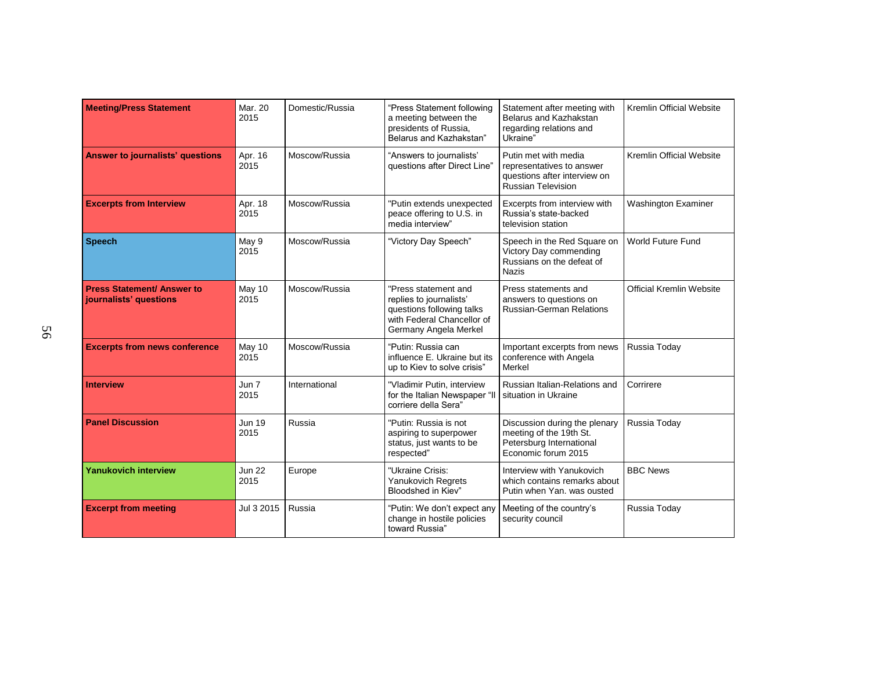| <b>Meeting/Press Statement</b>                              | Mar. 20<br>2015       | Domestic/Russia | "Press Statement following<br>a meeting between the<br>presidents of Russia,<br>Belarus and Kazhakstan"                             | Statement after meeting with<br>Belarus and Kazhakstan<br>regarding relations and<br>Ukraine"                  | <b>Kremlin Official Website</b> |
|-------------------------------------------------------------|-----------------------|-----------------|-------------------------------------------------------------------------------------------------------------------------------------|----------------------------------------------------------------------------------------------------------------|---------------------------------|
| <b>Answer to journalists' questions</b>                     | Apr. 16<br>2015       | Moscow/Russia   | "Answers to journalists"<br>questions after Direct Line"                                                                            | Putin met with media<br>representatives to answer<br>questions after interview on<br><b>Russian Television</b> | Kremlin Official Website        |
| <b>Excerpts from Interview</b>                              | Apr. 18<br>2015       | Moscow/Russia   | "Putin extends unexpected<br>peace offering to U.S. in<br>media interview"                                                          | Excerpts from interview with<br>Russia's state-backed<br>television station                                    | Washington Examiner             |
| <b>Speech</b>                                               | May 9<br>2015         | Moscow/Russia   | "Victory Day Speech"                                                                                                                | Speech in the Red Square on<br>Victory Day commending<br>Russians on the defeat of<br><b>Nazis</b>             | World Future Fund               |
| <b>Press Statement/ Answer to</b><br>journalists' questions | May 10<br>2015        | Moscow/Russia   | "Press statement and<br>replies to journalists'<br>questions following talks<br>with Federal Chancellor of<br>Germany Angela Merkel | Press statements and<br>answers to questions on<br><b>Russian-German Relations</b>                             | Official Kremlin Website        |
| <b>Excerpts from news conference</b>                        | May 10<br>2015        | Moscow/Russia   | "Putin: Russia can<br>influence E. Ukraine but its<br>up to Kiev to solve crisis"                                                   | Important excerpts from news<br>conference with Angela<br>Merkel                                               | Russia Today                    |
| <b>Interview</b>                                            | Jun 7<br>2015         | International   | "Vladimir Putin, interview<br>for the Italian Newspaper "II<br>corriere della Sera"                                                 | Russian Italian-Relations and<br>situation in Ukraine                                                          | Corrirere                       |
| <b>Panel Discussion</b>                                     | <b>Jun 19</b><br>2015 | Russia          | "Putin: Russia is not<br>aspiring to superpower<br>status, just wants to be<br>respected"                                           | Discussion during the plenary<br>meeting of the 19th St.<br>Petersburg International<br>Economic forum 2015    | Russia Today                    |
| <b>Yanukovich interview</b>                                 | <b>Jun 22</b><br>2015 | Europe          | "Ukraine Crisis:<br><b>Yanukovich Regrets</b><br>Bloodshed in Kiev"                                                                 | Interview with Yanukovich<br>which contains remarks about<br>Putin when Yan, was ousted                        | <b>BBC News</b>                 |
| <b>Excerpt from meeting</b>                                 | Jul 3 2015            | Russia          | "Putin: We don't expect any<br>change in hostile policies<br>toward Russia"                                                         | Meeting of the country's<br>security council                                                                   | Russia Today                    |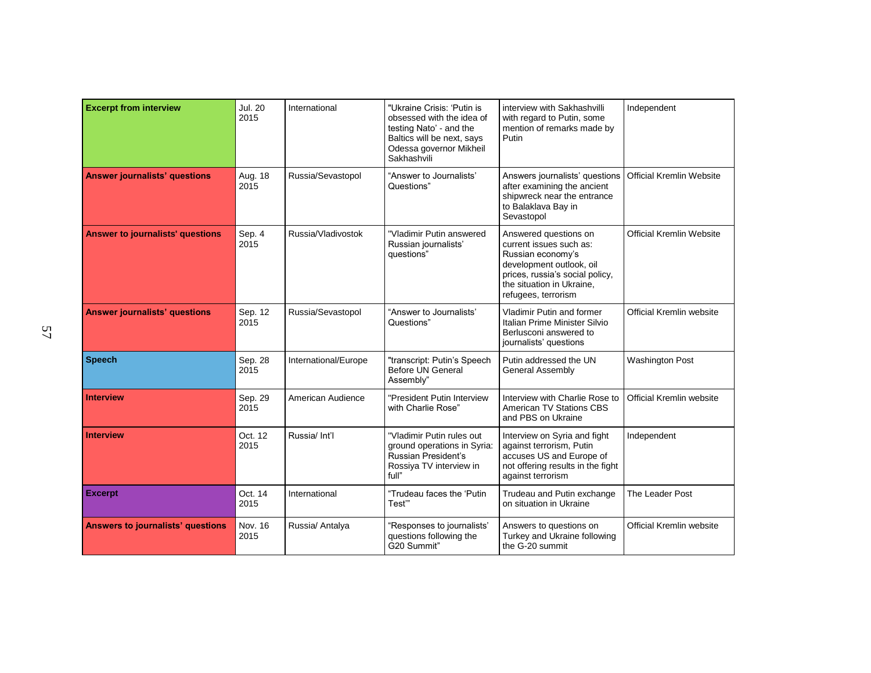| <b>Excerpt from interview</b>            | <b>Jul. 20</b><br>2015 | International        | "Ukraine Crisis: 'Putin is<br>obsessed with the idea of<br>testing Nato' - and the<br>Baltics will be next, says<br>Odessa governor Mikheil<br>Sakhashvili | interview with Sakhashvilli<br>with regard to Putin, some<br>mention of remarks made by<br>Putin                                                                                         | Independent                     |
|------------------------------------------|------------------------|----------------------|------------------------------------------------------------------------------------------------------------------------------------------------------------|------------------------------------------------------------------------------------------------------------------------------------------------------------------------------------------|---------------------------------|
| <b>Answer journalists' questions</b>     | Aug. 18<br>2015        | Russia/Sevastopol    | "Answer to Journalists"<br>Questions"                                                                                                                      | Answers journalists' questions<br>after examining the ancient<br>shipwreck near the entrance<br>to Balaklava Bay in<br>Sevastopol                                                        | <b>Official Kremlin Website</b> |
| <b>Answer to journalists' questions</b>  | Sep. 4<br>2015         | Russia/Vladivostok   | "Vladimir Putin answered<br>Russian journalists'<br>questions"                                                                                             | Answered questions on<br>current issues such as:<br>Russian economy's<br>development outlook, oil<br>prices, russia's social policy,<br>the situation in Ukraine.<br>refugees, terrorism | <b>Official Kremlin Website</b> |
| <b>Answer journalists' questions</b>     | Sep. 12<br>2015        | Russia/Sevastopol    | "Answer to Journalists"<br>Questions"                                                                                                                      | <b>Vladimir Putin and former</b><br>Italian Prime Minister Silvio<br>Berlusconi answered to<br>journalists' questions                                                                    | Official Kremlin website        |
| <b>Speech</b>                            | Sep. 28<br>2015        | International/Europe | "transcript: Putin's Speech<br><b>Before UN General</b><br>Assembly"                                                                                       | Putin addressed the UN<br><b>General Assembly</b>                                                                                                                                        | <b>Washington Post</b>          |
| <b>Interview</b>                         | Sep. 29<br>2015        | American Audience    | "President Putin Interview<br>with Charlie Rose"                                                                                                           | Interview with Charlie Rose to<br>American TV Stations CBS<br>and PBS on Ukraine                                                                                                         | Official Kremlin website        |
| <b>Interview</b>                         | Oct. 12<br>2015        | Russia/ Int'l        | "Vladimir Putin rules out<br>ground operations in Syria:<br>Russian President's<br>Rossiya TV interview in<br>full"                                        | Interview on Syria and fight<br>against terrorism, Putin<br>accuses US and Europe of<br>not offering results in the fight<br>against terrorism                                           | Independent                     |
| <b>Excerpt</b>                           | Oct. 14<br>2015        | International        | "Trudeau faces the 'Putin<br>Test"                                                                                                                         | Trudeau and Putin exchange<br>on situation in Ukraine                                                                                                                                    | The Leader Post                 |
| <b>Answers to journalists' questions</b> | Nov. 16<br>2015        | Russia/ Antalya      | "Responses to journalists'<br>questions following the<br>G20 Summit"                                                                                       | Answers to questions on<br>Turkey and Ukraine following<br>the G-20 summit                                                                                                               | Official Kremlin website        |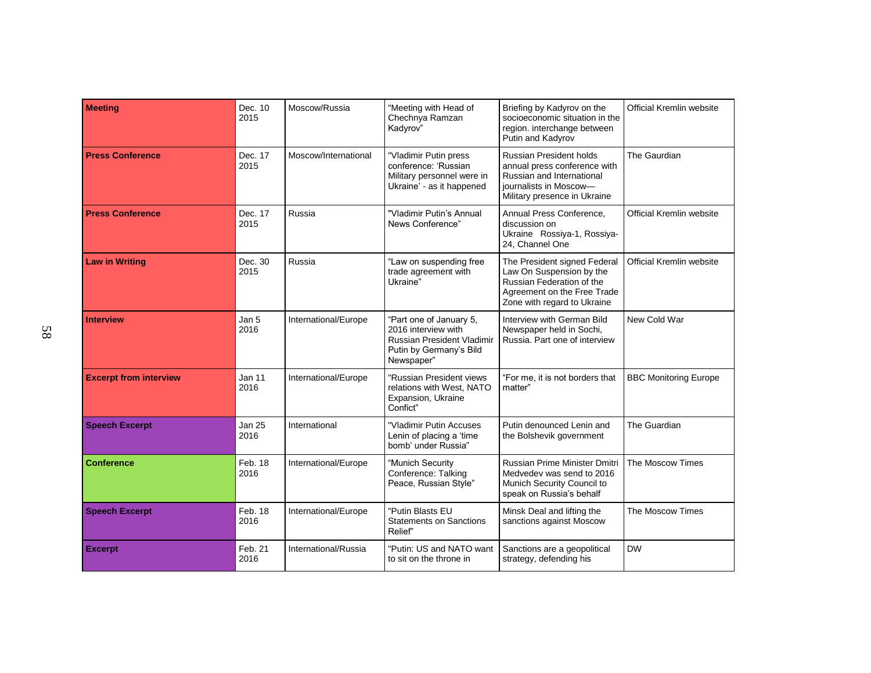| Meeting                       | Dec. 10<br>2015       | Moscow/Russia        | "Meeting with Head of<br>Chechnya Ramzan<br>Kadyrov"                                                                  | Briefing by Kadyrov on the<br>socioeconomic situation in the<br>region. interchange between<br>Putin and Kadyrov                                      | Official Kremlin website     |
|-------------------------------|-----------------------|----------------------|-----------------------------------------------------------------------------------------------------------------------|-------------------------------------------------------------------------------------------------------------------------------------------------------|------------------------------|
| <b>Press Conference</b>       | Dec. 17<br>2015       | Moscow/International | "Vladimir Putin press<br>conference: 'Russian<br>Military personnel were in<br>Ukraine' - as it happened              | <b>Russian President holds</b><br>annual press conference with<br>Russian and International<br>journalists in Moscow-<br>Military presence in Ukraine | The Gaurdian                 |
| <b>Press Conference</b>       | Dec. 17<br>2015       | Russia               | "Vladimir Putin's Annual<br>News Conference"                                                                          | Annual Press Conference.<br>discussion on<br>Ukraine Rossiya-1, Rossiya-<br>24, Channel One                                                           | Official Kremlin website     |
| <b>Law in Writing</b>         | Dec. 30<br>2015       | Russia               | "Law on suspending free<br>trade agreement with<br>Ukraine"                                                           | The President signed Federal<br>Law On Suspension by the<br>Russian Federation of the<br>Agreement on the Free Trade<br>Zone with regard to Ukraine   | Official Kremlin website     |
| <b>Interview</b>              | Jan 5<br>2016         | International/Europe | "Part one of January 5,<br>2016 interview with<br>Russian President Vladimir<br>Putin by Germany's Bild<br>Newspaper" | Interview with German Bild<br>Newspaper held in Sochi,<br>Russia. Part one of interview                                                               | New Cold War                 |
| <b>Excerpt from interview</b> | <b>Jan 11</b><br>2016 | International/Europe | "Russian President views<br>relations with West, NATO<br>Expansion, Ukraine<br>Confict"                               | "For me, it is not borders that<br>matter"                                                                                                            | <b>BBC Monitoring Europe</b> |
| <b>Speech Excerpt</b>         | <b>Jan 25</b><br>2016 | International        | "Vladimir Putin Accuses<br>Lenin of placing a 'time<br>bomb' under Russia"                                            | Putin denounced Lenin and<br>the Bolshevik government                                                                                                 | The Guardian                 |
| <b>Conference</b>             | Feb. 18<br>2016       | International/Europe | "Munich Security<br>Conference: Talking<br>Peace, Russian Style"                                                      | Russian Prime Minister Dmitri<br>Medvedev was send to 2016<br>Munich Security Council to<br>speak on Russia's behalf                                  | The Moscow Times             |
| <b>Speech Excerpt</b>         | Feb. 18<br>2016       | International/Europe | "Putin Blasts EU<br><b>Statements on Sanctions</b><br>Relief"                                                         | Minsk Deal and lifting the<br>sanctions against Moscow                                                                                                | The Moscow Times             |
| <b>Excerpt</b>                | Feb. 21<br>2016       | International/Russia | "Putin: US and NATO want<br>to sit on the throne in                                                                   | Sanctions are a geopolitical<br>strategy, defending his                                                                                               | <b>DW</b>                    |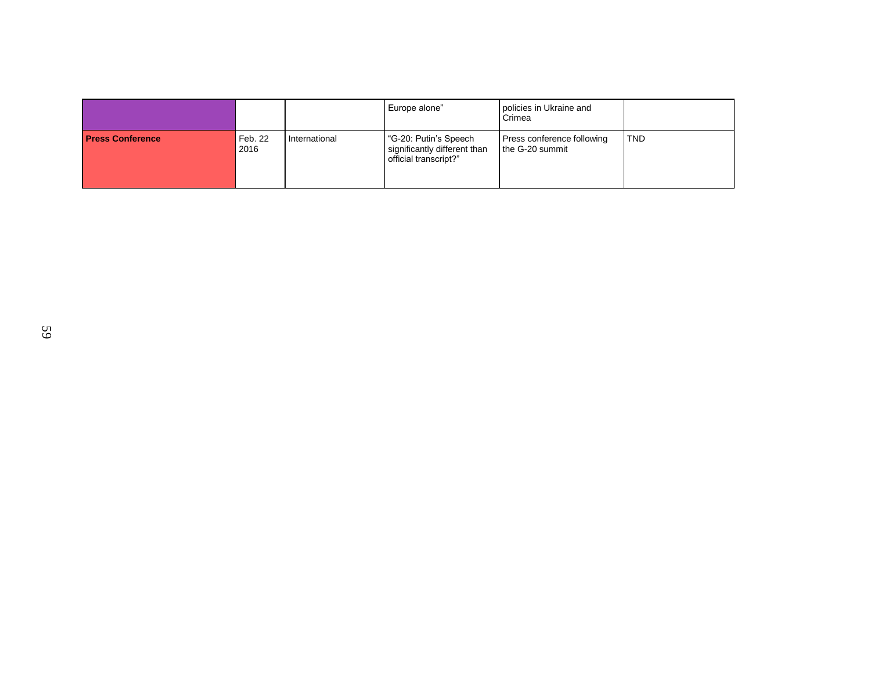|                         |                 |               | Europe alone"                                                                  | policies in Ukraine and<br>Crimea             |            |
|-------------------------|-----------------|---------------|--------------------------------------------------------------------------------|-----------------------------------------------|------------|
| <b>Press Conference</b> | Feb. 22<br>2016 | International | "G-20: Putin's Speech<br>significantly different than<br>official transcript?" | Press conference following<br>the G-20 summit | <b>TND</b> |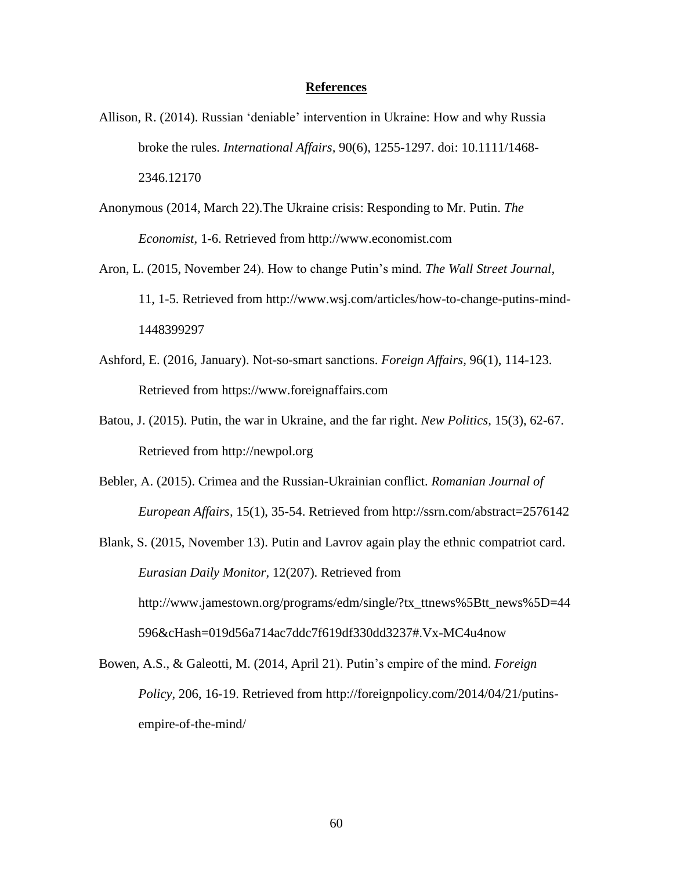#### **References**

- Allison, R. (2014). Russian 'deniable' intervention in Ukraine: How and why Russia broke the rules. *International Affairs,* 90(6), 1255-1297. doi: 10.1111/1468- 2346.12170
- Anonymous (2014, March 22).The Ukraine crisis: Responding to Mr. Putin. *The Economist,* 1-6. Retrieved from http://www.economist.com
- Aron, L. (2015, November 24). How to change Putin's mind. *The Wall Street Journal,* 11, 1-5. Retrieved from http://www.wsj.com/articles/how-to-change-putins-mind-1448399297
- Ashford, E. (2016, January). Not-so-smart sanctions. *Foreign Affairs,* 96(1), 114-123. Retrieved from https://www.foreignaffairs.com
- Batou, J. (2015). Putin, the war in Ukraine, and the far right. *New Politics,* 15(3), 62-67. Retrieved from http://newpol.org
- Bebler, A. (2015). Crimea and the Russian-Ukrainian conflict. *Romanian Journal of European Affairs,* 15(1), 35-54. Retrieved from http://ssrn.com/abstract=2576142
- Blank, S. (2015, November 13). Putin and Lavrov again play the ethnic compatriot card. *Eurasian Daily Monitor,* 12(207). Retrieved from http://www.jamestown.org/programs/edm/single/?tx\_ttnews%5Btt\_news%5D=44 596&cHash=019d56a714ac7ddc7f619df330dd3237#.Vx-MC4u4now
- Bowen, A.S., & Galeotti, M. (2014, April 21). Putin's empire of the mind. *Foreign Policy,* 206, 16-19. Retrieved from http://foreignpolicy.com/2014/04/21/putinsempire-of-the-mind/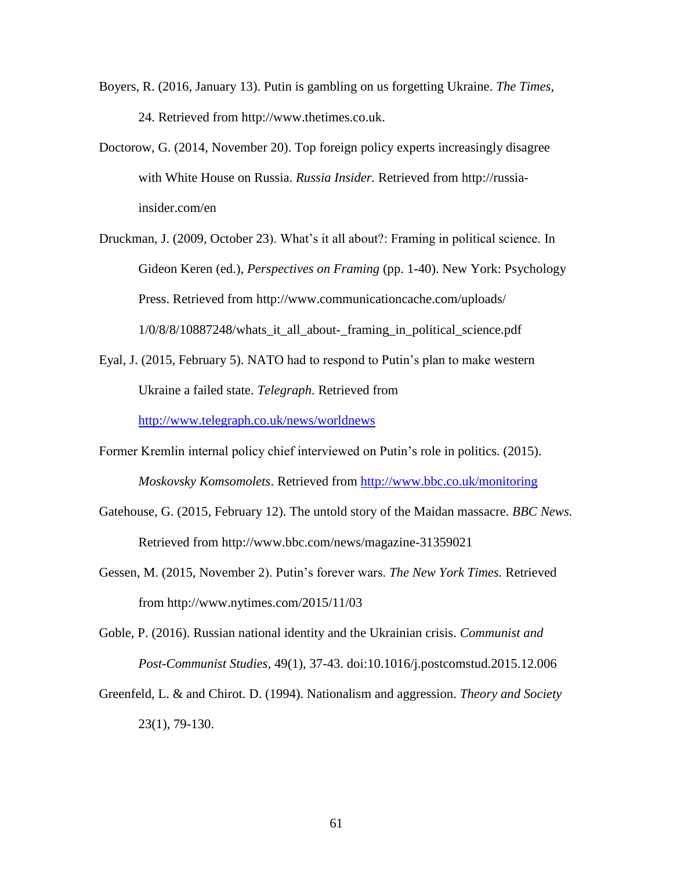- Boyers, R. (2016, January 13). Putin is gambling on us forgetting Ukraine. *The Times,* 24. Retrieved from http://www.thetimes.co.uk.
- Doctorow, G. (2014, November 20). Top foreign policy experts increasingly disagree with White House on Russia. *Russia Insider.* Retrieved from http://russiainsider.com/en
- Druckman, J. (2009, October 23). What's it all about?: Framing in political science. In Gideon Keren (ed.), *Perspectives on Framing* (pp. 1-40). New York: Psychology Press. Retrieved from http://www.communicationcache.com/uploads/  $1/0/8/8/10887248$ /whats it all about-framing in political science.pdf
- Eyal, J. (2015, February 5). NATO had to respond to Putin's plan to make western Ukraine a failed state. *Telegraph*. Retrieved from <http://www.telegraph.co.uk/news/worldnews>

Former Kremlin internal policy chief interviewed on Putin's role in politics. (2015). *Moskovsky Komsomolets*. Retrieved from<http://www.bbc.co.uk/monitoring>

- Gatehouse, G. (2015, February 12). The untold story of the Maidan massacre. *BBC News.* Retrieved from http://www.bbc.com/news/magazine-31359021
- Gessen, M. (2015, November 2). Putin's forever wars. *The New York Times.* Retrieved from http://www.nytimes.com/2015/11/03
- Goble, P. (2016). Russian national identity and the Ukrainian crisis. *Communist and Post-Communist Studies,* 49(1), 37-43. doi:10.1016/j.postcomstud.2015.12.006
- Greenfeld, L. & and Chirot. D. (1994). Nationalism and aggression. *Theory and Society*  23(1), 79-130.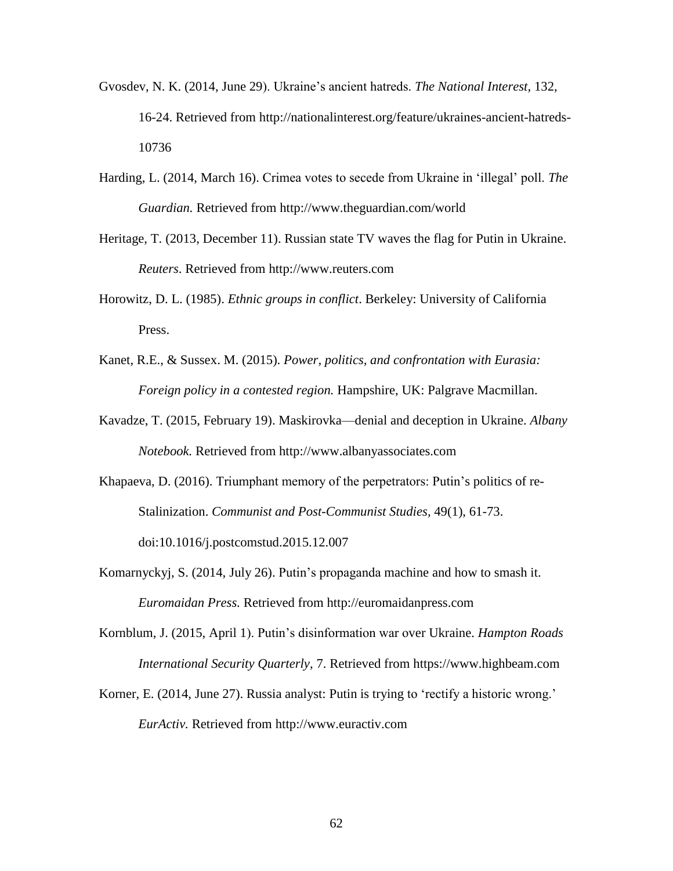- Gvosdev, N. K. (2014, June 29). Ukraine's ancient hatreds. *The National Interest,* 132, 16-24. Retrieved from http://nationalinterest.org/feature/ukraines-ancient-hatreds-10736
- Harding, L. (2014, March 16). Crimea votes to secede from Ukraine in 'illegal' poll. *The Guardian.* Retrieved from http://www.theguardian.com/world
- Heritage, T. (2013, December 11). Russian state TV waves the flag for Putin in Ukraine. *Reuters*. Retrieved from http://www.reuters.com
- Horowitz, D. L. (1985). *Ethnic groups in conflict*. Berkeley: University of California Press.
- Kanet, R.E., & Sussex. M. (2015). *Power, politics, and confrontation with Eurasia: Foreign policy in a contested region.* Hampshire, UK: Palgrave Macmillan.
- Kavadze, T. (2015, February 19). Maskirovka—denial and deception in Ukraine. *Albany Notebook.* Retrieved from http://www.albanyassociates.com
- Khapaeva, D. (2016). Triumphant memory of the perpetrators: Putin's politics of re-Stalinization. *Communist and Post-Communist Studies,* 49(1), 61-73. doi:10.1016/j.postcomstud.2015.12.007
- Komarnyckyj, S. (2014, July 26). Putin's propaganda machine and how to smash it. *Euromaidan Press.* Retrieved from http://euromaidanpress.com
- Kornblum, J. (2015, April 1). Putin's disinformation war over Ukraine. *Hampton Roads International Security Quarterly,* 7. Retrieved from https://www.highbeam.com
- Korner, E. (2014, June 27). Russia analyst: Putin is trying to 'rectify a historic wrong.' *EurActiv.* Retrieved from http://www.euractiv.com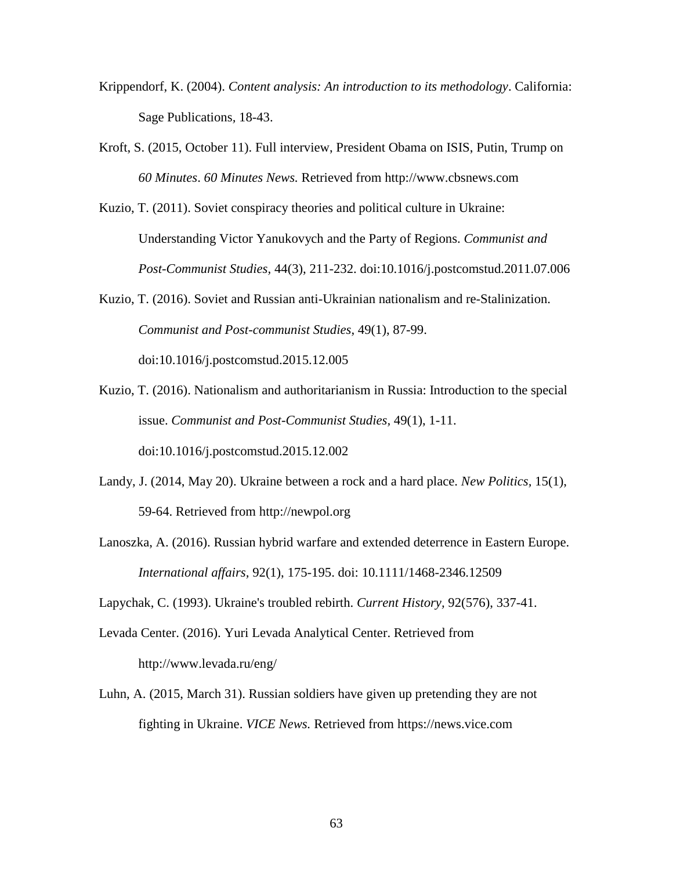- Krippendorf, K. (2004). *Content analysis: An introduction to its methodology*. California: Sage Publications*,* 18-43.
- Kroft, S. (2015, October 11). Full interview, President Obama on ISIS, Putin, Trump on *60 Minutes*. *60 Minutes News.* Retrieved from http://www.cbsnews.com
- Kuzio, T. (2011). Soviet conspiracy theories and political culture in Ukraine: Understanding Victor Yanukovych and the Party of Regions. *Communist and Post-Communist Studies,* 44(3), 211-232. doi:10.1016/j.postcomstud.2011.07.006
- Kuzio, T. (2016). Soviet and Russian anti-Ukrainian nationalism and re-Stalinization. *Communist and Post-communist Studies*, 49(1), 87-99. doi:10.1016/j.postcomstud.2015.12.005
- Kuzio, T. (2016). Nationalism and authoritarianism in Russia: Introduction to the special issue. *Communist and Post-Communist Studies,* 49(1), 1-11. doi:10.1016/j.postcomstud.2015.12.002
- Landy, J. (2014, May 20). Ukraine between a rock and a hard place. *New Politics,* 15(1), 59-64. Retrieved from http://newpol.org
- Lanoszka, A. (2016). Russian hybrid warfare and extended deterrence in Eastern Europe. *International affairs,* 92(1), 175-195. doi: 10.1111/1468-2346.12509

Lapychak, C. (1993). Ukraine's troubled rebirth. *Current History,* 92(576), 337-41.

- Levada Center. (2016). Yuri Levada Analytical Center. Retrieved from http://www.levada.ru/eng/
- Luhn, A. (2015, March 31). Russian soldiers have given up pretending they are not fighting in Ukraine. *VICE News.* Retrieved from https://news.vice.com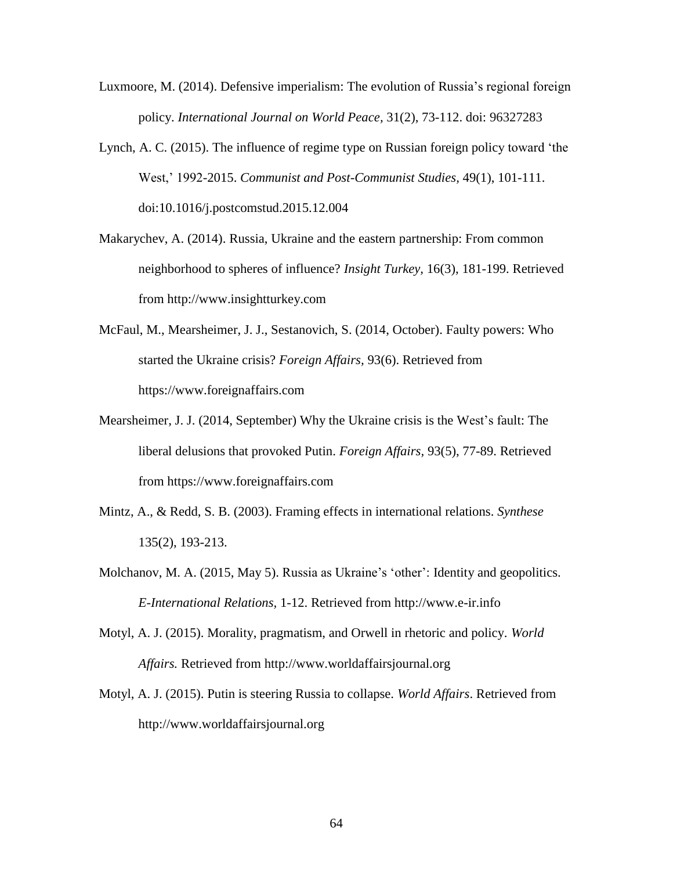- Luxmoore, M. (2014). Defensive imperialism: The evolution of Russia's regional foreign policy. *International Journal on World Peace,* 31(2), 73-112. doi: 96327283
- Lynch, A. C. (2015). The influence of regime type on Russian foreign policy toward 'the West,' 1992-2015. *Communist and Post-Communist Studies,* 49(1), 101-111. doi:10.1016/j.postcomstud.2015.12.004
- Makarychev, A. (2014). Russia, Ukraine and the eastern partnership: From common neighborhood to spheres of influence? *Insight Turkey,* 16(3), 181-199. Retrieved from http://www.insightturkey.com
- McFaul, M., Mearsheimer, J. J., Sestanovich, S. (2014, October). Faulty powers: Who started the Ukraine crisis? *Foreign Affairs,* 93(6). Retrieved from https://www.foreignaffairs.com
- Mearsheimer, J. J. (2014, September) Why the Ukraine crisis is the West's fault: The liberal delusions that provoked Putin. *Foreign Affairs,* 93(5), 77-89. Retrieved from https://www.foreignaffairs.com
- Mintz, A., & Redd, S. B. (2003). Framing effects in international relations. *Synthese*  135(2), 193-213.
- Molchanov, M. A. (2015, May 5). Russia as Ukraine's 'other': Identity and geopolitics. *E-International Relations,* 1-12. Retrieved from http://www.e-ir.info
- Motyl, A. J. (2015). Morality, pragmatism, and Orwell in rhetoric and policy. *World Affairs.* Retrieved from http://www.worldaffairsjournal.org
- Motyl, A. J. (2015). Putin is steering Russia to collapse. *World Affairs*. Retrieved from http://www.worldaffairsjournal.org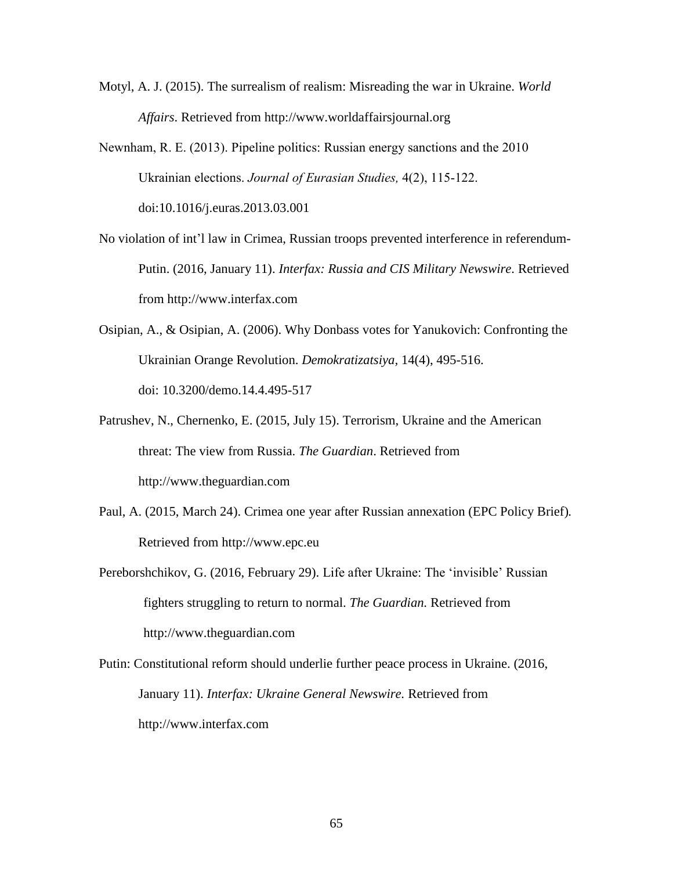- Motyl, A. J. (2015). The surrealism of realism: Misreading the war in Ukraine. *World Affairs*. Retrieved from http://www.worldaffairsjournal.org
- Newnham, R. E. (2013). Pipeline politics: Russian energy sanctions and the 2010 Ukrainian elections. *Journal of Eurasian Studies,* 4(2), 115-122. doi:10.1016/j.euras.2013.03.001
- No violation of int'l law in Crimea, Russian troops prevented interference in referendum-Putin. (2016, January 11). *Interfax: Russia and CIS Military Newswire.* Retrieved from http://www.interfax.com
- Osipian, A., & Osipian, A. (2006). Why Donbass votes for Yanukovich: Confronting the Ukrainian Orange Revolution. *Demokratizatsiya,* 14(4), 495-516. doi: 10.3200/demo.14.4.495-517
- Patrushev, N., Chernenko, E. (2015, July 15). Terrorism, Ukraine and the American threat: The view from Russia. *The Guardian*. Retrieved from http://www.theguardian.com
- Paul, A. (2015, March 24). Crimea one year after Russian annexation (EPC Policy Brief)*.*  Retrieved from http://www.epc.eu
- Pereborshchikov, G. (2016, February 29). Life after Ukraine: The 'invisible' Russian fighters struggling to return to normal. *The Guardian.* Retrieved from http://www.theguardian.com
- Putin: Constitutional reform should underlie further peace process in Ukraine. (2016, January 11). *Interfax: Ukraine General Newswire.* Retrieved from http://www.interfax.com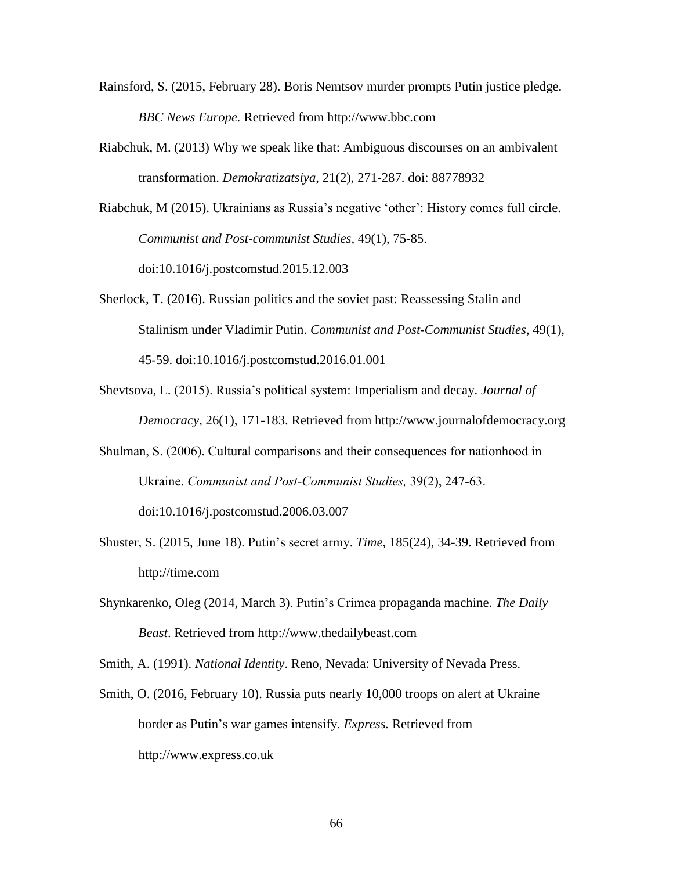- Rainsford, S. (2015, February 28). Boris Nemtsov murder prompts Putin justice pledge. *BBC News Europe.* Retrieved from http://www.bbc.com
- Riabchuk, M. (2013) Why we speak like that: Ambiguous discourses on an ambivalent transformation. *Demokratizatsiya*, 21(2), 271-287. doi: 88778932

Riabchuk, M (2015). Ukrainians as Russia's negative 'other': History comes full circle. *Communist and Post-communist Studies,* 49(1), 75-85. doi:10.1016/j.postcomstud.2015.12.003

- Sherlock, T. (2016). Russian politics and the soviet past: Reassessing Stalin and Stalinism under Vladimir Putin. *Communist and Post-Communist Studies,* 49(1), 45-59. doi:10.1016/j.postcomstud.2016.01.001
- Shevtsova, L. (2015). Russia's political system: Imperialism and decay. *Journal of Democracy,* 26(1), 171-183. Retrieved from http://www.journalofdemocracy.org
- Shulman, S. (2006). Cultural comparisons and their consequences for nationhood in Ukraine. *Communist and Post-Communist Studies,* 39(2), 247-63. doi:10.1016/j.postcomstud.2006.03.007
- Shuster, S. (2015, June 18). Putin's secret army. *Time,* 185(24), 34-39. Retrieved from http://time.com
- Shynkarenko, Oleg (2014, March 3). Putin's Crimea propaganda machine. *The Daily Beast*. Retrieved from http://www.thedailybeast.com

Smith, A. (1991). *National Identity*. Reno, Nevada: University of Nevada Press*.*

Smith, O. (2016, February 10). Russia puts nearly 10,000 troops on alert at Ukraine border as Putin's war games intensify. *Express.* Retrieved from http://www.express.co.uk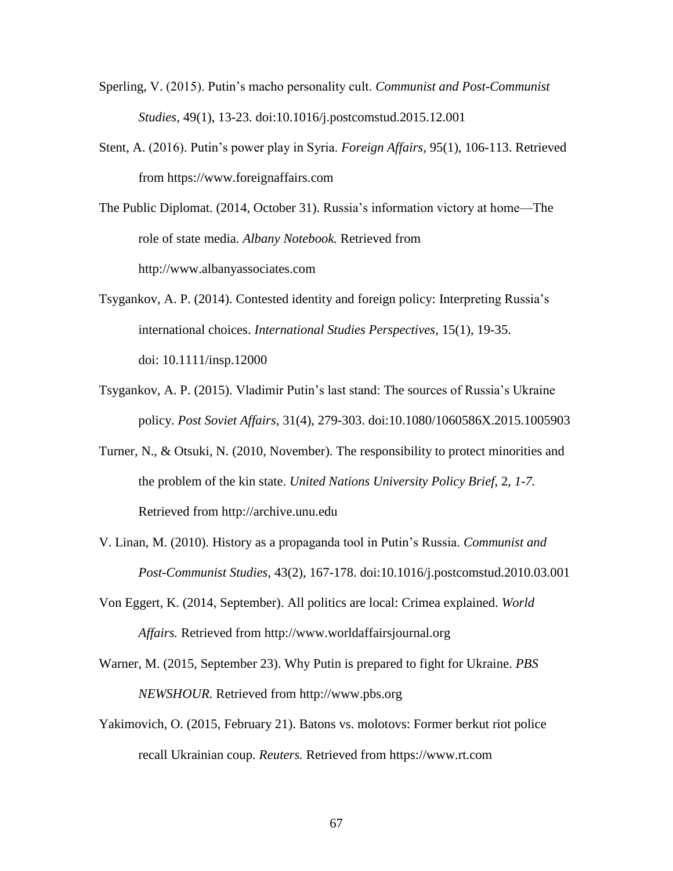- Sperling, V. (2015). Putin's macho personality cult. *Communist and Post-Communist Studies,* 49(1), 13-23. doi:10.1016/j.postcomstud.2015.12.001
- Stent, A. (2016). Putin's power play in Syria. *Foreign Affairs,* 95(1), 106-113. Retrieved from https://www.foreignaffairs.com
- The Public Diplomat. (2014, October 31). Russia's information victory at home—The role of state media. *Albany Notebook.* Retrieved from http://www.albanyassociates.com
- Tsygankov, A. P. (2014). Contested identity and foreign policy: Interpreting Russia's international choices. *International Studies Perspectives,* 15(1), 19-35. doi: 10.1111/insp.12000
- Tsygankov, A. P. (2015). Vladimir Putin's last stand: The sources of Russia's Ukraine policy. *Post Soviet Affairs,* 31(4), 279-303. doi:10.1080/1060586X.2015.1005903
- Turner, N., & Otsuki, N. (2010, November). The responsibility to protect minorities and the problem of the kin state. *United Nations University Policy Brief*, 2, *1-7.* Retrieved from http://archive.unu.edu
- V. Linan, M. (2010). History as a propaganda tool in Putin's Russia. *Communist and Post-Communist Studies,* 43(2), 167-178. doi:10.1016/j.postcomstud.2010.03.001
- Von Eggert, K. (2014, September). All politics are local: Crimea explained. *World Affairs.* Retrieved from http://www.worldaffairsjournal.org
- Warner, M. (2015, September 23). Why Putin is prepared to fight for Ukraine. *PBS NEWSHOUR.* Retrieved from http://www.pbs.org
- Yakimovich, O. (2015, February 21). Batons vs. molotovs: Former berkut riot police recall Ukrainian coup. *Reuters.* Retrieved from https://www.rt.com